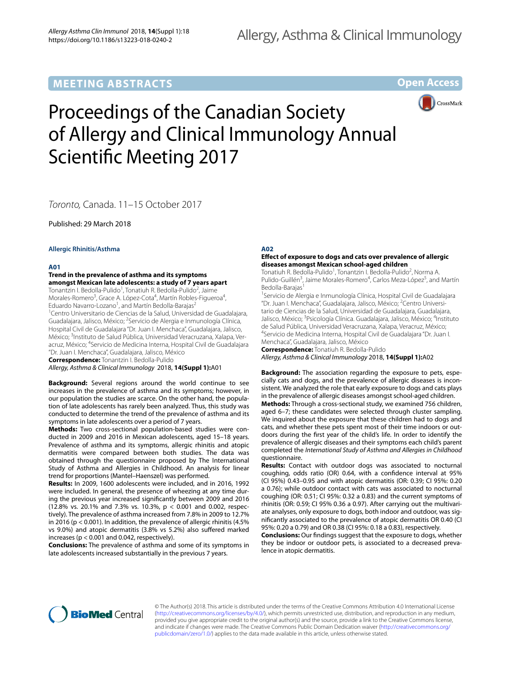# **MEETING ABSTRACTS**

**Open Access**



# Proceedings of the Canadian Society of Allergy and Clinical Immunology Annual Scientifc Meeting 2017

*Toronto,* Canada. 11–15 October 2017

Published: 29 March 2018

**Allergic Rhinitis/Asthma**

# **A01**

**Trend in the prevalence of asthma and its symptoms amongst Mexican late adolescents: a study of 7 years apart**

Tonantzin I. Bedolla-Pulido<sup>1</sup>, Tonatiuh R. Bedolla-Pulido<sup>2</sup>, Jaime Morales-Romero<sup>3</sup>, Grace A. López-Cota<sup>4</sup>, Martín Robles-Figueroa<sup>4</sup>, Eduardo Navarro-Lozano<sup>1</sup>, and Martín Bedolla-Barajas<sup>2</sup>

1 Centro Universitario de Ciencias de la Salud, Universidad de Guadalajara, Guadalajara, Jalisco, México; <sup>2</sup>Servicio de Alergia e Inmunología Clínica, Hospital Civil de Guadalajara "Dr. Juan I. Menchaca", Guadalajara, Jalisco, México; <sup>3</sup>Instituto de Salud Pública, Universidad Veracruzana, Xalapa, Veracruz, México; <sup>4</sup>Servicio de Medicina Interna, Hospital Civil de Guadalajara "Dr. Juan I. Menchaca", Guadalajara, Jalisco, México

**Correspondence:** Tonantzin I. Bedolla‑Pulido

*Allergy, Asthma & Clinical Immunology* 2018, **14(Suppl 1):**A01

**Background:** Several regions around the world continue to see increases in the prevalence of asthma and its symptoms; however, in our population the studies are scarce. On the other hand, the population of late adolescents has rarely been analyzed. Thus, this study was conducted to determine the trend of the prevalence of asthma and its symptoms in late adolescents over a period of 7 years.

**Methods:** Two cross-sectional population-based studies were conducted in 2009 and 2016 in Mexican adolescents, aged 15–18 years. Prevalence of asthma and its symptoms, allergic rhinitis and atopic dermatitis were compared between both studies. The data was obtained through the questionnaire proposed by The International Study of Asthma and Allergies in Childhood. An analysis for linear trend for proportions (Mantel–Haenszel) was performed.

**Results:** In 2009, 1600 adolescents were included, and in 2016, 1992 were included. In general, the presence of wheezing at any time during the previous year increased signifcantly between 2009 and 2016 (12.8% vs. 20.1% and 7.3% vs. 10.3%, p < 0.001 and 0.002, respectively). The prevalence of asthma increased from 7.8% in 2009 to 12.7% in 2016 (p < 0.001). In addition, the prevalence of allergic rhinitis (4.5% vs 9.0%) and atopic dermatitis (3.8% vs 5.2%) also sufered marked increases (p < 0.001 and 0.042, respectively).

**Conclusions:** The prevalence of asthma and some of its symptoms in late adolescents increased substantially in the previous 7 years.

# **A02**

# **Efect of exposure to dogs and cats over prevalence of allergic diseases amongst Mexican school‑aged children**

Tonatiuh R. Bedolla-Pulido<sup>1</sup>, Tonantzin I. Bedolla-Pulido<sup>2</sup>, Norma A. Pulido-Guillén<sup>3</sup>, Jaime Morales-Romero<sup>4</sup>, Carlos Meza-López<sup>5</sup>, and Martín Bedolla-Barajas<sup>1</sup>

<sup>1</sup> Servicio de Alergia e Inmunología Clínica, Hospital Civil de Guadalajara "Dr. Juan I. Menchaca", Guadalajara, Jalisco, México; <sup>2</sup> Centro Universi‑ tario de Ciencias de la Salud, Universidad de Guadalajara, Guadalajara, Jalisco, México; <sup>3</sup>Psicología Clínica. Guadalajara, Jalisco, México; <sup>4</sup>Instituto de Salud Pública, Universidad Veracruzana, Xalapa, Veracruz, México; 4 Servicio de Medicina Interna, Hospital Civil de Guadalajara "Dr. Juan I. Menchaca", Guadalajara, Jalisco, México

**Correspondence:** Tonatiuh R. Bedolla‑Pulido

*Allergy, Asthma & Clinical Immunology* 2018, **14(Suppl 1):**A02

**Background:** The association regarding the exposure to pets, especially cats and dogs, and the prevalence of allergic diseases is inconsistent. We analyzed the role that early exposure to dogs and cats plays in the prevalence of allergic diseases amongst school-aged children.

**Methods:** Through a cross-sectional study, we examined 756 children, aged 6–7; these candidates were selected through cluster sampling. We inquired about the exposure that these children had to dogs and cats, and whether these pets spent most of their time indoors or outdoors during the frst year of the child's life. In order to identify the prevalence of allergic diseases and their symptoms each child's parent completed the *International Study of Asthma and Allergies in Childhood* questionnaire.

**Results:** Contact with outdoor dogs was associated to nocturnal coughing, odds ratio (OR) 0.64, with a confdence interval at 95% (CI 95%) 0.43–0.95 and with atopic dermatitis (OR: 0.39; CI 95%: 0.20 a 0.76); while outdoor contact with cats was associated to nocturnal coughing (OR: 0.51; CI 95%: 0.32 a 0.83) and the current symptoms of rhinitis (OR: 0.59; CI 95% 0.36 a 0.97). After carrying out the multivariate analyses, only exposure to dogs, both indoor and outdoor, was signifcantly associated to the prevalence of atopic dermatitis OR 0.40 (CI 95%: 0.20 a 0.79) and OR 0.38 (CI 95%: 0.18 a 0.83), respectively.

**Conclusions:** Our fndings suggest that the exposure to dogs, whether they be indoor or outdoor pets, is associated to a decreased prevalence in atopic dermatitis.



© The Author(s) 2018. This article is distributed under the terms of the Creative Commons Attribution 4.0 International License [\(http://creativecommons.org/licenses/by/4.0/\)](http://creativecommons.org/licenses/by/4.0/), which permits unrestricted use, distribution, and reproduction in any medium, provided you give appropriate credit to the original author(s) and the source, provide a link to the Creative Commons license, and indicate if changes were made. The Creative Commons Public Domain Dedication waiver ([http://creativecommons.org/](http://creativecommons.org/publicdomain/zero/1.0/) [publicdomain/zero/1.0/](http://creativecommons.org/publicdomain/zero/1.0/)) applies to the data made available in this article, unless otherwise stated.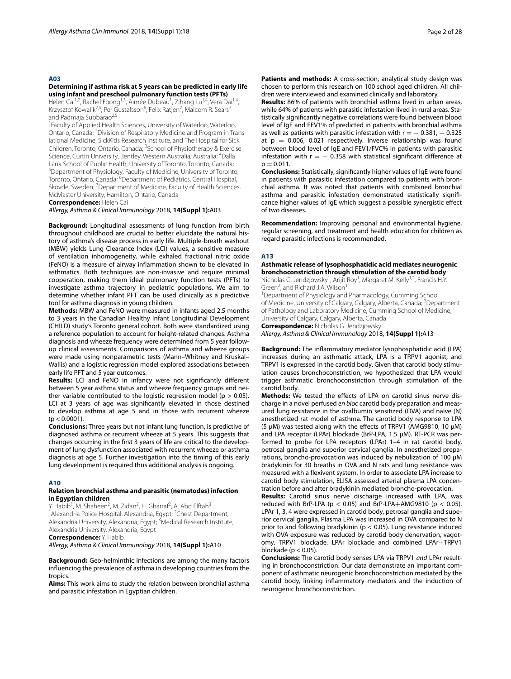#### **A03**

#### **Determining if asthma risk at 5 years can be predicted in early life using infant and preschool pulmonary function tests (PFTs)**

Helen Cai<sup>1,2</sup>, Rachel Foong<sup>1,3</sup>, Aimée Dubeau<sup>1</sup>, Zihang Lu<sup>1,4</sup>, Vera Dai<sup>1,4</sup>, Krzysztof Kowalik<sup>2,5</sup>, Per Gustafsson<sup>6</sup>, Felix Ratjen<sup>2</sup>, Malcom R. Sears<sup>7</sup> and Padmaja Subbarao<sup>2,5</sup>

<sup>1</sup> Faculty of Applied Health Sciences, University of Waterloo, Waterloo, Ontario, Canada; <sup>2</sup>Division of Respiratory Medicine and Program in Translational Medicine, SickKids Research Institute, and The Hospital for Sick Children, Toronto, Ontario, Canada; <sup>3</sup>School of Physiotherapy & Exercise Science, Curtin University, Bentley, Western Australia, Australia; <sup>4</sup>Dalla Lana School of Public Health, University of Toronto, Toronto, Canada; 5 Department of Physiology, Faculty of Medicine, University of Toronto, Toronto, Ontario, Canada; <sup>6</sup>Department of Pediatrics, Central Hospital, Skövde, Sweden; <sup>7</sup>Department of Medicine, Faculty of Health Sciences, McMaster University, Hamilton, Ontario, Canada

**Correspondence:** Helen Cai

*Allergy, Asthma & Clinical Immunology* 2018, **14(Suppl 1):**A03

**Background:** Longitudinal assessments of lung function from birth throughout childhood are crucial to better elucidate the natural history of asthma's disease process in early life. Multiple-breath washout (MBW) yields Lung Clearance Index (LCI) values, a sensitive measure of ventilation inhomogeneity, while exhaled fractional nitric oxide (FeNO) is a measure of airway infammation shown to be elevated in asthmatics. Both techniques are non-invasive and require minimal cooperation, making them ideal pulmonary function tests (PFTs) to investigate asthma trajectory in pediatric populations. We aim to determine whether infant PFT can be used clinically as a predictive tool for asthma diagnosis in young children.

**Methods:** MBW and FeNO were measured in infants aged 2.5 months to 3 years in the Canadian Healthy Infant Longitudinal Development (CHILD) study's Toronto general cohort. Both were standardized using a reference population to account for height-related changes. Asthma diagnosis and wheeze frequency were determined from 5 year followup clinical assessments. Comparisons of asthma and wheeze groups were made using nonparametric tests (Mann–Whitney and Kruskal– Wallis) and a logistic regression model explored associations between early life PFT and 5 year outcomes.

**Results:** LCI and FeNO in infancy were not signifcantly diferent between 5 year asthma status and wheeze frequency groups and neither variable contributed to the logistic regression model ( $p > 0.05$ ). LCI at 3 years of age was significantly elevated in those destined to develop asthma at age 5 and in those with recurrent wheeze  $(p < 0.0001)$ .

**Conclusions:** Three years but not infant lung function, is predictive of diagnosed asthma or recurrent wheeze at 5 years. This suggests that changes occurring in the frst 3 years of life are critical to the development of lung dysfunction associated with recurrent wheeze or asthma diagnosis at age 5. Further investigation into the timing of this early lung development is required thus additional analysis is ongoing.

#### **A10**

# **Relation bronchial asthma and parasitic (nematodes) infection in Egyptian children**

Y. Habib<sup>1</sup>, M. Shaheen<sup>2</sup>, M. Zidan<sup>2</sup>, H. Gharraf<sup>2</sup>, A. Abd Elftah<sup>3</sup> <sup>1</sup> Alexandria Police Hospital, Alexandria, Egypt; <sup>2</sup> Chest Department, Alexandria University, Alexandria, Egypt; <sup>3</sup>Medical Research Institute, Alexandria University, Alexandria, Egypt

**Correspondence:** Y. Habib

*Allergy, Asthma & Clinical Immunology* 2018, **14(Suppl 1):**A10

**Background:** Geo-helminthic infections are among the many factors infuencing the prevalence of asthma in developing countries from the tropics.

**Aims:** This work aims to study the relation between bronchial asthma and parasitic infestation in Egyptian children.

Patients and methods: A cross-section, analytical study design was chosen to perform this research on 100 school aged children. All children were interviewed and examined clinically and laboratory.

**Results:** 86% of patients with bronchial asthma lived in urban areas, while 64% of patients with parasitic infestation lived in rural areas. Statistically signifcantly negative correlations were found between blood level of IgE and FEV1% of predicted in patients with bronchial asthma as well as patients with parasitic infestation with  $r = -0.381, -0.325$ at  $p = 0.006$ , 0.021 respectively. Inverse relationship was found between blood level of IgE and FEV1/FVC% in patients with parasitic infestation with  $r = -0.358$  with statistical significant difference at  $p = 0.011$ .

**Conclusions:** Statistically, signifcantly higher values of IgE were found in patients with parasitic infestation compared to patients with bronchial asthma. It was noted that patients with combined bronchial asthma and parasitic infestation demonstrated statistically signifcance higher values of IgE which suggest a possible synergistic efect of two diseases.

**Recommendation:** Improving personal and environmental hygiene, regular screening, and treatment and health education for children as regard parasitic infections is recommended.

#### **A13**

#### **Asthmatic release of lysophosphatidic acid mediates neurogenic bronchoconstriction through stimulation of the carotid body**

Nicholas G. Jendzjowsky<sup>1</sup>, Arijit Roy<sup>1</sup>, Margaret M. Kelly<sup>1,2</sup>, Francis H.Y. Green<sup>2</sup>, and Richard J.A. Wilson<sup>1</sup>

1 Department of Physiology and Pharmacology, Cumming School of Medicine, University of Calgary, Calgary, Alberta, Canada; <sup>2</sup>Department of Pathology and Laboratory Medicine, Cumming School of Medicine, University of Calgary, Calgary, Alberta, Canada **Correspondence:** Nicholas G. Jendzjowsky

*Allergy, Asthma & Clinical Immunology* 2018, **14(Suppl 1):**A13

**Background:** The infammatory mediator lysophosphatidic acid (LPA) increases during an asthmatic attack, LPA is a TRPV1 agonist, and TRPV1 is expressed in the carotid body. Given that carotid body stimulation causes bronchoconstriction, we hypothesized that LPA would trigger asthmatic bronchoconstriction through stimulation of the carotid body.

Methods: We tested the effects of LPA on carotid sinus nerve discharge in a novel perfused *en bloc* carotid body preparation and measured lung resistance in the ovalbumin sensitized (OVA) and naïve (N) anesthetized rat model of asthma. The carotid body response to LPA (5 µM) was tested along with the efects of TRPV1 (AMG9810, 10 µM) and LPA receptor (LPAr) blockade (BrP-LPA, 1.5 µM). RT-PCR was performed to probe for LPA receptors (LPAr) 1–4 in rat carotid body, petrosal ganglia and superior cervical ganglia. In anesthetized preparations, broncho-provocation was induced by nebulization of 100 µM bradykinin for 30 breaths in OVA and N rats and lung resistance was measured with a fexivent system. In order to associate LPA increase to carotid body stimulation, ELISA assessed arterial plasma LPA concentration before and after bradykinin mediated broncho-provocation.

**Results:** Carotid sinus nerve discharge increased with LPA, was reduced with BrP-LPA ( $p < 0.05$ ) and BrP-LPA+AMG9810 ( $p < 0.05$ ). LPAr 1, 3, 4 were expressed in carotid body, petrosal ganglia and superior cervical ganglia. Plasma LPA was increased in OVA compared to N prior to and following bradykinin (p < 0.05). Lung resistance induced with OVA exposure was reduced by carotid body denervation, vagotomy, TRPV1 blockade, LPAr blockade and combined LPAr+TRPV1 blockade ( $p < 0.05$ ).

**Conclusions:** The carotid body senses LPA via TRPV1 *and* LPAr resulting in bronchoconstriction. Our data demonstrate an important component of asthmatic neurogenic bronchoconstriction mediated by the carotid body, linking infammatory mediators and the induction of neurogenic bronchoconstriction.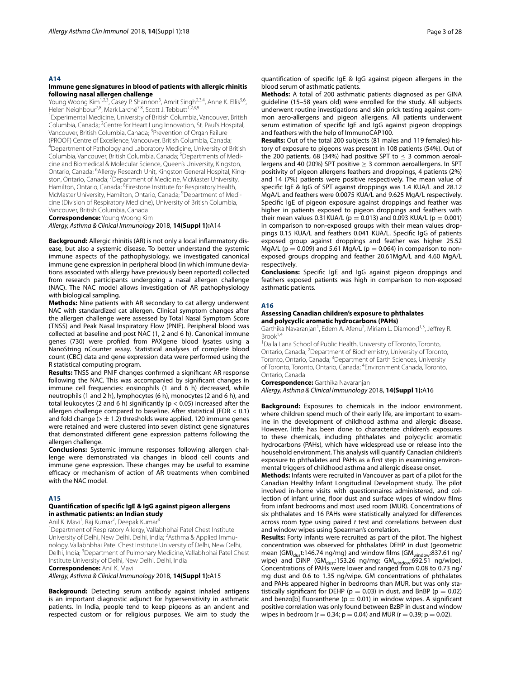#### **A14**

#### **Immune gene signatures in blood of patients with allergic rhinitis following nasal allergen challenge**

Young Woong Kim<sup>1,2,3</sup>, Casey P. Shannon<sup>3</sup>, Amrit Singh<sup>2,3,4</sup>, Anne K. Ellis<sup>5,6</sup>, Helen Neighbour<sup>7,8</sup>, Mark Larché<sup>7,8</sup>, Scott J. Tebbutt<sup>1,2,3,9</sup>

1 Experimental Medicine, University of British Columbia, Vancouver, British Columbia, Canada; <sup>2</sup> Centre for Heart Lung Innovation, St. Paul's Hospital, Vancouver, British Columbia, Canada; <sup>3</sup>Prevention of Organ Failure (PROOF) Centre of Excellence, Vancouver, British Columbia, Canada; 4 <sup>4</sup>Department of Pathology and Laboratory Medicine, University of British Columbia, Vancouver, British Columbia, Canada; <sup>5</sup>Departments of Medicine and Biomedical & Molecular Science, Queen's University, Kingston, Ontario, Canada; <sup>6</sup>Allergy Research Unit, Kingston General Hospital, Kingston, Ontario, Canada; <sup>7</sup>Department of Medicine, McMaster University, Hamilton, Ontario, Canada; <sup>8</sup>Firestone Institute for Respiratory Health, McMaster University, Hamilton, Ontario, Canada; <sup>9</sup>Department of Medicine (Division of Respiratory Medicine), University of British Columbia, Vancouver, British Columbia, Canada

**Correspondence:** Young Woong Kim

*Allergy, Asthma & Clinical Immunology* 2018, **14(Suppl 1):**A14

**Background:** Allergic rhinitis (AR) is not only a local infammatory disease, but also a systemic disease. To better understand the systemic immune aspects of the pathophysiology, we investigated canonical immune gene expression in peripheral blood (in which immune deviations associated with allergy have previously been reported) collected from research participants undergoing a nasal allergen challenge (NAC). The NAC model allows investigation of AR pathophysiology with biological sampling.

**Methods:** Nine patients with AR secondary to cat allergy underwent NAC with standardized cat allergen. Clinical symptom changes after the allergen challenge were assessed by Total Nasal Symptom Score (TNSS) and Peak Nasal Inspiratory Flow (PNIF). Peripheral blood was collected at baseline and post NAC (1, 2 and 6 h). Canonical immune genes (730) were profled from PAXgene blood lysates using a NanoString nCounter assay. Statistical analyses of complete blood count (CBC) data and gene expression data were performed using the R statistical computing program.

**Results:** TNSS and PNIF changes confrmed a signifcant AR response following the NAC. This was accompanied by signifcant changes in immune cell frequencies: eosinophils (1 and 6 h) decreased, while neutrophils (1 and 2 h), lymphocytes (6 h), monocytes (2 and 6 h), and total leukocytes (2 and 6 h) signifcantly (p < 0.05) increased after the allergen challenge compared to baseline. After statistical (FDR < 0.1) and fold change ( $> \pm 1.2$ ) thresholds were applied, 120 immune genes were retained and were clustered into seven distinct gene signatures that demonstrated diferent gene expression patterns following the allergen challenge.

**Conclusions:** Systemic immune responses following allergen challenge were demonstrated via changes in blood cell counts and immune gene expression. These changes may be useful to examine efficacy or mechanism of action of AR treatments when combined with the NAC model.

#### **A15**

#### **Quantifcation of specifc IgE & IgG against pigeon allergens in asthmatic patients: an Indian study**

Anil K. Mavi<sup>1</sup>, Raj Kumar<sup>2</sup>, Deepak Kumar<sup>3</sup>

<sup>1</sup>Department of Respiratory Allergy, Vallabhbhai Patel Chest Institute University of Delhi, New Delhi, Delhi, India; <sup>2</sup>Asthma & Applied Immunology, Vallabhbhai Patel Chest Institute University of Delhi, New Delhi, Delhi, India; <sup>3</sup>Department of Pulmonary Medicine, Vallabhbhai Patel Chest Institute University of Delhi, New Delhi, Delhi, India

**Correspondence:** Anil K. Mavi

*Allergy, Asthma & Clinical Immunology* 2018, **14(Suppl 1):**A15

**Background:** Detecting serum antibody against inhaled antigens is an important diagnostic adjunct for hypersensitivity in asthmatic patients. In India, people tend to keep pigeons as an ancient and respected custom or for religious purposes. We aim to study the quantifcation of specifc IgE & IgG against pigeon allergens in the blood serum of asthmatic patients.

**Methods:** A total of 200 asthmatic patients diagnosed as per GINA guideline (15–58 years old) were enrolled for the study. All subjects underwent routine investigations and skin prick testing against common aero-allergens and pigeon allergens. All patients underwent serum estimation of specifc IgE and IgG against pigeon droppings and feathers with the help of ImmunoCAP100.

**Results:** Out of the total 200 subjects (81 males and 119 females) history of exposure to pigeons was present in 108 patients (54%). Out of the 200 patients, 68 (34%) had positive SPT to  $<$  3 common aeroallergens and 40 (20%) SPT positive  $\geq$  3 common aeroallergens. In SPT positivity of pigeon allergens feathers and droppings, 4 patients (2%) and 14 (7%) patients were positive respectively. The mean value of specifc IgE & IgG of SPT against droppings was 1.4 KUA/L and 28.12 MgA/L and feathers were 0.0075 KUA/L and 9.625 MgA/L respectively. Specifc IgE of pigeon exposure against droppings and feather was higher in patients exposed to pigeon droppings and feathers with their mean values 0.31KUA/L ( $p = 0.013$ ) and 0.093 KUA/L ( $p = 0.001$ ) in comparison to non-exposed groups with their mean values droppings 0.15 KUA/L and feathers 0.041 KUA/L. Specifc IgG of patients exposed group against droppings and feather was higher 25.52 MgA/L ( $p = 0.009$ ) and 5.61 MgA/L ( $p = 0.064$ ) in comparison to nonexposed groups dropping and feather 20.61MgA/L and 4.60 MgA/L respectively.

**Conclusions:** Specifc IgE and IgG against pigeon droppings and feathers exposed patients was high in comparison to non-exposed asthmatic patients.

#### **A16**

# **Assessing Canadian children's exposure to phthalates and polycyclic aromatic hydrocarbons (PAHs)**

Garthika Navaranjan<sup>1</sup>, Edem A. Afenu<sup>2</sup>, Miriam L. Diamond<sup>1,3</sup>, Jeffrey R.  $Brook<sup>1,4</sup>$ 

1 Dalla Lana School of Public Health, University of Toronto, Toronto, Ontario, Canada; 2 Department of Biochemistry, University of Toronto, Toronto, Ontario, Canada; <sup>3</sup>Department of Earth Sciences, University of Toronto, Toronto, Ontario, Canada; <sup>4</sup>Environment Canada, Toronto, Ontario, Canada

**Correspondence:** Garthika Navaranjan

*Allergy, Asthma & Clinical Immunology* 2018, **14(Suppl 1):**A16

**Background:** Exposures to chemicals in the indoor environment, where children spend much of their early life, are important to examine in the development of childhood asthma and allergic disease. However, little has been done to characterize children's exposures to these chemicals, including phthalates and polycyclic aromatic hydrocarbons (PAHs), which have widespread use or release into the household environment. This analysis will quantify Canadian children's exposure to phthalates and PAHs as a frst step in examining environmental triggers of childhood asthma and allergic disease onset.

**Methods:** Infants were recruited in Vancouver as part of a pilot for the Canadian Healthy Infant Longitudinal Development study. The pilot involved in-home visits with questionnaires administered, and collection of infant urine, foor dust and surface wipes of window flms from infant bedrooms and most used room (MUR). Concentrations of six phthalates and 16 PAHs were statistically analyzed for diferences across room type using paired *t* test and correlations between dust and window wipes using Spearman's correlation.

**Results:** Forty infants were recruited as part of the pilot. The highest concentration was observed for phthalates DEHP in dust (geometric mean (GM) $_{\text{du}}$ t:146.74 ng/mg) and window films (GM $_{\text{window}}$ :837.61 ng/ wipe) and  $\overline{D}$ iNP (GM<sub>dust</sub>:153.26 ng/mg; GM<sub>window</sub>:692.51 ng/wipe). Concentrations of PAHs were lower and ranged from 0.08 to 0.73 ng/ mg dust and 0.6 to 1.35 ng/wipe. GM concentrations of phthalates and PAHs appeared higher in bedrooms than MUR, but was only statistically significant for DEHP ( $p = 0.03$ ) in dust, and BnBP ( $p = 0.02$ ) and benzo[b] fluoranthene ( $p = 0.01$ ) in window wipes. A significant positive correlation was only found between BzBP in dust and window wipes in bedroom ( $r = 0.34$ ;  $p = 0.04$ ) and MUR ( $r = 0.39$ ;  $p = 0.02$ ).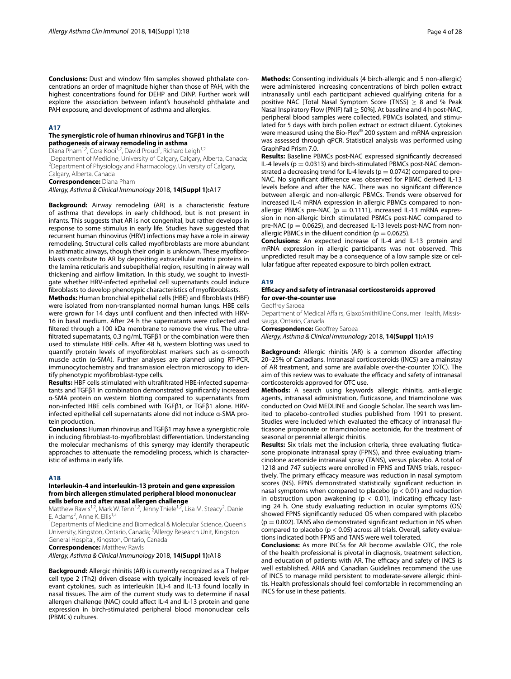**Conclusions:** Dust and window flm samples showed phthalate concentrations an order of magnitude higher than those of PAH, with the highest concentrations found for DEHP and DiNP. Further work will explore the association between infant's household phthalate and PAH exposure, and development of asthma and allergies.

#### **A17**

# **The synergistic role of human rhinovirus and TGFβ1 in the pathogenesis of airway remodeling in asthma**

Diana Pham<sup>1,2</sup>, Cora Kooi<sup>1,2</sup>, David Proud<sup>2</sup>, Richard Leigh<sup>1,2</sup>

<sup>1</sup> Department of Medicine, University of Calgary, Calgary, Alberta, Canada;<br><sup>2</sup> Department of Physiology and Pharmacology, University of Calgary <sup>2</sup>Department of Physiology and Pharmacology, University of Calgary,

Calgary, Alberta, Canada **Correspondence:** Diana Pham

*Allergy, Asthma & Clinical Immunology* 2018, **14(Suppl 1):**A17

**Background:** Airway remodeling (AR) is a characteristic feature of asthma that develops in early childhood, but is not present in infants. This suggests that AR is not congenital, but rather develops in response to some stimulus in early life. Studies have suggested that recurrent human rhinovirus (HRV) infections may have a role in airway remodeling. Structural cells called myofbroblasts are more abundant in asthmatic airways, though their origin is unknown. These myofbroblasts contribute to AR by depositing extracellular matrix proteins in the lamina reticularis and subepithelial region, resulting in airway wall thickening and airfow limitation. In this study, we sought to investigate whether HRV-infected epithelial cell supernatants could induce fbroblasts to develop phenotypic characteristics of myofbroblasts.

**Methods:** Human bronchial epithelial cells (HBE) and fbroblasts (HBF) were isolated from non-transplanted normal human lungs. HBE cells were grown for 14 days until confuent and then infected with HRV-16 in basal medium. After 24 h the supernatants were collected and fltered through a 100 kDa membrane to remove the virus. The ultrafltrated supernatants, 0.3 ng/mL TGFβ1 or the combination were then used to stimulate HBF cells. After 48 h, western blotting was used to quantify protein levels of myofbroblast markers such as α-smooth muscle actin (α-SMA). Further analyses are planned using RT-PCR, immunocytochemistry and transmission electron microscopy to identify phenotypic myofbroblast-type cells.

**Results:** HBF cells stimulated with ultrafltrated HBE-infected supernatants and TGFβ1 in combination demonstrated signifcantly increased α-SMA protein on western blotting compared to supernatants from non-infected HBE cells combined with TGFβ1, or TGFβ1 alone. HRVinfected epithelial cell supernatants alone did not induce α-SMA protein production.

**Conclusions:** Human rhinovirus and TGFβ1 may have a synergistic role in inducing fbroblast-to-myofbroblast diferentiation. Understanding the molecular mechanisms of this synergy may identify therapeutic approaches to attenuate the remodeling process, which is characteristic of asthma in early life.

# **A18**

# **Interleukin‑4 and interleukin‑13 protein and gene expression from birch allergen stimulated peripheral blood mononuclear cells before and after nasal allergen challenge**

Matthew Rawls<sup>1,2</sup>, Mark W. Tenn<sup>1,2</sup>, Jenny Thiele<sup>1,2</sup>, Lisa M. Steacy<sup>2</sup>, Daniel E. Adams<sup>2</sup>, Anne K. Ellis<sup>1,2</sup>

<sup>1</sup>Departments of Medicine and Biomedical & Molecular Science, Queen's University, Kingston, Ontario, Canada; <sup>2</sup>Allergy Research Unit, Kingston

General Hospital, Kingston, Ontario, Canada **Correspondence:** Matthew Rawls

*Allergy, Asthma & Clinical Immunology* 2018, **14(Suppl 1):**A18

**Background:** Allergic rhinitis (AR) is currently recognized as a T helper cell type 2 (Th2) driven disease with typically increased levels of relevant cytokines, such as interleukin (IL)-4 and IL-13 found locally in nasal tissues. The aim of the current study was to determine if nasal allergen challenge (NAC) could afect IL-4 and IL-13 protein and gene expression in birch-stimulated peripheral blood mononuclear cells (PBMCs) cultures.

**Methods:** Consenting individuals (4 birch-allergic and 5 non-allergic) were administered increasing concentrations of birch pollen extract intranasally until each participant achieved qualifying criteria for a positive NAC [Total Nasal Symptom Score (TNSS) ≥ 8 and % Peak Nasal Inspiratory Flow (PNIF) fall  $\geq$  50%]. At baseline and 4 h post-NAC, peripheral blood samples were collected, PBMCs isolated, and stimulated for 5 days with birch pollen extract or extract diluent. Cytokines were measured using the Bio-Plex® 200 system and mRNA expression was assessed through qPCR. Statistical analysis was performed using GraphPad Prism 7.0.

**Results:** Baseline PBMCs post-NAC expressed signifcantly decreased IL-4 levels ( $p = 0.0313$ ) and birch-stimulated PBMCs post-NAC demonstrated a decreasing trend for IL-4 levels ( $p = 0.0742$ ) compared to pre-NAC. No signifcant diference was observed for PBMC derived IL-13 levels before and after the NAC. There was no signifcant diference between allergic and non-allergic PBMCs. Trends were observed for increased IL-4 mRNA expression in allergic PBMCs compared to nonallergic PBMCs pre-NAC ( $p = 0.1111$ ), increased IL-13 mRNA expression in non-allergic birch stimulated PBMCs post-NAC compared to pre-NAC ( $p = 0.0625$ ), and decreased IL-13 levels post-NAC from nonallergic PBMCs in the diluent condition ( $p = 0.0625$ ).

**Conclusions:** An expected increase of IL-4 and IL-13 protein and mRNA expression in allergic participants was not observed. This unpredicted result may be a consequence of a low sample size or cellular fatigue after repeated exposure to birch pollen extract.

#### **A19**

#### **Efcacy and safety of intranasal corticosteroids approved for over‑the‑counter use**

Geofrey Saroea

Department of Medical Afairs, GlaxoSmithKline Consumer Health, Missis‑ sauga, Ontario, Canada

**Correspondence:** Geoffrey Saroea

*Allergy, Asthma & Clinical Immunology* 2018, **14(Suppl 1):**A19

**Background:** Allergic rhinitis (AR) is a common disorder afecting 20–25% of Canadians. Intranasal corticosteroids (INCS) are a mainstay of AR treatment, and some are available over-the-counter (OTC). The aim of this review was to evaluate the efficacy and safety of intranasal corticosteroids approved for OTC use.

**Methods:** A search using keywords allergic rhinitis, anti-allergic agents, intranasal administration, futicasone, and triamcinolone was conducted on Ovid MEDLINE and Google Scholar. The search was limited to placebo-controlled studies published from 1991 to present. Studies were included which evaluated the efficacy of intranasal fluticasone propionate or triamcinolone acetonide, for the treatment of seasonal or perennial allergic rhinitis.

**Results:** Six trials met the inclusion criteria, three evaluating futicasone propionate intranasal spray (FPNS), and three evaluating triamcinolone acetonide intranasal spray (TANS), versus placebo. A total of 1218 and 747 subjects were enrolled in FPNS and TANS trials, respectively. The primary efficacy measure was reduction in nasal symptom scores (NS). FPNS demonstrated statistically signifcant reduction in nasal symptoms when compared to placebo ( $p < 0.01$ ) and reduction in obstruction upon awakening ( $p < 0.01$ ), indicating efficacy lasting 24 h. One study evaluating reduction in ocular symptoms (OS) showed FPNS signifcantly reduced OS when compared with placebo  $(p = 0.002)$ . TANS also demonstrated significant reduction in NS when compared to placebo (p < 0.05) across all trials. Overall, safety evaluations indicated both FPNS and TANS were well tolerated.

**Conclusions:** As more INCSs for AR become available OTC, the role of the health professional is pivotal in diagnosis, treatment selection, and education of patients with AR. The efficacy and safety of INCS is well established. ARIA and Canadian Guidelines recommend the use of INCS to manage mild persistent to moderate-severe allergic rhinitis. Health professionals should feel comfortable in recommending an INCS for use in these patients.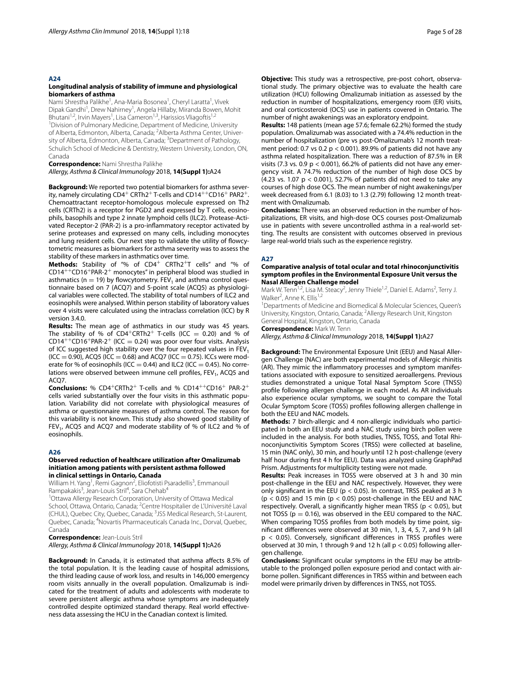#### **A24**

#### **Longitudinal analysis of stability of immune and physiological biomarkers of asthma**

Nami Shrestha Palikhe<sup>1</sup>, Ana-Maria Bosonea<sup>1</sup>, Cheryl Laratta<sup>1</sup>, Vivek Dipak Gandhi<sup>1</sup>, Drew Nahirney<sup>1</sup>, Angela Hillaby, Miranda Bowen, Mohit Bhutani<sup>1,2</sup>, Irvin Mayers<sup>1</sup>, Lisa Cameron<sup>1,3</sup>, Harissios Vliagoftis<sup>1,2</sup> <sup>1</sup> Division of Pulmonary Medicine, Department of Medicine, University of Alberta, Edmonton, Alberta, Canada; <sup>2</sup>Alberta Asthma Center, University of Alberta, Edmonton, Alberta, Canada; <sup>3</sup>Department of Pathology, Schulich School of Medicine & Dentistry, Western University, London, ON, Canada

**Correspondence:** Nami Shrestha Palikhe

*Allergy, Asthma & Clinical Immunology* 2018, **14(Suppl 1):**A24

**Background:** We reported two potential biomarkers for asthma severity, namely circulating  $CD4^+$  CRTh2<sup>+</sup> T-cells and  $CD14^{++}CD16^+$  PAR2<sup>+</sup>. Chemoattractant receptor-homologous molecule expressed on Th2 cells (CRTh2) is a receptor for PGD2 and expressed by T cells, eosinophils, basophils and type 2 innate lymphoid cells (ILC2). Protease-Activated Receptor-2 (PAR-2) is a pro-infammatory receptor activated by serine proteases and expressed on many cells, including monocytes and lung resident cells. Our next step to validate the utility of fowcytometric measures as biomarkers for asthma severity was to assess the stability of these markers in asthmatics over time.

**Methods:** Stability of "% of CD4<sup>+</sup> CRTh2+T cells" and "% of CD14++CD16+PAR-2+ monocytes" in peripheral blood was studied in asthmatics ( $n = 19$ ) by flowcytometry. FEV<sub>1</sub> and asthma control questionnaire based on 7 (ACQ7) and 5-point scale (ACQ5) as physiological variables were collected. The stability of total numbers of ILC2 and eosinophils were analysed. Within person stability of laboratory values over 4 visits were calculated using the intraclass correlation (ICC) by R version 3.4.0.

**Results:** The mean age of asthmatics in our study was 45 years. The stability of % of  $CD4+CRTh2$ <sup>+</sup> T-cells (ICC = 0.20) and % of  $CD14^{++}CD16^{+}PAR-2^{+}$  (ICC = 0.24) was poor over four visits. Analysis of ICC suggested high stability over the four repeated values in  $FEV<sub>1</sub>$  $(ICC = 0.90)$ , ACQ5  $(ICC = 0.68)$  and ACQ7  $(ICC = 0.75)$ . ICCs were moderate for % of eosinophils (ICC = 0.44) and ILC2 (ICC = 0.45). No correlations were observed between immune cell profiles,  $FEV<sub>1</sub>$ , ACQ5 and ACQ7.

**Conclusions:** % CD4+CRTh2+ T-cells and % CD14++CD16+ PAR-2<sup>+</sup> cells varied substantially over the four visits in this asthmatic population. Variability did not correlate with physiological measures of asthma or questionnaire measures of asthma control. The reason for this variability is not known. This study also showed good stability of FEV<sub>1</sub>, ACQ5 and ACQ7 and moderate stability of % of ILC2 and % of eosinophils.

#### **A26**

#### **Observed reduction of healthcare utilization after Omalizumab initiation among patients with persistent asthma followed in clinical settings in Ontario, Canada**

William H. Yang<sup>1</sup>, Remi Gagnon<sup>2</sup>, Eliofotisti Psaradellis<sup>3</sup>, Emmanouil Rampakakis<sup>3</sup>, Jean-Louis Stril<sup>4</sup>, Sara Chehab<sup>4</sup>

<sup>1</sup>Ottawa Allergy Research Corporation, University of Ottawa Medical

School, Ottawa, Ontario, Canada; <sup>2</sup>Centre Hospitalier de L'Université Laval (CHUL), Quebec City, Quebec, Canada; <sup>3</sup>JSS Medical Research, St-Laurent, Quebec, Canada; <sup>4</sup>Novartis Pharmaceuticals Canada Inc., Dorval, Quebec, Canada

**Correspondence:** Jean‑Louis Stril

*Allergy, Asthma & Clinical Immunology* 2018, **14(Suppl 1):**A26

**Background:** In Canada, it is estimated that asthma afects 8.5% of the total population. It is the leading cause of hospital admissions, the third leading cause of work loss, and results in 146,000 emergency room visits annually in the overall population. Omalizumab is indicated for the treatment of adults and adolescents with moderate to severe persistent allergic asthma whose symptoms are inadequately controlled despite optimized standard therapy. Real world efectiveness data assessing the HCU in the Canadian context is limited.

**Objective:** This study was a retrospective, pre-post cohort, observational study. The primary objective was to evaluate the health care utilization (HCU) following Omalizumab initiation as assessed by the reduction in number of hospitalizations, emergency room (ER) visits, and oral corticosteroid (OCS) use in patients covered in Ontario. The number of night awakenings was an exploratory endpoint.

**Results:** 148 patients (mean age 57.6; female 62.2%) formed the study population. Omalizumab was associated with a 74.4% reduction in the number of hospitalization (pre vs post-Omalizumab's 12 month treatment period: 0.7 vs 0.2  $p < 0.001$ ). 89.9% of patients did not have any asthma related hospitalization. There was a reduction of 87.5% in ER visits (7.3 vs. 0.9  $p < 0.001$ ), 66.2% of patients did not have any emergency visit. A 74.7% reduction of the number of high dose OCS by (4.23 vs. 1.07  $p < 0.001$ ), 52.7% of patients did not need to take any courses of high dose OCS. The mean number of night awakenings/per week decreased from 6.1 (8.03) to 1.3 (2.79) following 12 month treatment with Omalizumab.

**Conclusions:** There was an observed reduction in the number of hospitalizations, ER visits, and high-dose OCS courses post-Omalizumab use in patients with severe uncontrolled asthma in a real-world setting. The results are consistent with outcomes observed in previous large real-world trials such as the experience registry.

#### **A27**

#### **Comparative analysis of total ocular and total rhinoconjunctivitis symptom profles in the Environmental Exposure Unit versus the Nasal Allergen Challenge model**

Mark W. Tenn<sup>1,2</sup>, Lisa M. Steacy<sup>2</sup>, Jenny Thiele<sup>1,2</sup>, Daniel E. Adams<sup>2</sup>, Terry J. Walker<sup>2</sup>, Anne K. Ellis<sup>1,2</sup>

<sup>1</sup>Departments of Medicine and Biomedical & Molecular Sciences, Queen's University, Kingston, Ontario, Canada; <sup>2</sup>Allergy Research Unit, Kingston General Hospital, Kingston, Ontario, Canada

**Correspondence:** Mark W. Tenn

*Allergy, Asthma & Clinical Immunology* 2018, **14(Suppl 1):**A27

**Background:** The Environmental Exposure Unit (EEU) and Nasal Allergen Challenge (NAC) are both experimental models of Allergic rhinitis (AR). They mimic the infammatory processes and symptom manifestations associated with exposure to sensitized aeroallergens. Previous studies demonstrated a unique Total Nasal Symptom Score (TNSS) profle following allergen challenge in each model. As AR individuals also experience ocular symptoms, we sought to compare the Total Ocular Symptom Score (TOSS) profles following allergen challenge in both the EEU and NAC models.

**Methods:** 7 birch-allergic and 4 non-allergic individuals who participated in both an EEU study and a NAC study using birch pollen were included in the analysis. For both studies, TNSS, TOSS, and Total Rhinoconjunctivitis Symptom Scores (TRSS) were collected at baseline, 15 min (NAC only), 30 min, and hourly until 12 h post-challenge (every half hour during frst 4 h for EEU). Data was analyzed using GraphPad Prism. Adjustments for multiplicity testing were not made.

**Results:** Peak increases in TOSS were observed at 3 h and 30 min post-challenge in the EEU and NAC respectively. However, they were only signifcant in the EEU (p < 0.05). In contrast, TRSS peaked at 3 h  $(p < 0.05)$  and 15 min  $(p < 0.05)$  post-challenge in the EEU and NAC respectively. Overall, a significantly higher mean TRSS ( $p < 0.05$ ), but not TOSS ( $p = 0.16$ ), was observed in the EEU compared to the NAC. When comparing TOSS profles from both models by time point, signifcant diferences were observed at 30 min, 1, 3, 4, 5, 7, and 9 h (all p < 0.05). Conversely, signifcant diferences in TRSS profles were observed at 30 min, 1 through 9 and 12 h (all  $p < 0.05$ ) following allergen challenge.

**Conclusions:** Signifcant ocular symptoms in the EEU may be attributable to the prolonged pollen exposure period and contact with airborne pollen. Signifcant diferences in TRSS within and between each model were primarily driven by diferences in TNSS, not TOSS.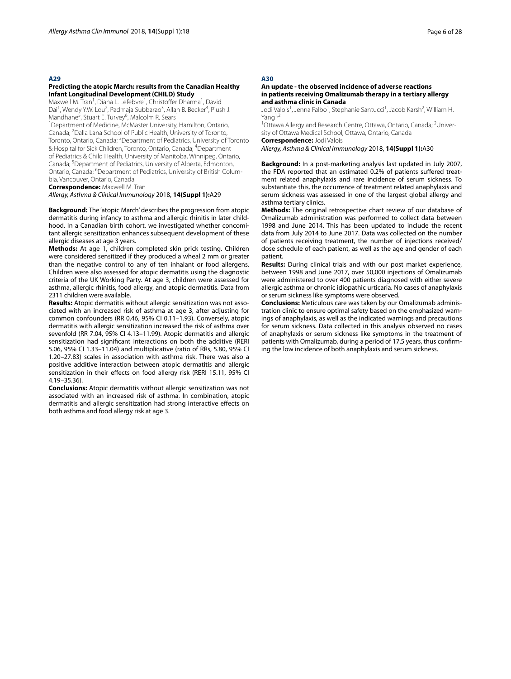#### **A29**

# **Predicting the atopic March: results from the Canadian Healthy Infant Longitudinal Development (CHILD) Study**

Maxwell M. Tran<sup>1</sup>, Diana L. Lefebvre<sup>1</sup>, Christoffer Dharma<sup>1</sup>, David Dai<sup>1</sup>, Wendy Y.W. Lou<sup>2</sup>, Padmaja Subbarao<sup>3</sup>, Allan B. Becker<sup>4</sup>, Piush J. Mandhane<sup>5</sup>, Stuart E. Turvey<sup>6</sup>, Malcolm R. Sears<sup>1</sup>

<sup>1</sup>Department of Medicine, McMaster University, Hamilton, Ontario, Canada; <sup>2</sup>Dalla Lana School of Public Health, University of Toronto, Toronto, Ontario, Canada; <sup>3</sup>Department of Pediatrics, University of Toronto & Hospital for Sick Children, Toronto, Ontario, Canada; <sup>4</sup>Department of Pediatrics & Child Health, University of Manitoba, Winnipeg, Ontario, Canada; <sup>5</sup>Department of Pediatrics, University of Alberta, Edmonton, Ontario, Canada; <sup>6</sup>Department of Pediatrics, University of British Columbia, Vancouver, Ontario, Canada

**Correspondence:** Maxwell M. Tran

# *Allergy, Asthma & Clinical Immunology* 2018, **14(Suppl 1):**A29

**Background:** The 'atopic March' describes the progression from atopic dermatitis during infancy to asthma and allergic rhinitis in later childhood. In a Canadian birth cohort, we investigated whether concomitant allergic sensitization enhances subsequent development of these allergic diseases at age 3 years.

**Methods:** At age 1, children completed skin prick testing. Children were considered sensitized if they produced a wheal 2 mm or greater than the negative control to any of ten inhalant or food allergens. Children were also assessed for atopic dermatitis using the diagnostic criteria of the UK Working Party. At age 3, children were assessed for asthma, allergic rhinitis, food allergy, and atopic dermatitis. Data from 2311 children were available.

**Results:** Atopic dermatitis without allergic sensitization was not associated with an increased risk of asthma at age 3, after adjusting for common confounders (RR 0.46, 95% CI 0.11–1.93). Conversely, atopic dermatitis with allergic sensitization increased the risk of asthma over sevenfold (RR 7.04, 95% CI 4.13–11.99). Atopic dermatitis and allergic sensitization had signifcant interactions on both the additive (RERI 5.06, 95% CI 1.33–11.04) and multiplicative (ratio of RRs, 5.80, 95% CI 1.20–27.83) scales in association with asthma risk. There was also a positive additive interaction between atopic dermatitis and allergic sensitization in their effects on food allergy risk (RERI 15.11, 95% CI 4.19–35.36).

**Conclusions:** Atopic dermatitis without allergic sensitization was not associated with an increased risk of asthma. In combination, atopic dermatitis and allergic sensitization had strong interactive efects on both asthma and food allergy risk at age 3.

#### **A30**

# **An update ‑ the observed incidence of adverse reactions in patients receiving Omalizumab therapy in a tertiary allergy and asthma clinic in Canada**

Jodi Valois<sup>1</sup>, Jenna Falbo<sup>1</sup>, Stephanie Santucci<sup>1</sup>, Jacob Karsh<sup>2</sup>, William H. Yang<sup>1,2</sup>

<sup>1</sup>Ottawa Allergy and Research Centre, Ottawa, Ontario, Canada; <sup>2</sup>University of Ottawa Medical School, Ottawa, Ontario, Canada

**Correspondence:** Jodi Valois

*Allergy, Asthma & Clinical Immunology* 2018, **14(Suppl 1):**A30

**Background:** In a post-marketing analysis last updated in July 2007, the FDA reported that an estimated 0.2% of patients sufered treatment related anaphylaxis and rare incidence of serum sickness. To substantiate this, the occurrence of treatment related anaphylaxis and serum sickness was assessed in one of the largest global allergy and asthma tertiary clinics.

**Methods:** The original retrospective chart review of our database of Omalizumab administration was performed to collect data between 1998 and June 2014. This has been updated to include the recent data from July 2014 to June 2017. Data was collected on the number of patients receiving treatment, the number of injections received/ dose schedule of each patient, as well as the age and gender of each patient.

**Results:** During clinical trials and with our post market experience, between 1998 and June 2017, over 50,000 injections of Omalizumab were administered to over 400 patients diagnosed with either severe allergic asthma or chronic idiopathic urticaria. No cases of anaphylaxis or serum sickness like symptoms were observed.

**Conclusions:** Meticulous care was taken by our Omalizumab administration clinic to ensure optimal safety based on the emphasized warnings of anaphylaxis, as well as the indicated warnings and precautions for serum sickness. Data collected in this analysis observed no cases of anaphylaxis or serum sickness like symptoms in the treatment of patients with Omalizumab, during a period of 17.5 years, thus confrming the low incidence of both anaphylaxis and serum sickness.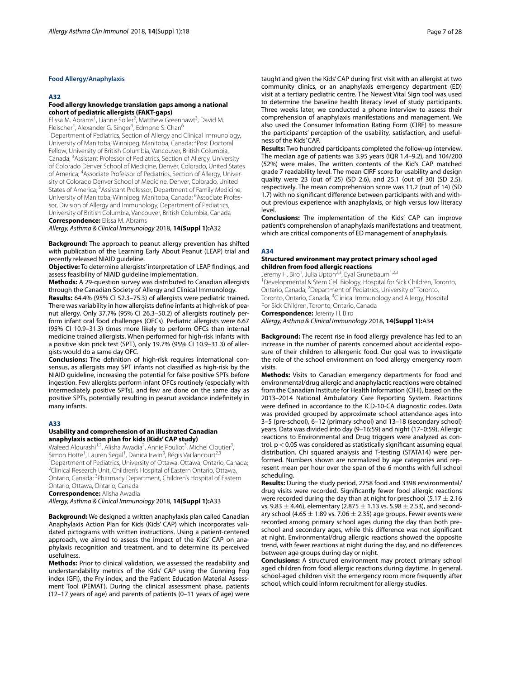# **Food Allergy/Anaphylaxis**

#### **A32**

# **Food allergy knowledge translation gaps among a national cohort of pediatric allergists (FAKT‑gaps)**

Elissa M. Abrams<sup>1</sup>, Lianne Soller<sup>2</sup>, Matthew Greenhawt<sup>3</sup>, David M. Fleischer<sup>4</sup>, Alexander G. Singer<sup>5</sup>, Edmond S. Chan<sup>6</sup> <sup>1</sup>Department of Pediatrics, Section of Allergy and Clinical Immunology, University of Manitoba, Winnipeg, Manitoba, Canada; <sup>2</sup>Post Doctoral Fellow, University of British Columbia, Vancouver, British Columbia, Canada; <sup>3</sup>Assistant Professor of Pediatrics, Section of Allergy, University of Colorado Denver School of Medicine, Denver, Colorado, United States of America; <sup>4</sup>Associate Professor of Pediatrics, Section of Allergy, University of Colorado Denver School of Medicine, Denver, Colorado, United States of America; <sup>5</sup>Assistant Professor, Department of Family Medicine, University of Manitoba, Winnipeg, Manitoba, Canada; <sup>6</sup>Associate Professor, Division of Allergy and Immunology, Department of Pediatrics, University of British Columbia, Vancouver, British Columbia, Canada

**Correspondence:** Elissa M. Abrams

*Allergy, Asthma & Clinical Immunology* 2018, **14(Suppl 1):**A32

**Background:** The approach to peanut allergy prevention has shifted with publication of the Learning Early About Peanut (LEAP) trial and recently released NIAID guideline.

**Objective:** To determine allergists' interpretation of LEAP fndings, and assess feasibility of NIAID guideline implementation.

**Methods:** A 29-question survey was distributed to Canadian allergists through the Canadian Society of Allergy and Clinical Immunology.

**Results:** 64.4% (95% CI 52.3–75.3) of allergists were pediatric trained. There was variability in how allergists defne infants at high-risk of peanut allergy. Only 37.7% (95% CI 26.3–50.2) of allergists routinely perform infant oral food challenges (OFCs). Pediatric allergists were 6.67 (95% CI 10.9–31.3) times more likely to perform OFCs than internal medicine trained allergists. When performed for high-risk infants with a positive skin prick test (SPT), only 19.7% (95% CI 10.9–31.3) of allergists would do a same day OFC.

**Conclusions:** The defnition of high-risk requires international consensus, as allergists may SPT infants not classifed as high-risk by the NIAID guideline, increasing the potential for false positive SPTs before ingestion. Few allergists perform infant OFCs routinely (especially with intermediately positive SPTs), and few are done on the same day as positive SPTs, potentially resulting in peanut avoidance indefnitely in many infants.

# **A33**

#### **Usability and comprehension of an illustrated Canadian anaphylaxis action plan for kids (Kids' CAP study)**

Waleed Alqurashi<sup>1,2</sup>, Alisha Awadia<sup>2</sup>, Annie Pouliot<sup>3</sup>, Michel Cloutier<sup>3</sup>, Simon Hotte<sup>1</sup>, Lauren Segal<sup>1</sup>, Danica Irwin<sup>3</sup>, Régis Vaillancourt<sup>2,3</sup> <sup>1</sup> Department of Pediatrics, University of Ottawa, Ottawa, Ontario, Canada;<br><sup>2</sup>Clinical Besearch Unit, Children's Hospital of Eastern Ontario, Ottawa <sup>2</sup>Clinical Research Unit, Children's Hospital of Eastern Ontario, Ottawa, Ontario, Canada; <sup>3</sup>Pharmacy Department, Children's Hospital of Eastern Ontario, Ottawa, Ontario, Canada

**Correspondence:** Alisha Awadia

*Allergy, Asthma & Clinical Immunology* 2018, **14(Suppl 1):**A33

**Background:** We designed a written anaphylaxis plan called Canadian Anaphylaxis Action Plan for Kids (Kids' CAP) which incorporates validated pictograms with written instructions. Using a patient-centered approach, we aimed to assess the impact of the Kids' CAP on anaphylaxis recognition and treatment, and to determine its perceived usefulness.

**Methods:** Prior to clinical validation, we assessed the readability and understandability metrics of the Kids' CAP using the Gunning Fog index (GFI), the Fry index, and the Patient Education Material Assessment Tool (PEMAT). During the clinical assessment phase, patients (12–17 years of age) and parents of patients (0–11 years of age) were taught and given the Kids' CAP during frst visit with an allergist at two community clinics, or an anaphylaxis emergency department (ED) visit at a tertiary pediatric centre. The Newest Vital Sign tool was used to determine the baseline health literacy level of study participants. Three weeks later, we conducted a phone interview to assess their comprehension of anaphylaxis manifestations and management. We also used the Consumer Information Rating Form (CIRF) to measure the participants' perception of the usability, satisfaction, and usefulness of the Kids' CAP.

**Results:** Two hundred participants completed the follow-up interview. The median age of patients was 3.95 years (IQR 1.4–9.2), and 104/200 (52%) were males. The written contents of the Kid's CAP matched grade 7 readability level. The mean CIRF score for usability and design quality were 23 (out of 25) (SD 2.6), and 25.1 (out of 30) (SD 2.5), respectively. The mean comprehension score was 11.2 (out of 14) (SD 1.7) with no signifcant diference between participants with and without previous experience with anaphylaxis, or high versus low literacy level.

**Conclusions:** The implementation of the Kids' CAP can improve patient's comprehension of anaphylaxis manifestations and treatment, which are critical components of ED management of anaphylaxis.

# **A34**

#### **Structured environment may protect primary school aged children from food allergic reactions**

Jeremy H. Biro<sup>1</sup>, Julia Upton<sup>2,3</sup>, Eyal Grunebaum<sup>1,2,3</sup>

<sup>1</sup> Developmental & Stem Cell Biology, Hospital for Sick Children, Toronto, Ontario, Canada; <sup>2</sup> Department of Pediatrics, University of Toronto, Toronto, Ontario, Canada; <sup>3</sup>Clinical Immunology and Allergy, Hospital For Sick Children, Toronto, Ontario, Canada

**Correspondence:** Jeremy H. Biro

*Allergy, Asthma & Clinical Immunology* 2018, **14(Suppl 1):**A34

**Background:** The recent rise in food allergy prevalence has led to an increase in the number of parents concerned about accidental exposure of their children to allergenic food. Our goal was to investigate the role of the school environment on food allergy emergency room visits.

**Methods:** Visits to Canadian emergency departments for food and environmental/drug allergic and anaphylactic reactions were obtained from the Canadian Institute for Health Information (CIHI), based on the 2013–2014 National Ambulatory Care Reporting System. Reactions were defned in accordance to the ICD-10-CA diagnostic codes. Data was provided grouped by approximate school attendance ages into 3–5 (pre-school), 6–12 (primary school) and 13–18 (secondary school) years. Data was divided into day (9–16:59) and night (17–0:59). Allergic reactions to Environmental and Drug triggers were analyzed as control. p < 0.05 was considered as statistically signifcant assuming equal distribution. Chi squared analysis and T-testing (STATA14) were performed. Numbers shown are normalized by age categories and represent mean per hour over the span of the 6 months with full school scheduling.

**Results:** During the study period, 2758 food and 3398 environmental/ drug visits were recorded. Signifcantly fewer food allergic reactions were recorded during the day than at night for preschool (5.17  $\pm$  2.16 vs. 9.83  $\pm$  4.46), elementary (2.875  $\pm$  1.13 vs. 5.98  $\pm$  2.53), and secondary school (4.65  $\pm$  1.89 vs. 7.06  $\pm$  2.35) age groups. Fewer events were recorded among primary school ages during the day than both preschool and secondary ages, while this diference was not signifcant at night. Environmental/drug allergic reactions showed the opposite trend, with fewer reactions at night during the day, and no diferences between age groups during day or night.

**Conclusions:** A structured environment may protect primary school aged children from food allergic reactions during daytime. In general, school-aged children visit the emergency room more frequently after school, which could inform recruitment for allergy studies.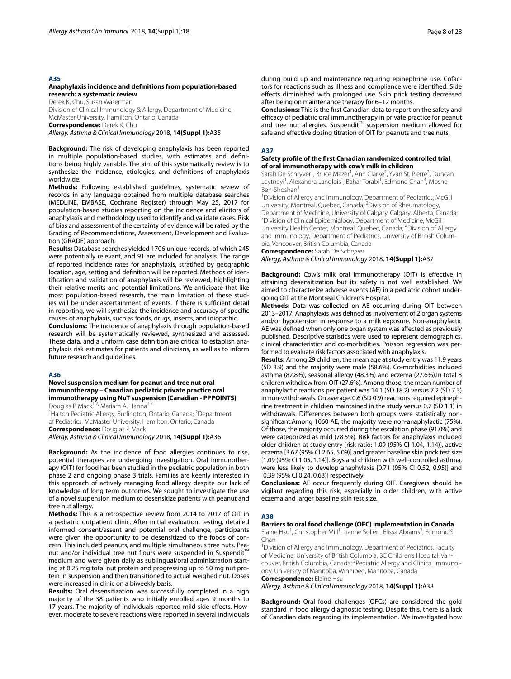#### **A35**

#### **Anaphylaxis incidence and defnitions from population‑based research: a systematic review**

Derek K. Chu, Susan Waserman Division of Clinical Immunology & Allergy, Department of Medicine, McMaster University, Hamilton, Ontario, Canada

**Correspondence:** Derek K. Chu

*Allergy, Asthma & Clinical Immunology* 2018, **14(Suppl 1):**A35

**Background:** The risk of developing anaphylaxis has been reported in multiple population-based studies, with estimates and defnitions being highly variable. The aim of this systematically review is to synthesize the incidence, etiologies, and defnitions of anaphylaxis worldwide.

**Methods:** Following established guidelines, systematic review of records in any language obtained from multiple database searches (MEDLINE, EMBASE, Cochrane Register) through May 25, 2017 for population-based studies reporting on the incidence and elicitors of anaphylaxis and methodology used to identify and validate cases. Risk of bias and assessment of the certainty of evidence will be rated by the Grading of Recommendations, Assessment, Development and Evaluation (GRADE) approach.

**Results:** Database searches yielded 1706 unique records, of which 245 were potentially relevant, and 91 are included for analysis. The range of reported incidence rates for anaphylaxis, stratifed by geographic location, age, setting and defnition will be reported. Methods of identifcation and validation of anaphylaxis will be reviewed, highlighting their relative merits and potential limitations. We anticipate that like most population-based research, the main limitation of these studies will be under ascertainment of events. If there is sufficient detail in reporting, we will synthesize the incidence and accuracy of specifc causes of anaphylaxis, such as foods, drugs, insects, and idiopathic.

**Conclusions:** The incidence of anaphylaxis through population-based research will be systematically reviewed, synthesized and assessed. These data, and a uniform case defnition are critical to establish anaphylaxis risk estimates for patients and clinicians, as well as to inform future research and guidelines.

#### **A36**

#### **Novel suspension medium for peanut and tree nut oral immunotherapy – Canadian pediatric private practice oral immunotherapy using NuT suspension (Canadian ‑ PPPOINTS)** Douglas P. Mack<sup>1,2,</sup> Mariam A. Hanna<sup>1,2</sup>

<sup>1</sup> Halton Pediatric Allergy, Burlington, Ontario, Canada; <sup>2</sup>Department of Pediatrics, McMaster University, Hamilton, Ontario, Canada

**Correspondence:** Douglas P. Mack

*Allergy, Asthma & Clinical Immunology* 2018, **14(Suppl 1):**A36

**Background:** As the incidence of food allergies continues to rise, potential therapies are undergoing investigation. Oral immunotherapy (OIT) for food has been studied in the pediatric population in both phase 2 and ongoing phase 3 trials. Families are keenly interested in this approach of actively managing food allergy despite our lack of knowledge of long term outcomes. We sought to investigate the use of a novel suspension medium to desensitize patients with peanut and tree nut allergy.

**Methods:** This is a retrospective review from 2014 to 2017 of OIT in a pediatric outpatient clinic. After initial evaluation, testing, detailed informed consent/assent and potential oral challenge, participants were given the opportunity to be desensitized to the foods of concern. This included peanuts, and multiple simultaneous tree nuts. Peanut and/or individual tree nut flours were suspended in Suspendit<sup>™</sup> medium and were given daily as sublingual/oral administration starting at 0.25 mg total nut protein and progressing up to 50 mg nut protein in suspension and then transitioned to actual weighed nut. Doses were increased in clinic on a biweekly basis.

**Results:** Oral desensitization was successfully completed in a high majority of the 38 patients who initially enrolled ages 9 months to 17 years. The majority of individuals reported mild side efects. However, moderate to severe reactions were reported in several individuals during build up and maintenance requiring epinephrine use. Cofactors for reactions such as illness and compliance were identifed. Side efects diminished with prolonged use. Skin prick testing decreased after being on maintenance therapy for 6–12 months.

**Conclusions:** This is the frst Canadian data to report on the safety and efficacy of pediatric oral immunotherapy in private practice for peanut and tree nut allergies. Suspendit™ suspension medium allowed for safe and efective dosing titration of OIT for peanuts and tree nuts.

#### **A37**

# **Safety profle of the frst Canadian randomized controlled trial of oral immunotherapy with cow's milk in children**

Sarah De Schryver<sup>1</sup>, Bruce Mazer<sup>1</sup>, Ann Clarke<sup>2</sup>, Yvan St. Pierre<sup>3</sup>, Duncan Leytneyi<sup>1</sup>, Alexandra Langlois<sup>1</sup>, Bahar Torabi<sup>1</sup>, Edmond Chan<sup>4</sup>, Moshe Ben-Shoshan<sup>1</sup>

<sup>1</sup> Division of Allergy and Immunology, Department of Pediatrics, McGill University, Montreal, Quebec, Canada; <sup>2</sup> Division of Rheumatology, Department of Medicine, University of Calgary, Calgary, Alberta, Canada; 3 <sup>3</sup>Division of Clinical Epidemiology, Department of Medicine, McGill University Health Center, Montreal, Quebec, Canada; <sup>4</sup>Division of Allergy and Immunology, Department of Pediatrics, University of British Columbia, Vancouver, British Columbia, Canada

# **Correspondence:** Sarah De Schryver *Allergy, Asthma & Clinical Immunology* 2018, **14(Suppl 1):**A37

**Background:** Cow's milk oral immunotherapy (OIT) is efective in attaining desensitization but its safety is not well established. We aimed to characterize adverse events (AE) in a pediatric cohort undergoing OIT at the Montreal Children's Hospital.

**Methods:** Data was collected on AE occurring during OIT between 2013–2017. Anaphylaxis was defned as involvement of 2 organ systems and/or hypotension in response to a milk exposure. Non-anaphylactic AE was defned when only one organ system was afected as previously published. Descriptive statistics were used to represent demographics, clinical characteristics and co-morbidities. Poisson regression was performed to evaluate risk factors associated with anaphylaxis.

**Results:** Among 29 children, the mean age at study entry was 11.9 years (SD 3.9) and the majority were male (58.6%). Co-morbidities included asthma (82.8%), seasonal allergy (48.3%) and eczema (27.6%).In total 8 children withdrew from OIT (27.6%). Among those, the mean number of anaphylactic reactions per patient was 14.1 (SD 18.2) versus 7.2 (SD 7.3) in non-withdrawals. On average, 0.6 (SD 0.9) reactions required epinephrine treatment in children maintained in the study versus 0.7 (SD 1.1) in withdrawals. Diferences between both groups were statistically nonsignifcant.Among 1060 AE, the majority were non-anaphylactic (75%). Of those, the majority occurred during the escalation phase (91.0%) and were categorized as mild (78.5%). Risk factors for anaphylaxis included older children at study entry [risk ratio: 1.09 (95% CI 1.04, 1.14)], active eczema [3.67 (95% CI 2.65, 5.09)] and greater baseline skin prick test size [1.09 (95% CI 1.05, 1.14)]. Boys and children with well-controlled asthma, were less likely to develop anaphylaxis [0.71 (95% CI 0.52, 0.95)] and [0.39 (95% CI 0.24, 0.63)] respectively.

**Conclusions:** AE occur frequently during OIT. Caregivers should be vigilant regarding this risk, especially in older children, with active eczema and larger baseline skin test size.

#### **A38**

#### **Barriers to oral food challenge (OFC) implementation in Canada** Elaine Hsu<sup>1</sup>, Christopher Mill<sup>1</sup>, Lianne Soller<sup>1</sup>, Elissa Abrams<sup>2</sup>, Edmond S. Chan<sup>1</sup>

<sup>1</sup> Division of Allergy and Immunology, Department of Pediatrics, Faculty of Medicine, University of British Columbia, BC Children's Hospital, Vancouver, British Columbia, Canada; <sup>2</sup> Pediatric Allergy and Clinical Immunology, University of Manitoba, Winnipeg, Manitoba, Canada **Correspondence:** Elaine Hsu

*Allergy, Asthma & Clinical Immunology* 2018, **14(Suppl 1):**A38

**Background:** Oral food challenges (OFCs) are considered the gold standard in food allergy diagnostic testing. Despite this, there is a lack of Canadian data regarding its implementation. We investigated how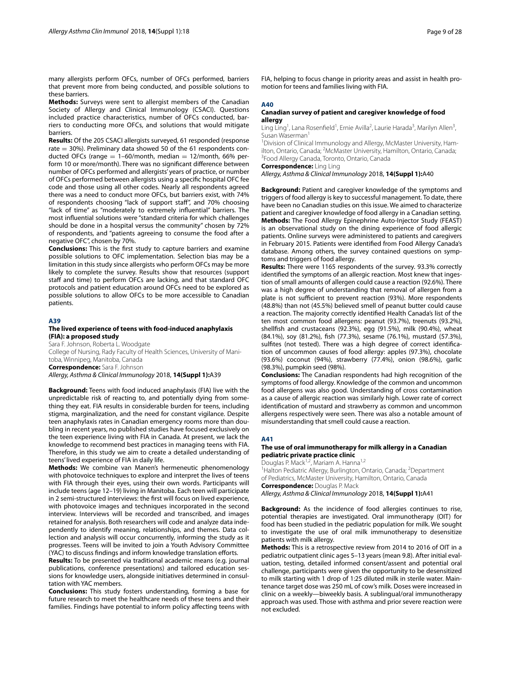many allergists perform OFCs, number of OFCs performed, barriers that prevent more from being conducted, and possible solutions to these barriers.

**Methods:** Surveys were sent to allergist members of the Canadian Society of Allergy and Clinical Immunology (CSACI). Questions included practice characteristics, number of OFCs conducted, barriers to conducting more OFCs, and solutions that would mitigate barriers.

**Results:** Of the 205 CSACI allergists surveyed, 61 responded (response rate  $= 30\%$ ). Preliminary data showed 50 of the 61 respondents conducted OFCs (range  $= 1-60$ /month, median  $= 12$ /month, 66% perform 10 or more/month). There was no signifcant diference between number of OFCs performed and allergists' years of practice, or number of OFCs performed between allergists using a specifc hospital OFC fee code and those using all other codes. Nearly all respondents agreed there was a need to conduct more OFCs, but barriers exist, with 74% of respondents choosing "lack of support staff", and 70% choosing "lack of time" as "moderately to extremely infuential" barriers. The most infuential solutions were "standard criteria for which challenges should be done in a hospital versus the community" chosen by 72% of respondents, and "patients agreeing to consume the food after a negative OFC", chosen by 70%.

**Conclusions:** This is the frst study to capture barriers and examine possible solutions to OFC implementation. Selection bias may be a limitation in this study since allergists who perform OFCs may be more likely to complete the survey. Results show that resources (support staff and time) to perform OFCs are lacking, and that standard OFC protocols and patient education around OFCs need to be explored as possible solutions to allow OFCs to be more accessible to Canadian patients.

#### **A39**

#### **The lived experience of teens with food‑induced anaphylaxis (FIA): a proposed study**

Sara F. Johnson, Roberta L. Woodgate College of Nursing, Rady Faculty of Health Sciences, University of Manitoba, Winnipeg, Manitoba, Canada **Correspondence:** Sara F. Johnson

*Allergy, Asthma & Clinical Immunology* 2018, **14(Suppl 1):**A39

**Background:** Teens with food induced anaphylaxis (FIA) live with the unpredictable risk of reacting to, and potentially dying from something they eat. FIA results in considerable burden for teens, including stigma, marginalization, and the need for constant vigilance. Despite teen anaphylaxis rates in Canadian emergency rooms more than doubling in recent years, no published studies have focused exclusively on the teen experience living with FIA in Canada. At present, we lack the knowledge to recommend best practices in managing teens with FIA. Therefore, in this study we aim to create a detailed understanding of teens' lived experience of FIA in daily life.

**Methods:** We combine van Manen's hermeneutic phenomenology with photovoice techniques to explore and interpret the lives of teens with FIA through their eyes, using their own words. Participants will include teens (age 12–19) living in Manitoba. Each teen will participate in 2 semi-structured interviews: the frst will focus on lived experience, with photovoice images and techniques incorporated in the second interview. Interviews will be recorded and transcribed, and images retained for analysis. Both researchers will code and analyze data independently to identify meaning, relationships, and themes. Data collection and analysis will occur concurrently, informing the study as it progresses. Teens will be invited to join a Youth Advisory Committee (YAC) to discuss fndings and inform knowledge translation eforts.

**Results:** To be presented via traditional academic means (e.g. journal publications, conference presentations) and tailored education sessions for knowledge users, alongside initiatives determined in consultation with YAC members.

**Conclusions:** This study fosters understanding, forming a base for future research to meet the healthcare needs of these teens and their families. Findings have potential to inform policy afecting teens with FIA, helping to focus change in priority areas and assist in health promotion for teens and families living with FIA.

# **A40**

# **Canadian survey of patient and caregiver knowledge of food allergy**

Ling Ling<sup>1</sup>, Lana Rosenfield<sup>1</sup>, Ernie Avilla<sup>2</sup>, Laurie Harada<sup>3</sup>, Marilyn Allen<sup>3</sup>, Susan Waserman<sup>1</sup>

<sup>1</sup> Division of Clinical Immunology and Allergy, McMaster University, Hamilton, Ontario, Canada; <sup>2</sup> McMaster University, Hamilton, Ontario, Canada;<br><sup>3</sup> Food Allergy Canada, Toronto, Ontario, Canada <sup>3</sup> Food Allergy Canada, Toronto, Ontario, Canada

**Correspondence:** Ling Ling

*Allergy, Asthma & Clinical Immunology* 2018, **14(Suppl 1):**A40

**Background:** Patient and caregiver knowledge of the symptoms and triggers of food allergy is key to successful management. To date, there have been no Canadian studies on this issue. We aimed to characterize patient and caregiver knowledge of food allergy in a Canadian setting. **Methods:** The Food Allergy Epinephrine Auto-Injector Study (FEAST) is an observational study on the dining experience of food allergic patients. Online surveys were administered to patients and caregivers in February 2015. Patients were identifed from Food Allergy Canada's database. Among others, the survey contained questions on symptoms and triggers of food allergy.

**Results:** There were 1165 respondents of the survey. 93.3% correctly identifed the symptoms of an allergic reaction. Most knew that ingestion of small amounts of allergen could cause a reaction (92.6%). There was a high degree of understanding that removal of allergen from a plate is not sufficient to prevent reaction (93%). More respondents (48.8%) than not (45.5%) believed smell of peanut butter could cause a reaction. The majority correctly identifed Health Canada's list of the ten most common food allergens: peanut (93.7%), treenuts (93.2%), shellfsh and crustaceans (92.3%), egg (91.5%), milk (90.4%), wheat (84.1%), soy (81.2%), fsh (77.3%), sesame (76.1%), mustard (57.3%), sulftes (not tested). There was a high degree of correct identifcation of uncommon causes of food allergy: apples (97.3%), chocolate (93.6%) coconut (94%), strawberry (77.4%), onion (98.6%), garlic (98.3%), pumpkin seed (98%).

**Conclusions:** The Canadian respondents had high recognition of the symptoms of food allergy. Knowledge of the common and uncommon food allergens was also good. Understanding of cross contamination as a cause of allergic reaction was similarly high. Lower rate of correct identifcation of mustard and strawberry as common and uncommon allergens respectively were seen. There was also a notable amount of misunderstanding that smell could cause a reaction.

#### **A41**

#### **The use of oral immunotherapy for milk allergy in a Canadian pediatric private practice clinic**

Douglas P. Mack<sup>1,2</sup>, Mariam A. Hanna<sup>1,2</sup> <sup>1</sup> Halton Pediatric Allergy, Burlington, Ontario, Canada; <sup>2</sup>Department

of Pediatrics, McMaster University, Hamilton, Ontario, Canada **Correspondence:** Douglas P. Mack *Allergy, Asthma & Clinical Immunology* 2018, **14(Suppl 1):**A41

**Background:** As the incidence of food allergies continues to rise, potential therapies are investigated. Oral immunotherapy (OIT) for food has been studied in the pediatric population for milk. We sought to investigate the use of oral milk immunotherapy to desensitize patients with milk allergy.

**Methods:** This is a retrospective review from 2014 to 2016 of OIT in a pediatric outpatient clinic ages 5–13 years (mean 9.8). After initial evaluation, testing, detailed informed consent/assent and potential oral challenge, participants were given the opportunity to be desensitized to milk starting with 1 drop of 1:25 diluted milk in sterile water. Maintenance target dose was 250 mL of cow's milk. Doses were increased in clinic on a weekly—biweekly basis. A sublingual/oral immunotherapy approach was used. Those with asthma and prior severe reaction were not excluded.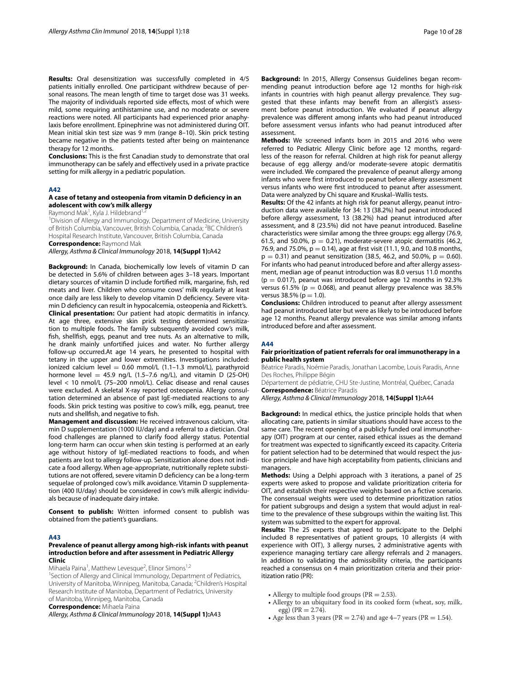**Results:** Oral desensitization was successfully completed in 4/5 patients initially enrolled. One participant withdrew because of personal reasons. The mean length of time to target dose was 31 weeks. The majority of individuals reported side effects, most of which were mild, some requiring antihistamine use, and no moderate or severe reactions were noted. All participants had experienced prior anaphylaxis before enrollment. Epinephrine was not administered during OIT. Mean initial skin test size was 9 mm (range 8–10). Skin prick testing became negative in the patients tested after being on maintenance therapy for 12 months.

**Conclusions:** This is the frst Canadian study to demonstrate that oral immunotherapy can be safely and efectively used in a private practice setting for milk allergy in a pediatric population.

#### **A42**

# **A case of tetany and osteopenia from vitamin D defciency in an adolescent with cow's milk allergy**

Raymond Mak<sup>1</sup>, Kyla J. Hildebrand<sup>1,2</sup>

<sup>1</sup> Division of Allergy and Immunology, Department of Medicine, University of British Columbia, Vancouver, British Columbia, Canada; <sup>2</sup>BC Children's Hospital Research Institute, Vancouver, British Columbia, Canada

**Correspondence:** Raymond Mak

*Allergy, Asthma & Clinical Immunology* 2018, **14(Suppl 1):**A42

**Background:** In Canada, biochemically low levels of vitamin D can be detected in 5.6% of children between ages 3–18 years. Important dietary sources of vitamin D include fortifed milk, margarine, fsh, red meats and liver. Children who consume cows' milk regularly at least once daily are less likely to develop vitamin D defciency. Severe vitamin D defciency can result in hypocalcemia, osteopenia and Rickett's. **Clinical presentation:** Our patient had atopic dermatitis in infancy. At age three, extensive skin prick testing determined sensitization to multiple foods. The family subsequently avoided cow's milk, fsh, shellfsh, eggs, peanut and tree nuts. As an alternative to milk, he drank mainly unfortifed juices and water. No further allergy follow-up occurred.At age 14 years, he presented to hospital with tetany in the upper and lower extremities. Investigations included: ionized calcium level =  $0.60$  mmol/L  $(1.1-1.3$  mmol/L), parathyroid hormone level  $=$  45.9 ng/L (1.5–7.6 ng/L), and vitamin D (25-OH) level < 10 nmol/L (75–200 nmol/L). Celiac disease and renal causes were excluded. A skeletal X-ray reported osteopenia. Allergy consultation determined an absence of past IgE-mediated reactions to any foods. Skin prick testing was positive to cow's milk, egg, peanut, tree nuts and shellfsh, and negative to fsh.

**Management and discussion:** He received intravenous calcium, vitamin D supplementation (1000 IU/day) and a referral to a dietician. Oral food challenges are planned to clarify food allergy status. Potential long-term harm can occur when skin testing is performed at an early age without history of IgE-mediated reactions to foods, and when patients are lost to allergy follow-up. Sensitization alone does not indicate a food allergy. When age-appropriate, nutritionally replete substitutions are not offered, severe vitamin D deficiency can be a long-term sequelae of prolonged cow's milk avoidance. Vitamin D supplementation (400 IU/day) should be considered in cow's milk allergic individuals because of inadequate dairy intake.

**Consent to publish:** Written informed consent to publish was obtained from the patient's guardians.

#### **A43**

#### **Prevalence of peanut allergy among high‑risk infants with peanut introduction before and after assessment in Pediatric Allergy Clinic**

Mihaela Paina<sup>1</sup>, Matthew Levesque<sup>2</sup>, Elinor Simons<sup>1,2</sup>

<sup>1</sup>Section of Allergy and Clinical Immunology, Department of Pediatrics, University of Manitoba, Winnipeg, Manitoba, Canada; <sup>2</sup>Children's Hospital Research Institute of Manitoba, Department of Pediatrics, University of Manitoba, Winnipeg, Manitoba, Canada

**Correspondence:** Mihaela Paina

*Allergy, Asthma & Clinical Immunology* 2018, **14(Suppl 1):**A43

**Background:** In 2015, Allergy Consensus Guidelines began recommending peanut introduction before age 12 months for high-risk infants in countries with high peanut allergy prevalence. They suggested that these infants may beneft from an allergist's assessment before peanut introduction. We evaluated if peanut allergy prevalence was diferent among infants who had peanut introduced before assessment versus infants who had peanut introduced after assessment.

**Methods:** We screened infants born in 2015 and 2016 who were referred to Pediatric Allergy Clinic before age 12 months, regardless of the reason for referral. Children at high risk for peanut allergy because of egg allergy and/or moderate-severe atopic dermatitis were included. We compared the prevalence of peanut allergy among infants who were frst introduced to peanut before allergy assessment versus infants who were frst introduced to peanut after assessment. Data were analyzed by Chi square and Kruskal–Wallis tests.

**Results:** Of the 42 infants at high risk for peanut allergy, peanut introduction data were available for 34: 13 (38.2%) had peanut introduced before allergy assessment, 13 (38.2%) had peanut introduced after assessment, and 8 (23.5%) did not have peanut introduced. Baseline characteristics were similar among the three groups: egg allergy (76.9, 61.5, and 50.0%,  $p = 0.21$ , moderate-severe atopic dermatitis (46.2, 76.9, and 75.0%,  $p = 0.14$ ), age at first visit (11.1, 9.0, and 10.8 months,  $p = 0.31$ ) and peanut sensitization (38.5, 46.2, and 50.0%,  $p = 0.60$ ). For infants who had peanut introduced before and after allergy assessment, median age of peanut introduction was 8.0 versus 11.0 months  $(p = 0.017)$ , peanut was introduced before age 12 months in 92.3% versus 61.5% ( $p = 0.068$ ), and peanut allergy prevalence was 38.5% versus  $38.5\%$  (p = 1.0).

**Conclusions:** Children introduced to peanut after allergy assessment had peanut introduced later but were as likely to be introduced before age 12 months. Peanut allergy prevalence was similar among infants introduced before and after assessment.

# **A44**

# **Fair prioritization of patient referrals for oral immunotherapy in a public health system**

Béatrice Paradis, Noémie Paradis, Jonathan Lacombe, Louis Paradis, Anne Des Roches, Philippe Bégin

Département de pédiatrie, CHU Ste‑Justine, Montréal, Québec, Canada **Correspondence:** Béatrice Paradis

*Allergy, Asthma & Clinical Immunology* 2018, **14(Suppl 1):**A44

**Background:** In medical ethics, the justice principle holds that when allocating care, patients in similar situations should have access to the same care. The recent opening of a publicly funded oral immunotherapy (OIT) program at our center, raised ethical issues as the demand for treatment was expected to signifcantly exceed its capacity. Criteria for patient selection had to be determined that would respect the justice principle and have high acceptability from patients, clinicians and managers.

**Methods:** Using a Delphi approach with 3 iterations, a panel of 25 experts were asked to propose and validate prioritization criteria for OIT, and establish their respective weights based on a fctive scenario. The consensual weights were used to determine prioritization ratios for patient subgroups and design a system that would adjust in realtime to the prevalence of these subgroups within the waiting list. This system was submitted to the expert for approval.

**Results:** The 25 experts that agreed to participate to the Delphi included 8 representatives of patient groups, 10 allergists (4 with experience with OIT), 3 allergy nurses, 2 administrative agents with experience managing tertiary care allergy referrals and 2 managers. In addition to validating the admissibility criteria, the participants reached a consensus on 4 main prioritization criteria and their prioritization ratio (PR):

- Allergy to multiple food groups ( $PR = 2.53$ ).
- •• Allergy to an ubiquitary food in its cooked form (wheat, soy, milk, egg) ( $PR = 2.74$ ).
- Age less than 3 years (PR = 2.74) and age 4–7 years (PR = 1.54).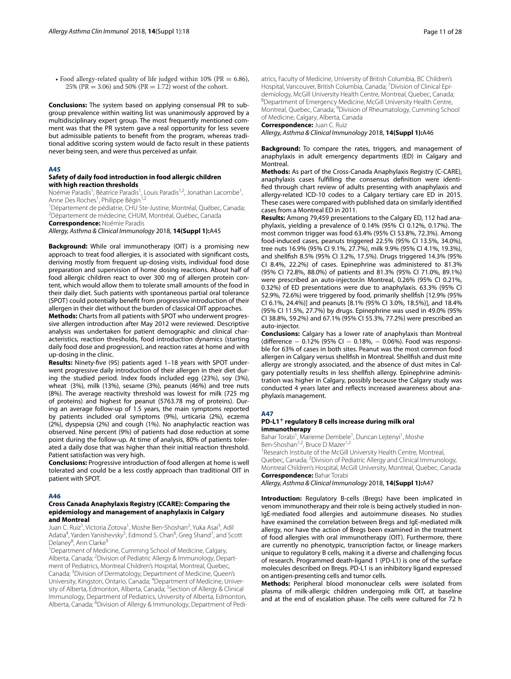• Food allergy-related quality of life judged within 10% (PR =  $6.86$ ), 25% (PR = 3.06) and 50% (PR = 1.72) worst of the cohort.

**Conclusions:** The system based on applying consensual PR to subgroup prevalence within waiting list was unanimously approved by a multidisciplinary expert group. The most frequently mentioned comment was that the PR system gave a real opportunity for less severe but admissible patients to beneft from the program, whereas traditional additive scoring system would de facto result in these patients never being seen, and were thus perceived as unfair.

#### **A45**

#### **Safety of daily food introduction in food allergic children with high reaction thresholds**

Noémie Paradis<sup>1</sup>, Béatrice Paradis<sup>1</sup>, Louis Paradis<sup>1,2</sup>, Jonathan Lacombe<sup>1</sup>, Anne Des Roches<sup>1</sup>, Philippe Bégin<sup>1,2</sup>

1 Département de pédiatrie, CHU Ste‑Justine, Montréal, Québec, Canada; 2 Département de médecine, CHUM, Montréal, Québec, Canada

**Correspondence:** Noémie Paradis

*Allergy, Asthma & Clinical Immunology* 2018, **14(Suppl 1):**A45

**Background:** While oral immunotherapy (OIT) is a promising new approach to treat food allergies, it is associated with signifcant costs, deriving mostly from frequent up-dosing visits, individual food dose preparation and supervision of home dosing reactions. About half of food allergic children react to over 300 mg of allergen protein content, which would allow them to tolerate small amounts of the food in their daily diet. Such patients with spontaneous partial oral tolerance (SPOT) could potentially beneft from progressive introduction of their allergen in their diet without the burden of classical OIT approaches.

**Methods:** Charts from all patients with SPOT who underwent progressive allergen introduction after May 2012 were reviewed. Descriptive analysis was undertaken for patient demographic and clinical characteristics, reaction thresholds, food introduction dynamics (starting daily food dose and progression), and reaction rates at home and with up-dosing in the clinic.

**Results:** Ninety-fve (95) patients aged 1–18 years with SPOT underwent progressive daily introduction of their allergen in their diet during the studied period. Index foods included egg (23%), soy (3%), wheat (3%), milk (13%), sesame (3%), peanuts (46%) and tree nuts (8%). The average reactivity threshold was lowest for milk (725 mg of proteins) and highest for peanut (5763.78 mg of proteins). During an average follow-up of 1.5 years, the main symptoms reported by patients included oral symptoms (9%), urticaria (2%), eczema (2%), dyspepsia (2%) and cough (1%). No anaphylactic reaction was observed. Nine percent (9%) of patients had dose reduction at some point during the follow-up. At time of analysis, 80% of patients tolerated a daily dose that was higher than their initial reaction threshold. Patient satisfaction was very high.

**Conclusions:** Progressive introduction of food allergen at home is well tolerated and could be a less costly approach than traditional OIT in patient with SPOT.

#### **A46**

#### **Cross Canada Anaphylaxis Registry (CCARE): Comparing the epidemiology and management of anaphylaxis in Calgary and Montreal**

Juan C. Ruiz<sup>1</sup>, Victoria Zotova<sup>1</sup>, Moshe Ben-Shoshan<sup>2</sup>, Yuka Asai<sup>3</sup>, Adil Adatia<sup>4</sup>, Yarden Yanishevsky<sup>5</sup>, Edmond S. Chan<sup>6</sup>, Greg Shand<sup>7</sup>, and Scott Delaney<sup>8</sup>, Ann Clarke<sup>9</sup>

<sup>1</sup>Department of Medicine, Cumming School of Medicine, Calgary, Alberta, Canada; <sup>2</sup>Division of Pediatric Allergy & Immunology, Department of Pediatrics, Montreal Children's Hospital, Montreal, Quebec, Canada; <sup>3</sup>Division of Dermatology, Department of Medicine, Queen's University, Kingston, Ontario, Canada; <sup>4</sup>Department of Medicine, University of Alberta, Edmonton, Alberta, Canada; <sup>5</sup>Section of Allergy & Clinical Immunology, Department of Pediatrics, University of Alberta, Edmonton, Alberta, Canada; <sup>6</sup>Division of Allergy & Immunology, Department of Pediatrics, Faculty of Medicine, University of British Columbia, BC Children's Hospital, Vancouver, British Columbia, Canada; <sup>7</sup> Division of Clinical Epidemiology, McGill University Health Centre, Montreal, Quebec, Canada; 8 Department of Emergency Medicine, McGill University Health Centre, Montreal, Quebec, Canada; <sup>9</sup> Division of Rheumatology, Cumming School of Medicine, Calgary, Alberta, Canada

# **Correspondence:** Juan C. Ruiz

*Allergy, Asthma & Clinical Immunology* 2018, **14(Suppl 1):**A46

**Background:** To compare the rates, triggers, and management of anaphylaxis in adult emergency departments (ED) in Calgary and Montreal.

**Methods:** As part of the Cross-Canada Anaphylaxis Registry (C-CARE), anaphylaxis cases fulflling the consensus defnition were identifed through chart review of adults presenting with anaphylaxis and allergy-related ICD-10 codes to a Calgary tertiary care ED in 2015. These cases were compared with published data on similarly identifed cases from a Montreal ED in 2011.

**Results:** Among 79,459 presentations to the Calgary ED, 112 had anaphylaxis, yielding a prevalence of 0.14% (95% CI 0.12%, 0.17%). The most common trigger was food 63.4% (95% CI 53.8%, 72.3%). Among food-induced cases, peanuts triggered 22.5% (95% CI 13.5%, 34.0%), tree nuts 16.9% (95% CI 9.1%, 27.7%), milk 9.9% (95% CI 4.1%, 19.3%), and shellfsh 8.5% (95% CI 3.2%, 17.5%). Drugs triggered 14.3% (95% CI 8.4%, 22.2%) of cases. Epinephrine was administered to 81.3% (95% CI 72.8%, 88.0%) of patients and 81.3% (95% CI 71.0%, 89.1%) were prescribed an auto-injector.In Montreal, 0.26% (95% CI 0.21%, 0.32%) of ED presentations were due to anaphylaxis. 63.3% (95% CI 52.9%, 72.6%) were triggered by food, primarily shellfsh [12.9% (95% CI 6.1%, 24.4%)] and peanuts [8.1% (95% CI 3.0%, 18.5%)], and 18.4% (95% CI 11.5%, 27.7%) by drugs. Epinephrine was used in 49.0% (95% CI 38.8%, 59.2%) and 67.1% (95% CI 55.3%, 77.2%) were prescribed an auto-injector.

**Conclusions:** Calgary has a lower rate of anaphylaxis than Montreal (diference − 0.12% (95% CI − 0.18%, − 0.06%). Food was responsible for 63% of cases in both sites. Peanut was the most common food allergen in Calgary versus shellfsh in Montreal. Shellfsh and dust mite allergy are strongly associated, and the absence of dust mites in Calgary potentially results in less shellfsh allergy. Epinephrine administration was higher in Calgary, possibly because the Calgary study was conducted 4 years later and refects increased awareness about anaphylaxis management.

#### **A47**

#### **PD‑L1+ regulatory B cells increase during milk oral immunotherapy**

Bahar Torabi<sup>1</sup>, Marieme Dembele<sup>1</sup>, Duncan Lejtenyi<sup>1</sup>, Moshe Ben-Shoshan<sup>1,2</sup>, Bruce D Mazer<sup>1,2</sup>

<sup>1</sup> Research Institute of the McGill University Health Centre, Montreal, Quebec, Canada; <sup>2</sup>Division of Pediatric Allergy and Clinical Immunology, Montreal Children's Hospital, McGill University, Montreal, Quebec, Canada **Correspondence:** Bahar Torabi

*Allergy, Asthma & Clinical Immunology* 2018, **14(Suppl 1):**A47

**Introduction:** Regulatory B-cells (Bregs) have been implicated in venom immunotherapy and their role is being actively studied in non-IgE-mediated food allergies and autoimmune diseases. No studies have examined the correlation between Bregs and IgE-mediated milk allergy, nor have the action of Bregs been examined in the treatment of food allergies with oral immunotherapy (OIT). Furthermore, there are currently no phenotypic, transcription factor, or lineage markers unique to regulatory B cells, making it a diverse and challenging focus of research. Programmed death-ligand 1 (PD-L1) is one of the surface molecules described on Bregs. PD-L1 is an inhibitory ligand expressed on antigen-presenting cells and tumor cells.

**Methods:** Peripheral blood mononuclear cells were isolated from plasma of milk-allergic children undergoing milk OIT, at baseline and at the end of escalation phase. The cells were cultured for 72 h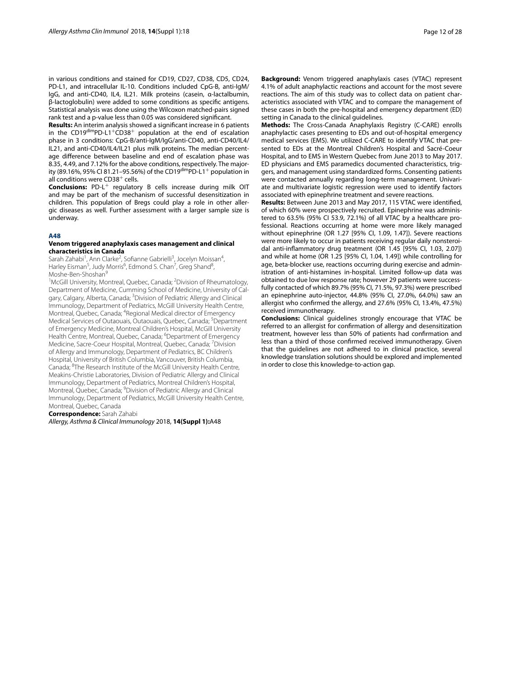in various conditions and stained for CD19, CD27, CD38, CD5, CD24, PD-L1, and intracellular IL-10. Conditions included CpG-B, anti-IgM/ IgG, and anti-CD40, IL4, IL21. Milk proteins (casein, α-lactalbumin, β-lactoglobulin) were added to some conditions as specifc antigens. Statistical analysis was done using the Wilcoxon matched-pairs signed rank test and a p-value less than 0.05 was considered signifcant.

**Results:** An interim analysis showed a signifcant increase in 6 patients in the CD19<sup>dim</sup>PD-L1<sup>+</sup>CD38<sup>+</sup> population at the end of escalation phase in 3 conditions: CpG-B/anti-IgM/IgG/anti-CD40, anti-CD40/IL4/ IL21, and anti-CD40/IL4/IL21 plus milk proteins. The median percentage diference between baseline and end of escalation phase was 8.35, 4.49, and 7.12% for the above conditions, respectively. The majority (89.16%, 95% CI 81.21-95.56%) of the CD19dimpD-L1+ population in all conditions were CD38<sup>+</sup> cells.

**Conclusions:** PD-L<sup>+</sup> regulatory B cells increase during milk OIT and may be part of the mechanism of successful desensitization in children. This population of Bregs could play a role in other allergic diseases as well. Further assessment with a larger sample size is underway.

#### **A48**

#### **Venom triggered anaphylaxis cases management and clinical characteristics in Canada**

Sarah Zahabi<sup>1</sup>, Ann Clarke<sup>2</sup>, Sofianne Gabrielli<sup>3</sup>, Jocelyn Moissan<sup>4</sup>, Harley Eisman<sup>5</sup>, Judy Morris<sup>6</sup>, Edmond S. Chan<sup>7</sup>, Greg Shand<sup>8</sup>, Moshe-Ben-Shoshan<sup>9</sup>

<sup>1</sup>McGill University, Montreal, Quebec, Canada; <sup>2</sup>Division of Rheumatology, Department of Medicine, Cumming School of Medicine, University of Calgary, Calgary, Alberta, Canada; <sup>3</sup>Division of Pediatric Allergy and Clinical Immunology, Department of Pediatrics, McGill University Health Centre, Montreal, Quebec, Canada; <sup>4</sup>Regional Medical director of Emergency Medical Services of Outaouais, Outaouais, Quebec, Canada; <sup>5</sup>Department of Emergency Medicine, Montreal Children's Hospital, McGill University Health Centre, Montreal, Quebec, Canada; <sup>6</sup>Department of Emergency Medicine, Sacre-Coeur Hospital, Montreal, Quebec, Canada; <sup>7</sup>Division of Allergy and Immunology, Department of Pediatrics, BC Children's Hospital, University of British Columbia, Vancouver, British Columbia, Canada; <sup>8</sup>The Research Institute of the McGill University Health Centre, Meakins‑Christie Laboratories, Division of Pediatric Allergy and Clinical Immunology, Department of Pediatrics, Montreal Children's Hospital, Montreal, Quebec, Canada; <sup>9</sup>Division of Pediatric Allergy and Clinical Immunology, Department of Pediatrics, McGill University Health Centre, Montreal, Quebec, Canada

**Correspondence:** Sarah Zahabi

*Allergy, Asthma & Clinical Immunology* 2018, **14(Suppl 1):**A48

**Background:** Venom triggered anaphylaxis cases (VTAC) represent 4.1% of adult anaphylactic reactions and account for the most severe reactions. The aim of this study was to collect data on patient characteristics associated with VTAC and to compare the management of these cases in both the pre-hospital and emergency department (ED) setting in Canada to the clinical guidelines.

**Methods:** The Cross-Canada Anaphylaxis Registry (C-CARE) enrolls anaphylactic cases presenting to EDs and out-of-hospital emergency medical services (EMS). We utilized C-CARE to identify VTAC that presented to EDs at the Montreal Children's Hospital and Sacré-Coeur Hospital, and to EMS in Western Quebec from June 2013 to May 2017. ED physicians and EMS paramedics documented characteristics, triggers, and management using standardized forms. Consenting patients were contacted annually regarding long-term management. Univariate and multivariate logistic regression were used to identify factors associated with epinephrine treatment and severe reactions.

**Results:** Between June 2013 and May 2017, 115 VTAC were identifed, of which 60% were prospectively recruited. Epinephrine was administered to 63.5% (95% CI 53.9, 72.1%) of all VTAC by a healthcare professional. Reactions occurring at home were more likely managed without epinephrine (OR 1.27 [95% CI, 1.09, 1.47]). Severe reactions were more likely to occur in patients receiving regular daily nonsteroidal anti-infammatory drug treatment (OR 1.45 [95% CI, 1.03, 2.07]) and while at home (OR 1.25 [95% CI, 1.04, 1.49]) while controlling for age, beta-blocker use, reactions occurring during exercise and administration of anti-histamines in-hospital. Limited follow-up data was obtained to due low response rate; however 29 patients were successfully contacted of which 89.7% (95% CI, 71.5%, 97.3%) were prescribed an epinephrine auto-injector, 44.8% (95% CI, 27.0%, 64.0%) saw an allergist who confrmed the allergy, and 27.6% (95% CI, 13.4%, 47.5%) received immunotherapy.

**Conclusions:** Clinical guidelines strongly encourage that VTAC be referred to an allergist for confrmation of allergy and desensitization treatment, however less than 50% of patients had confrmation and less than a third of those confrmed received immunotherapy. Given that the guidelines are not adhered to in clinical practice, several knowledge translation solutions should be explored and implemented in order to close this knowledge-to-action gap.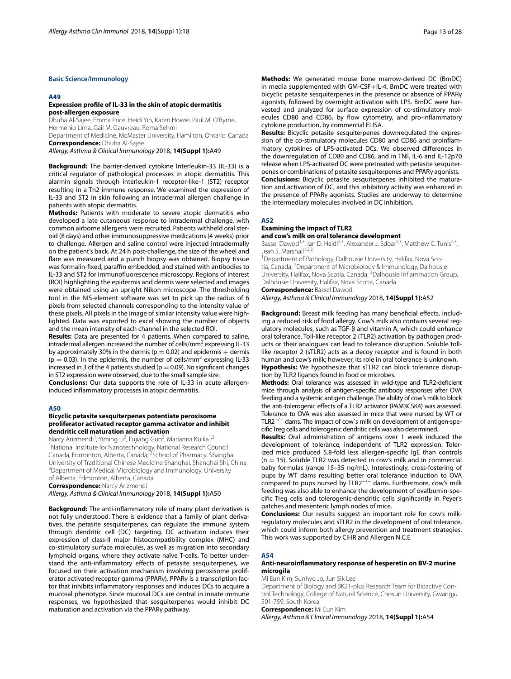#### **Basic Science/Immunology**

#### **A49**

#### **Expression profle of IL‑33 in the skin of atopic dermatitis post‑allergen exposure**

Dhuha Al‑Sajee, Emma Price, Heidi Yin, Karen Howie, Paul M. O'Byrne, Hermenio Lima, Gail M. Gauvreau, Roma Sehmi

Department of Medicine, McMaster University, Hamilton, Ontario, Canada **Correspondence:** Dhuha Al‑Sajee

*Allergy, Asthma & Clinical Immunology* 2018, **14(Suppl 1):**A49

**Background:** The barrier-derived cytokine Interleukin-33 (IL-33) is a critical regulator of pathological processes in atopic dermatitis. This alarmin signals through interleukin-1 receptor-like-1 (ST2) receptor resulting in a Th2 immune response. We examined the expression of IL-33 and ST2 in skin following an intradermal allergen challenge in patients with atopic dermatitis.

**Methods:** Patients with moderate to severe atopic dermatitis who developed a late cutaneous response to intradermal challenge, with common airborne allergens were recruited. Patients withheld oral steroid (8 days) and other immunosuppressive medications (4 weeks) prior to challenge. Allergen and saline control were injected intradermally on the patient's back. At 24 h post-challenge, the size of the wheel and fare was measured and a punch biopsy was obtained. Biopsy tissue was formalin-fixed, paraffin embedded, and stained with antibodies to IL-33 and ST2 for immunofuorescence microscopy. Regions of interest (ROI) highlighting the epidermis and dermis were selected and images were obtained using an upright Nikon microscope. The thresholding tool in the NIS-element software was set to pick up the radius of 6 pixels from selected channels corresponding to the intensity value of these pixels. All pixels in the image of similar intensity value were highlighted. Data was exported to excel showing the number of objects and the mean intensity of each channel in the selected ROI.

**Results:** Data are presented for 4 patients. When compared to saline, intradermal allergen increased the number of cells/mm<sup>2</sup> expressing IL-33 by approximately 30% in the dermis ( $p = 0.02$ ) and epidermis + dermis  $(p = 0.03)$ . In the epidermis, the number of cells/mm<sup>2</sup> expressing IL-33 increased in 3 of the 4 patients studied ( $p = 0.09$ ). No significant changes in ST2 expression were observed, due to the small sample size.

**Conclusions:** Our data supports the role of IL-33 in acute allergeninduced infammatory processes in atopic dermatitis.

#### **A50**

#### **Bicyclic petasite sesquiterpenes potentiate peroxisome proliferator activated receptor gamma activator and inhibit dendritic cell maturation and activation**

Narcy Arizmendi<sup>1</sup>, Yiming Li<sup>2</sup>, Fujiang Guo<sup>2</sup>, Marianna Kulka<sup>1,3</sup> <sup>1</sup>National Institute for Nanotechnology, National Research Council Canada, Edmonton, Alberta, Canada; <sup>2</sup>School of Pharmacy, Shanghai University of Traditional Chinese Medicine Shanghai, Shanghai Shi, China; 3 <sup>3</sup>Department of Medical Microbiology and Immunology, University of Alberta, Edmonton, Alberta, Canada

**Correspondence:** Narcy Arizmendi

*Allergy, Asthma & Clinical Immunology* 2018, **14(Suppl 1):**A50

**Background:** The anti-infammatory role of many plant derivatives is not fully understood. There is evidence that a family of plant derivatives, the petasite sesquiterpenes, can regulate the immune system through dendritic cell (DC) targeting. DC activation induces their expression of class-II major histocompatibility complex (MHC) and co-stimulatory surface molecules, as well as migration into secondary lymphoid organs, where they activate naïve T-cells. To better understand the anti-infammatory efects of petasite sesquiterpenes, we focused on their activation mechanism involving peroxisome proliferator activated receptor gamma (PPARγ). PPARγ is a transcription factor that inhibits infammatory responses and induces DCs to acquire a mucosal phenotype. Since mucosal DCs are central in innate immune responses, we hypothesized that sesquiterpenes would inhibit DC maturation and activation via the PPARγ pathway.

**Methods:** We generated mouse bone marrow-derived DC (BmDC) in media supplemented with GM-CSF+IL-4. BmDC were treated with bicyclic petasite sesquiterpenes in the presence or absence of PPARγ agonists, followed by overnight activation with LPS. BmDC were harvested and analyzed for surface expression of co-stimulatory molecules CD80 and CD86, by flow cytometry, and pro-inflammatory cytokine production, by commercial ELISA.

**Results:** Bicyclic petasite sesquiterpenes downregulated the expression of the co-stimulatory molecules CD80 and CD86 and proinfammatory cytokines of LPS-activated DCs. We observed diferences in the downregulation of CD80 and CD86, and in TNF, IL-6 and IL-12p70 release when LPS-activated DC were pretreated with petasite sesquiterpenes or combinations of petasite sesquiterpenes and PPARγ agonists. **Conclusions:** Bicyclic petasite sesquiterpenes inhibited the maturation and activation of DC, and this inhibitory activity was enhanced in the presence of PPARγ agonists. Studies are underway to determine the intermediary molecules involved in DC inhibition.

#### **A52**

# **Examining the impact of TLR2**

**and cow's milk on oral tolerance development**

Bassel Dawod<sup>1,3</sup>, Ian D. Haidl<sup>2,3</sup>, Alexander J. Edgar<sup>2,3</sup>, Matthew C. Tunis<sup>2,3</sup>, Jean S. Marshall<sup>1,2,3</sup>

<sup>1</sup>Department of Pathology, Dalhousie University, Halifax, Nova Scotia, Canada; <sup>2</sup>Department of Microbiology & Immunology, Dalhousie University, Halifax, Nova Scotia, Canada; <sup>3</sup>Dalhousie Inflammation Group, Dalhousie University, Halifax, Nova Scotia, Canada

**Correspondence:** Bassel Dawod

*Allergy, Asthma & Clinical Immunology* 2018, **14(Suppl 1):**A52

**Background:** Breast milk feeding has many benefcial efects, including a reduced risk of food allergy. Cow's milk also contains several regulatory molecules, such as TGF-β and vitamin A, which could enhance oral tolerance. Toll-like receptor 2 (TLR2) activation by pathogen products or their analogues can lead to tolerance disruption. Soluble tolllike receptor 2 (sTLR2) acts as a decoy receptor and is found in both human and cow's milk; however, its role in oral tolerance is unknown. **Hypothesis:** We hypothesize that sTLR2 can block tolerance disruption by TLR2 ligands found in food or microbes.

**Methods:** Oral tolerance was assessed in wild-type and TLR2-defcient mice through analysis of antigen-specifc antibody responses after OVA feeding and a systemic antigen challenge. The ability of cow's milk to block the anti-tolerogenic effects of a TLR2 activator (PAM3CSK4) was assessed. Tolerance to OVA was also assessed in mice that were nursed by WT or TLR2−/− dams. The impact of cow`s milk on development of antigen-specifc Treg cells and tolerogenic dendritic cells was also determined.

**Results:** Oral administration of antigens over 1 week induced the development of tolerance, independent of TLR2 expression. Tolerized mice produced 5.8-fold less allergen-specifc IgE than controls  $(n = 15)$ . Soluble TLR2 was detected in cow's milk and in commercial baby formulas (range 15–35 ng/mL). Interestingly, cross-fostering of pups by WT dams resulting better oral tolerance induction to OVA compared to pups nursed by TLR2−/− dams. Furthermore, cow's milk feeding was also able to enhance the development of ovalbumin-specifc Treg cells and tolerogenic-dendritic cells signifcantly in Peyer's patches and mesenteric lymph nodes of mice.

**Conclusions:** Our results suggest an important role for cow's milkregulatory molecules and sTLR2 in the development of oral tolerance, which could inform both allergy prevention and treatment strategies. This work was supported by CIHR and Allergen N.C.E

# **A54**

# **Anti‑neuroinfammatory response of hesperetin on BV‑2 murine microgila**

Mi Eun Kim, Sunhyo Jo, Jun Sik Lee

Department of Biology and BK21-plus Research Team for Bioactive Control Technology, College of Natural Science, Chosun University, Gwangju 501‑759, South Korea

**Correspondence:** Mi Eun Kim

*Allergy, Asthma & Clinical Immunology* 2018, **14(Suppl 1):**A54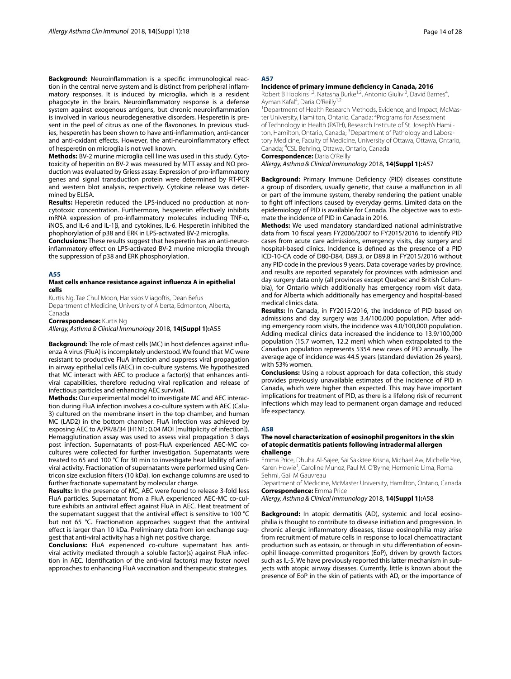**Background:** Neuroinfammation is a specifc immunological reaction in the central nerve system and is distinct from peripheral infammatory responses. It is induced by microglia, which is a resident phagocyte in the brain. Neuroinfammatory response is a defense system against exogenous antigens, but chronic neuroinfammation is involved in various neurodegenerative disorders. Hesperetin is present in the peel of citrus as one of the favonones. In previous studies, hesperetin has been shown to have anti-infammation, anti-cancer and anti-oxidant efects. However, the anti-neuroinfammatory efect of hesperetin on microglia is not well known.

**Methods:** BV-2 murine microglia cell line was used in this study. Cytotoxicity of heperitin on BV-2 was measured by MTT assay and NO production was evaluated by Griess assay. Expression of pro-infammatory genes and signal transduction protein were determined by RT-PCR and western blot analysis, respectively. Cytokine release was determined by ELISA.

**Results:** Heperetin reduced the LPS-induced no production at noncytotoxic concentration. Furthermore, hesperetin efectively inhibits mRNA expression of pro-infammatory molecules including TNF-α, iNOS, and IL-6 and IL-1β, and cytokines, IL-6. Hesperetin inhibited the phophorylation of p38 and ERK in LPS-activated BV-2 microglia.

**Conclusions:** These results suggest that hesperetin has an anti-neuroinfammatory efect on LPS-activated BV-2 murine microglia through the suppression of p38 and ERK phosphorylation.

# **A55**

#### **Mast cells enhance resistance against infuenza A in epithelial cells**

Kurtis Ng, Tae Chul Moon, Harissios Vliagoftis, Dean Befus Department of Medicine, University of Alberta, Edmonton, Alberta, Canada

**Correspondence:** Kurtis Ng

*Allergy, Asthma & Clinical Immunology* 2018, **14(Suppl 1):**A55

**Background:** The role of mast cells (MC) in host defences against infuenza A virus (FluA) is incompletely understood. We found that MC were resistant to productive FluA infection and suppress viral propagation in airway epithelial cells (AEC) in co-culture systems. We hypothesized that MC interact with AEC to produce a factor(s) that enhances antiviral capabilities, therefore reducing viral replication and release of infectious particles and enhancing AEC survival.

**Methods:** Our experimental model to investigate MC and AEC interaction during FluA infection involves a co-culture system with AEC (Calu-3) cultured on the membrane insert in the top chamber, and human MC (LAD2) in the bottom chamber. FluA infection was achieved by exposing AEC to A/PR/8/34 (H1N1; 0.04 MOI [multiplicity of infection]). Hemagglutination assay was used to assess viral propagation 3 days post infection. Supernatants of post-FluA experienced AEC-MC cocultures were collected for further investigation. Supernatants were treated to 65 and 100 °C for 30 min to investigate heat lability of antiviral activity. Fractionation of supernatants were performed using Centricon size exclusion flters (10 kDa). Ion exchange columns are used to further fractionate supernatant by molecular charge.

**Results:** In the presence of MC, AEC were found to release 3-fold less FluA particles. Supernatant from a FluA experienced AEC-MC co-culture exhibits an antiviral efect against FluA in AEC. Heat treatment of the supernatant suggest that the antiviral efect is sensitive to 100 °C but not 65 °C. Fractionation approaches suggest that the antiviral efect is larger than 10 kDa. Preliminary data from ion exchange suggest that anti-viral activity has a high net positive charge.

**Conclusions:** FluA experienced co-culture supernatant has antiviral activity mediated through a soluble factor(s) against FluA infection in AEC. Identifcation of the anti-viral factor(s) may foster novel approaches to enhancing FluA vaccination and therapeutic strategies.

# **A57**

#### **Incidence of primary immune defciency in Canada, 2016**

Robert B Hopkins<sup>1,2</sup>, Natasha Burke<sup>1,2</sup>, Antonio Giulivi<sup>3</sup>, David Barnes<sup>4</sup>, Ayman Kafal<sup>4</sup>, Daria O'Reilly<sup>1,2</sup>

<sup>1</sup> Department of Health Research Methods, Evidence, and Impact, McMaster University, Hamilton, Ontario, Canada; <sup>2</sup> Programs for Assessment of Technology in Health (PATH), Research Institute of St. Joseph's Hamilton, Hamilton, Ontario, Canada; <sup>3</sup>Department of Pathology and Laboratory Medicine, Faculty of Medicine, University of Ottawa, Ottawa, Ontario, Canada; 4 CSL Behring, Ottawa, Ontario, Canada

# **Correspondence:** Daria O'Reilly

*Allergy, Asthma & Clinical Immunology* 2018, **14(Suppl 1):**A57

**Background:** Primary Immune Defciency (PID) diseases constitute a group of disorders, usually genetic, that cause a malfunction in all or part of the immune system, thereby rendering the patient unable to fight off infections caused by everyday germs. Limited data on the epidemiology of PID is available for Canada. The objective was to estimate the incidence of PID in Canada in 2016.

**Methods:** We used mandatory standardized national administrative data from 10 fscal years FY2006/2007 to FY2015/2016 to identify PID cases from acute care admissions, emergency visits, day surgery and hospital-based clinics. Incidence is defned as the presence of a PID ICD-10-CA code of D80-D84, D89.3, or D89.8 in FY2015/2016 without any PID code in the previous 9 years. Data coverage varies by province, and results are reported separately for provinces with admission and day surgery data only (all provinces except Quebec and British Columbia), for Ontario which additionally has emergency room visit data, and for Alberta which additionally has emergency and hospital-based medical clinics data.

**Results:** In Canada, in FY2015/2016, the incidence of PID based on admissions and day surgery was 3.4/100,000 population. After adding emergency room visits, the incidence was 4.0/100,000 population. Adding medical clinics data increased the incidence to 13.9/100,000 population (15.7 women, 12.2 men) which when extrapolated to the Canadian population represents 5354 new cases of PID annually. The average age of incidence was 44.5 years (standard deviation 26 years), with 53% women.

**Conclusions:** Using a robust approach for data collection, this study provides previously unavailable estimates of the incidence of PID in Canada, which were higher than expected. This may have important implications for treatment of PID, as there is a lifelong risk of recurrent infections which may lead to permanent organ damage and reduced life expectancy.

#### **A58**

#### **The novel characterization of eosinophil progenitors in the skin of atopic dermatitis patients following intradermal allergen challenge**

Emma Price, Dhuha Al‑Sajee, Sai Sakktee Krisna, Michael Aw, Michelle Yee, Karen Howie<sup>1</sup>, Caroline Munoz, Paul M. O'Byrne, Hermenio Lima, Roma Sehmi, Gail M Gauvreau

Department of Medicine, McMaster University, Hamilton, Ontario, Canada **Correspondence:** Emma Price

*Allergy, Asthma & Clinical Immunology* 2018, **14(Suppl 1):**A58

**Background:** In atopic dermatitis (AD), systemic and local eosinophilia is thought to contribute to disease initiation and progression. In chronic allergic infammatory diseases, tissue eosinophilia may arise from recruitment of mature cells in response to local chemoattractant production such as eotaxin, or through in situ diferentiation of eosinophil lineage-committed progenitors (EoP), driven by growth factors such as IL-5. We have previously reported this latter mechanism in subjects with atopic airway diseases. Currently, little is known about the presence of EoP in the skin of patients with AD, or the importance of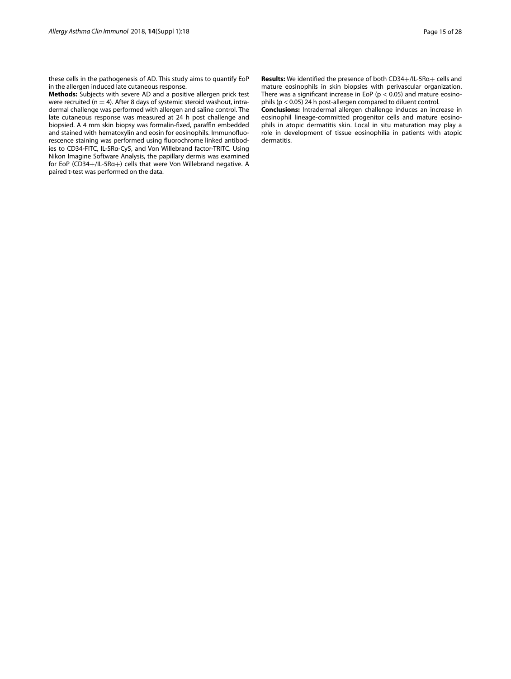these cells in the pathogenesis of AD. This study aims to quantify EoP in the allergen induced late cutaneous response.

**Methods:** Subjects with severe AD and a positive allergen prick test were recruited  $(n = 4)$ . After 8 days of systemic steroid washout, intradermal challenge was performed with allergen and saline control. The late cutaneous response was measured at 24 h post challenge and biopsied. A 4 mm skin biopsy was formalin-fixed, paraffin embedded and stained with hematoxylin and eosin for eosinophils. Immunofuorescence staining was performed using fuorochrome linked antibodies to CD34-FITC, IL-5Rα-Cy5, and Von Willebrand factor-TRITC. Using Nikon Imagine Software Analysis, the papillary dermis was examined for EoP (CD34+/IL-5Rα+) cells that were Von Willebrand negative. A paired t-test was performed on the data.

**Results:** We identifed the presence of both CD34+/IL-5Rα+ cells and mature eosinophils in skin biopsies with perivascular organization. There was a significant increase in EoP ( $p < 0.05$ ) and mature eosinophils ( $p < 0.05$ ) 24 h post-allergen compared to diluent control.

**Conclusions:** Intradermal allergen challenge induces an increase in eosinophil lineage-committed progenitor cells and mature eosinophils in atopic dermatitis skin. Local in situ maturation may play a role in development of tissue eosinophilia in patients with atopic dermatitis.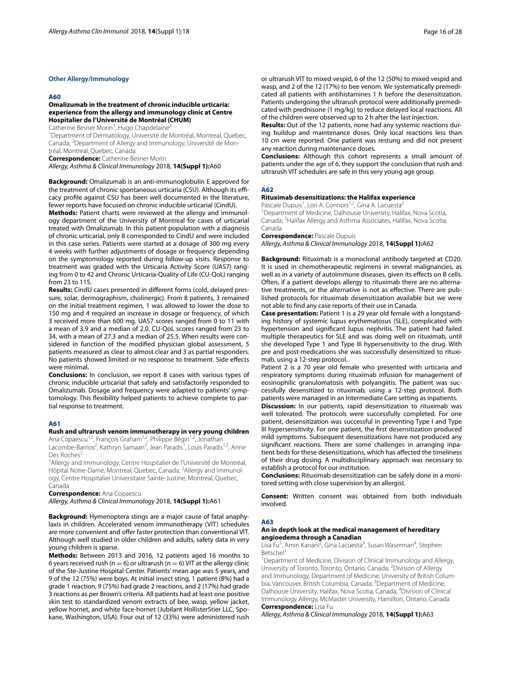# **Other Allergy/Immunology**

#### **A60**

# **Omalizumab in the treatment of chronic inducible urticaria: experience from the allergy and immunology clinic at Centre Hospitalier de l'Université de Montréal (CHUM)**

Catherine Besner Morin<sup>1</sup>, Hugo Chapdelaine<sup>2</sup>

<sup>1</sup>Department of Dermatology, Université de Montréal, Montreal, Quebec, Canada; <sup>2</sup>Department of Allergy and Immunology, Université de Montréal, Montreal, Quebec, Canada

**Correspondence:** Catherine Besner Morin

*Allergy, Asthma & Clinical Immunology* 2018, **14(Suppl 1):**A60

**Background:** Omalizumab is an anti-immunoglobulin E approved for the treatment of chronic spontaneous urticaria (CSU). Although its efficacy profle against CSU has been well documented in the literature, fewer reports have focused on chronic inducible urticarial (CindU).

**Methods:** Patient charts were reviewed at the allergy and immunology department of the University of Montreal for cases of urticarial treated with Omalizumab. In this patient population with a diagnosis of chronic urticarial, only 8 corresponded to CindU and were included in this case series. Patients were started at a dosage of 300 mg every 4 weeks with further adjustments of dosage or frequency depending on the symptomology reported during follow-up visits. Response to treatment was graded with the Urticaria Activity Score (UAS7) ranging from 0 to 42 and Chronic Urticaria-Quality of Life (CU-QoL) ranging from 23 to 115.

**Results:** CindU cases presented in diferent forms (cold, delayed pressure, solar, dermographism, cholinergic). From 8 patients, 3 remained on the initial treatment regimen, 1 was allowed to lower the dose to 150 mg and 4 required an increase in dosage or frequency, of which 3 received more than 600 mg. UAS7 scores ranged from 0 to 11 with a mean of 3.9 and a median of 2.0. CU-QoL scores ranged from 23 to 34, with a mean of 27.3 and a median of 25.5. When results were considered in function of the modifed physician global assessment, 5 patients measured as clear to almost clear and 3 as partial responders. No patients showed limited or no response to treatment. Side efects were minimal.

**Conclusions:** In conclusion, we report 8 cases with various types of chronic inducible urticarial that safely and satisfactorily responded to Omalizumab. Dosage and frequency were adapted to patients' symptomology. This fexibility helped patients to achieve complete to partial response to treatment.

# **A61**

#### **Rush and ultrarush venom immunotherapy in very young children**

Ana Copaescu<sup>1,2</sup>, François Graham<sup>1,2</sup>, Philippe Bégin<sup>1,2</sup>, Jonathan Lacombe-Barrios<sup>2</sup>, Kathryn Samaan<sup>2</sup>, Jean Paradis<sup>1</sup>, Louis Paradis<sup>1,2</sup>, Anne Des Roches<sup>2</sup>

<sup>1</sup> Allergy and Immunology, Centre Hospitalier de l'Université de Montréal, Hôpital Notre-Dame, Montreal, Quebec, Canada; <sup>2</sup>Allergy and Immunology, Centre Hospitalier Universitaire Sainte‑Justine, Montreal, Quebec, Canada

**Correspondence:** Ana Copaescu

*Allergy, Asthma & Clinical Immunology* 2018, **14(Suppl 1):**A61

**Background:** Hymenoptera stings are a major cause of fatal anaphylaxis in children. Accelerated venom immunotherapy (VIT) schedules are more convenient and offer faster protection than conventional VIT. Although well studied in older children and adults, safety data in very young children is sparse.

**Methods:** Between 2013 and 2016, 12 patients aged 16 months to 6 years received rush ( $n = 6$ ) or ultrarush ( $n = 6$ ) VIT at the allergy clinic of the Ste-Justine Hospital Center. Patients' mean age was 5 years, and 9 of the 12 (75%) were boys. At initial insect sting, 1 patient (8%) had a grade 1 reaction, 9 (75%) had grade 2 reactions, and 2 (17%) had grade 3 reactions as per Brown's criteria. All patients had at least one positive skin test to standardized venom extracts of bee, wasp, yellow jacket, yellow hornet, and white face-hornet (Jubilant HollisterStier LLC, Spokane, Washington, USA). Four out of 12 (33%) were administered rush

or ultrarush VIT to mixed vespid, 6 of the 12 (50%) to mixed vespid and wasp, and 2 of the 12 (17%) to bee venom. We systematically premedicated all patients with antihistamines 1 h before the desensitization. Patients undergoing the ultrarush protocol were additionally premedicated with prednisone (1 mg/kg) to reduce delayed local reactions. All of the children were observed up to 2 h after the last injection.

**Results:** Out of the 12 patients, none had any systemic reactions during buildup and maintenance doses. Only local reactions less than 10 cm were reported. One patient was restung and did not present any reaction during maintenance doses.

**Conclusions:** Although this cohort represents a small amount of patients under the age of 6, they support the conclusion that rush and ultrarush VIT schedules are safe in this very young age group.

# **A62**

# **Rituximab desensitizations: the Halifax experience**

Pascale Dupuis<sup>1</sup>, Lori A. Connors<sup>1,2</sup>, Gina A. Lacuesta<sup>2</sup> <sup>1</sup>Department of Medicine, Dalhousie University, Halifax, Nova Scotia, Canada; <sup>2</sup>Halifax Allergy and Asthma Associates, Halifax, Nova Scotia, Canada

**Correspondence:** Pascale Dupuis

*Allergy, Asthma & Clinical Immunology* 2018, **14(Suppl 1):**A62

**Background:** Rituximab is a monoclonal antibody targeted at CD20. It is used in chemotherapeutic regimens in several malignancies, as well as in a variety of autoimmune diseases, given its effects on B cells. Often, if a patient develops allergy to rituximab there are no alternative treatments, or the alternative is not as efective. There are published protocols for rituximab desensitization available but we were not able to fnd any case reports of their use in Canada.

**Case presentation:** Patient 1 is a 29 year old female with a longstanding history of systemic lupus erythematosus (SLE), complicated with hypertension and signifcant lupus nephritis. The patient had failed multiple therapeutics for SLE and was doing well on rituximab, until she developed Type 1 and Type III hypersensitivity to the drug. With pre and post-medications she was successfully desensitized to rituximab, using a 12-step protocol.

Patient 2 is a 70 year old female who presented with urticaria and respiratory symptoms during rituximab infusion for management of eosinophilic granulomatosis with polyangiitis. The patient was successfully desensitized to rituximab, using a 12-step protocol. Both patients were managed in an Intermediate Care setting as inpatients.

**Discussion:** In our patients, rapid desensitization to rituximab was well tolerated. The protocols were successfully completed. For one patient, desensitization was successful in preventing Type I and Type III hypersensitivity. For one patient, the frst desensitization produced mild symptoms. Subsequent desensitizations have not produced any signifcant reactions. There are some challenges in arranging inpatient beds for these desensitizations, which has afected the timeliness of their drug dosing. A multidisciplinary approach was necessary to establish a protocol for our institution.

**Conclusions:** Rituximab desensitization can be safely done in a monitored setting with close supervision by an allergist.

**Consent:** Written consent was obtained from both individuals involved.

#### **A63**

# **An in depth look at the medical management of hereditary angioedema through a Canadian**

Lisa Fu<sup>1</sup>, Amin Kanani<sup>2</sup>, Gina Lacuesta<sup>3</sup>, Susan Waserman<sup>4</sup>, Stephen Betschel

<sup>1</sup>Department of Medicine, Division of Clinical Immunology and Allergy, University of Toronto, Toronto, Ontario, Canada; <sup>2</sup> Division of Allergy and Immunology, Department of Medicine, University of British Columbia, Vancouver, British Columbia, Canada; <sup>3</sup>Department of Medicine, Dalhousie University, Halifax, Nova Scotia, Canada; 4 Division of Clinical Immunology Allergy, McMaster University, Hamilton, Ontario, Canada **Correspondence:** Lisa Fu

*Allergy, Asthma & Clinical Immunology* 2018, **14(Suppl 1):**A63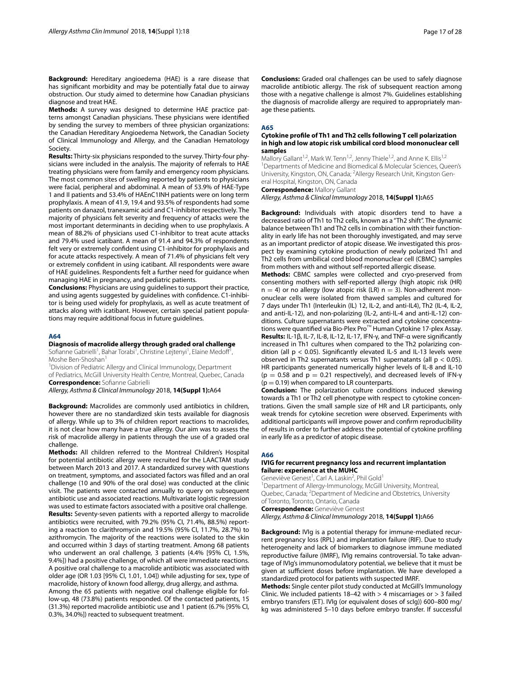**Background:** Hereditary angioedema (HAE) is a rare disease that has signifcant morbidity and may be potentially fatal due to airway obstruction. Our study aimed to determine how Canadian physicians diagnose and treat HAE.

**Methods:** A survey was designed to determine HAE practice patterns amongst Canadian physicians. These physicians were identifed by sending the survey to members of three physician organizations: the Canadian Hereditary Angioedema Network, the Canadian Society of Clinical Immunology and Allergy, and the Canadian Hematology Society.

**Results:** Thirty-six physicians responded to the survey. Thirty-four physicians were included in the analysis. The majority of referrals to HAE treating physicians were from family and emergency room physicians. The most common sites of swelling reported by patients to physicians were facial, peripheral and abdominal. A mean of 53.9% of HAE-Type 1 and II patients and 53.4% of HAEnC1INH patients were on long term prophylaxis. A mean of 41.9, 19.4 and 93.5% of respondents had some patients on danazol, tranexamic acid and C1-inhibitor respectively. The majority of physicians felt severity and frequency of attacks were the most important determinants in deciding when to use prophylaxis. A mean of 88.2% of physicians used C1-inhibitor to treat acute attacks and 79.4% used icatibant. A mean of 91.4 and 94.3% of respondents felt very or extremely confdent using C1-inhibitor for prophylaxis and for acute attacks respectively. A mean of 71.4% of physicians felt very or extremely confdent in using icatibant. All respondents were aware of HAE guidelines. Respondents felt a further need for guidance when managing HAE in pregnancy, and pediatric patients.

**Conclusions:** Physicians are using guidelines to support their practice, and using agents suggested by guidelines with confdence. C1-inhibitor is being used widely for prophylaxis, as well as acute treatment of attacks along with icatibant. However, certain special patient populations may require additional focus in future guidelines.

#### **A64**

# **Diagnosis of macrolide allergy through graded oral challenge**

Sofianne Gabrielli<sup>1</sup>, Bahar Torabi<sup>1</sup>, Christine Lejtenyi<sup>1</sup>, Elaine Medoff<sup>i</sup>, Moshe Ben-Shoshan<sup>1</sup>

<sup>1</sup> Division of Pediatric Allergy and Clinical Immunology, Department of Pediatrics, McGill University Health Centre, Montreal, Quebec, Canada **Correspondence:** Sofanne Gabrielli

*Allergy, Asthma & Clinical Immunology* 2018, **14(Suppl 1):**A64

**Background:** Macrolides are commonly used antibiotics in children, however there are no standardized skin tests available for diagnosis of allergy. While up to 3% of children report reactions to macrolides, it is not clear how many have a true allergy. Our aim was to assess the risk of macrolide allergy in patients through the use of a graded oral challenge.

**Methods:** All children referred to the Montreal Children's Hospital for potential antibiotic allergy were recruited for the LAACTAM study between March 2013 and 2017. A standardized survey with questions on treatment, symptoms, and associated factors was flled and an oral challenge (10 and 90% of the oral dose) was conducted at the clinic visit. The patients were contacted annually to query on subsequent antibiotic use and associated reactions. Multivariate logistic regression was used to estimate factors associated with a positive oral challenge. **Results:** Seventy-seven patients with a reported allergy to macrolide antibiotics were recruited, with 79.2% (95% CI, 71.4%, 88.5%) reporting a reaction to clarithromycin and 19.5% (95% CI, 11.7%, 28.7%) to

azithromycin. The majority of the reactions were isolated to the skin and occurred within 3 days of starting treatment. Among 68 patients who underwent an oral challenge, 3 patients (4.4% [95% CI, 1.5%, 9.4%]) had a positive challenge, of which all were immediate reactions. A positive oral challenge to a macrolide antibiotic was associated with older age (OR 1.03 [95% CI, 1.01, 1.04]) while adjusting for sex, type of macrolide, history of known food allergy, drug allergy, and asthma.

Among the 65 patients with negative oral challenge eligible for follow-up, 48 (73.8%) patients responded. Of the contacted patients, 15 (31.3%) reported macrolide antibiotic use and 1 patient (6.7% [95% CI, 0.3%, 34.0%]) reacted to subsequent treatment.

**Conclusions:** Graded oral challenges can be used to safely diagnose macrolide antibiotic allergy. The risk of subsequent reaction among those with a negative challenge is almost 7%. Guidelines establishing the diagnosis of macrolide allergy are required to appropriately manage these patients.

#### **A65**

#### **Cytokine profle of Th1 and Th2 cells following T cell polarization in high and low atopic risk umbilical cord blood mononuclear cell samples**

Mallory Gallant<sup>1,2</sup>, Mark W. Tenn<sup>1,2</sup>, Jenny Thiele<sup>1,2</sup>, and Anne K. Ellis<sup>1,2</sup> <sup>1</sup> Departments of Medicine and Biomedical & Molecular Sciences, Queen's University, Kingston, ON, Canada; <sup>2</sup>Allergy Research Unit, Kingston General Hospital, Kingston, ON, Canada

**Correspondence:** Mallory Gallant

*Allergy, Asthma & Clinical Immunology* 2018, **14(Suppl 1):**A65

**Background:** Individuals with atopic disorders tend to have a decreased ratio of Th1 to Th2 cells, known as a "Th2 shift". The dynamic balance between Th1 and Th2 cells in combination with their functionality in early life has not been thoroughly investigated, and may serve as an important predictor of atopic disease. We investigated this prospect by examining cytokine production of newly polarized Th1 and Th2 cells from umbilical cord blood mononuclear cell (CBMC) samples from mothers with and without self-reported allergic disease.

**Methods:** CBMC samples were collected and cryo-preserved from consenting mothers with self-reported allergy (high atopic risk (HR)  $n = 4$ ) or no allergy (low atopic risk (LR)  $n = 3$ ). Non-adherent mononuclear cells were isolated from thawed samples and cultured for 7 days under Th1 (Interleukin (IL) 12, IL-2, and anti-IL4), Th2 (IL-4, IL-2, and anti-IL-12), and non-polarizing (IL-2, anti-IL-4 and anti-IL-12) conditions. Culture supernatants were extracted and cytokine concentrations were quantifed via Bio-Plex Pro™ Human Cytokine 17-plex Assay. **Results:** IL-1β, IL-7, IL-8, IL-12, IL-17, IFN-γ, and TNF-α were signifcantly increased in Th1 cultures when compared to the Th2 polarizing condition (all  $p < 0.05$ ). Significantly elevated IL-5 and IL-13 levels were observed in Th2 supernatants versus Th1 supernatants (all p < 0.05). HR participants generated numerically higher levels of IL-8 and IL-10 (p = 0.58 and p = 0.21 respectively), and decreased levels of IFN- $\gamma$  $(p = 0.19)$  when compared to LR counterparts.

**Conclusion:** The polarization culture conditions induced skewing towards a Th1 or Th2 cell phenotype with respect to cytokine concentrations. Given the small sample size of HR and LR participants, only weak trends for cytokine secretion were observed. Experiments with additional participants will improve power and confrm reproducibility of results in order to further address the potential of cytokine profling in early life as a predictor of atopic disease.

#### **A66**

#### **IVIG for recurrent pregnancy loss and recurrent implantation failure: experience at the MUHC**

Geneviève Genest<sup>1</sup>, Carl A. Laskin<sup>2</sup>, Phil Gold<sup>1</sup> <sup>1</sup>Department of Allergy-Immunology, McGill University, Montreal, Quebec, Canada; <sup>2</sup>Department of Medicine and Obstetrics, University of Toronto, Toronto, Ontario, Canada **Correspondence:** Geneviève Genest

*Allergy, Asthma & Clinical Immunology* 2018, **14(Suppl 1):**A66

**Background:** IVIg is a potential therapy for immune-mediated recurrent pregnancy loss (RPL) and implantation failure (RIF). Due to study heterogeneity and lack of biomarkers to diagnose immune mediated reproductive failure (IMRF), IVIg remains controversial. To take advantage of IVIg's immunomodulatory potential, we believe that it must be given at sufficient doses before implantation. We have developed a standardized protocol for patients with suspected IMRF.

**Methods:** Single center pilot study conducted at McGill's Immunology Clinic. We included patients 18–42 with  $>$  4 miscarriages or  $>$  3 failed embryo transfers (ET). IVIg (or equivalent doses of scIg)) 600–800 mg/ kg was administered 5–10 days before embryo transfer. If successful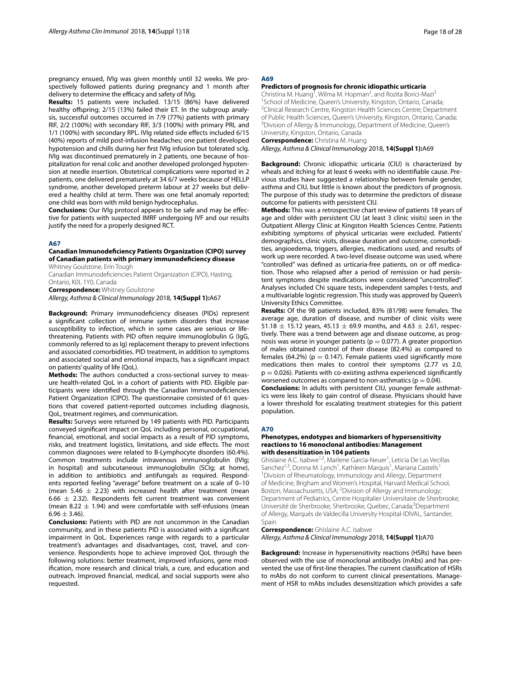pregnancy ensued, IVIg was given monthly until 32 weeks. We prospectively followed patients during pregnancy and 1 month after delivery to determine the efficacy and safety of IVIg.

**Results:** 15 patients were included. 13/15 (86%) have delivered healthy offspring; 2/15 (13%) failed their ET. In the subgroup analysis, successful outcomes occurred in 7/9 (77%) patients with primary RIF, 2/2 (100%) with secondary RIF, 3/3 (100%) with primary PRL and 1/1 (100%) with secondary RPL. IVIg related side effects included 6/15 (40%) reports of mild post-infusion headaches; one patient developed hypotension and chills during her frst IVIg infusion but tolerated scIg. IVIg was discontinued prematurely in 2 patients, one because of hospitalization for renal colic and another developed prolonged hypotension at needle insertion. Obstetrical complications were reported in 2 patients, one delivered prematurely at 34 6/7 weeks because of HELLP syndrome, another developed preterm labour at 27 weeks but delivered a healthy child at term. There was one fetal anomaly reported; one child was born with mild benign hydrocephalus.

**Conclusions:** Our IVIg protocol appears to be safe and may be efective for patients with suspected IMRF undergoing IVF and our results justify the need for a properly designed RCT.

#### **A67**

# **Canadian Immunodefciency Patients Organization (CIPO) survey of Canadian patients with primary immunodefciency disease**

Whitney Goulstone, Erin Tough

Canadian Immunodefciencies Patient Organization (CIPO), Hasting, Ontario, K0L 1Y0, Canada

**Correspondence:** Whitney Goulstone

*Allergy, Asthma & Clinical Immunology* 2018, **14(Suppl 1):**A67

**Background:** Primary immunodefciency diseases (PIDs) represent a signifcant collection of immune system disorders that increase susceptibility to infection, which in some cases are serious or lifethreatening. Patients with PID often require immunoglobulin G (IgG, commonly referred to as Ig) replacement therapy to prevent infections and associated comorbidities. PID treatment, in addition to symptoms and associated social and emotional impacts, has a signifcant impact on patients' quality of life (QoL).

**Methods:** The authors conducted a cross-sectional survey to measure health-related QoL in a cohort of patients with PID. Eligible participants were identifed through the Canadian Immunodefciencies Patient Organization (CIPO). The questionnaire consisted of 61 questions that covered patient-reported outcomes including diagnosis, QoL, treatment regimes, and communication.

**Results:** Surveys were returned by 149 patients with PID. Participants conveyed signifcant impact on QoL including personal, occupational, fnancial, emotional, and social impacts as a result of PID symptoms, risks, and treatment logistics, limitations, and side efects. The most common diagnoses were related to B-Lymphocyte disorders (60.4%). Common treatments include intravenous immunoglobulin (IVIg; in hospital) and subcutaneous immunoglobulin (SCIg; at home), in addition to antibiotics and antifungals as required. Respondents reported feeling "average" before treatment on a scale of 0–10 (mean 5.46  $\pm$  2.23) with increased health after treatment (mean 6.66  $\pm$  2.32). Respondents felt current treatment was convenient (mean 8.22  $\pm$  1.94) and were comfortable with self-infusions (mean  $6.96 \pm 3.46$ ).

**Conclusions:** Patients with PID are not uncommon in the Canadian community, and in these patients PID is associated with a signifcant impairment in QoL. Experiences range with regards to a particular treatment's advantages and disadvantages, cost, travel, and convenience. Respondents hope to achieve improved QoL through the following solutions: better treatment, improved infusions, gene modifcation, more research and clinical trials, a cure, and education and outreach. Improved fnancial, medical, and social supports were also requested.

# **A69**

#### **Predictors of prognosis for chronic idiopathic urticaria**

Christina M. Huang<sup>1</sup>, Wilma M. Hopman<sup>2</sup>, and Rozita Borici-Mazi<sup>3</sup> <sup>1</sup>School of Medicine, Queen's University, Kingston, Ontario, Canada;<br><sup>2</sup>Clinical Besearch Centre, Kingston Health Sciences Centre: Departr <sup>2</sup>Clinical Research Centre, Kingston Health Sciences Centre; Department of Public Health Sciences, Queen's University, Kingston, Ontario, Canada; 3 <sup>3</sup> Division of Allergy & Immunology, Department of Medicine, Queen's University, Kingston, Ontario, Canada

**Correspondence:** Christina M. Huang

*Allergy, Asthma & Clinical Immunology* 2018, **14(Suppl 1):**A69

**Background:** Chronic idiopathic urticaria (CIU) is characterized by wheals and itching for at least 6 weeks with no identifable cause. Previous studies have suggested a relationship between female gender, asthma and CIU, but little is known about the predictors of prognosis. The purpose of this study was to determine the predictors of disease outcome for patients with persistent CIU.

**Methods:** This was a retrospective chart review of patients 18 years of age and older with persistent CIU (at least 3 clinic visits) seen in the Outpatient Allergy Clinic at Kingston Health Sciences Centre. Patients exhibiting symptoms of physical urticarias were excluded. Patients' demographics, clinic visits, disease duration and outcome, comorbidities, angioedema, triggers, allergies, medications used, and results of work up were recorded. A two-level disease outcome was used, where "controlled" was defined as urticaria-free patients, on or off medication. Those who relapsed after a period of remission or had persistent symptoms despite medications were considered "uncontrolled". Analyses included Chi square tests, independent samples t-tests, and a multivariable logistic regression. This study was approved by Queen's University Ethics Committee.

**Results:** Of the 98 patients included, 83% (81/98) were females. The average age, duration of disease, and number of clinic visits were 51.18  $\pm$  15.12 years, 45.13  $\pm$  69.9 months, and 4.63  $\pm$  2.61, respectively. There was a trend between age and disease outcome, as prognosis was worse in younger patients ( $p = 0.077$ ). A greater proportion of males obtained control of their disease (82.4%) as compared to females (64.2%) ( $p = 0.147$ ). Female patients used significantly more medications then males to control their symptoms (2.77 vs 2.0,  $p = 0.026$ ). Patients with co-existing asthma experienced significantly worsened outcomes as compared to non-asthmatics ( $p = 0.04$ ).

**Conclusions:** In adults with persistent CIU, younger female asthmatics were less likely to gain control of disease. Physicians should have a lower threshold for escalating treatment strategies for this patient population.

#### **A70**

# **Phenotypes, endotypes and biomarkers of hypersensitivity reactions to 16 monoclonal antibodies: Management with desensitization in 104 patients**

Ghislaine A.C. Isabwe<sup>1,2</sup>, Marlene Garcia-Neuer<sup>1</sup>, Leticia De Las Vecillas Sanchez<sup>1,3</sup>, Donna M. Lynch<sup>1</sup>, Kathleen Marquis<sup>1</sup>, Mariana Castells<sup>1</sup> 1 Division of Rheumatology, Immunology and Allergy; Department of Medicine, Brigham and Women's Hospital, Harvard Medical School, Boston, Massachusetts, USA; <sup>2</sup> Division of Allergy and Immunology; Department of Pediatrics, Centre Hospitalier Universitaire de Sherbrooke, Université de Sherbrooke, Sherbrooke, Quebec, Canada;<sup>3</sup>Department of Allergy, Marqués de Valdecilla University Hospital-IDIVAL, Santander, Spain

# **Correspondence:** Ghislaine A.C. Isabwe

*Allergy, Asthma & Clinical Immunology* 2018, **14(Suppl 1):**A70

**Background:** Increase in hypersensitivity reactions (HSRs) have been observed with the use of monoclonal antibodys (mAbs) and has prevented the use of frst-line therapies. The current classifcation of HSRs to mAbs do not conform to current clinical presentations. Management of HSR to mAbs includes desensitization which provides a safe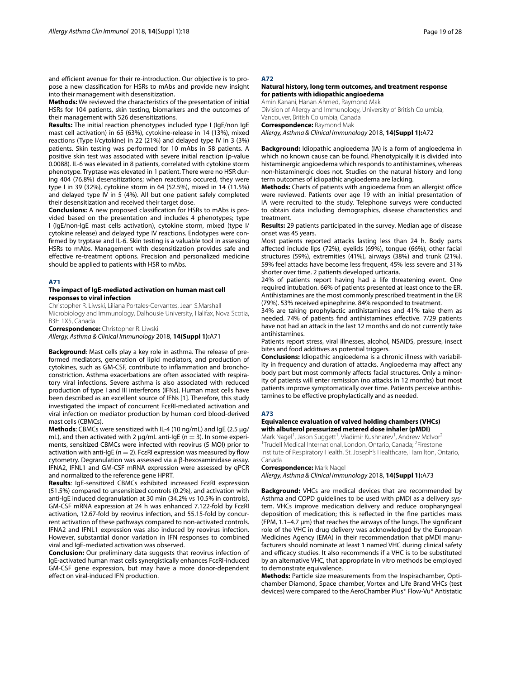and efficient avenue for their re-introduction. Our objective is to propose a new classifcation for HSRs to mAbs and provide new insight into their management with desensitization.

**Methods:** We reviewed the characteristics of the presentation of initial HSRs for 104 patients, skin testing, biomarkers and the outcomes of their management with 526 desensitizations.

**Results:** The initial reaction phenotypes included type I (IgE/non IgE mast cell activation) in 65 (63%), cytokine-release in 14 (13%), mixed reactions (Type I/cytokine) in 22 (21%) and delayed type IV in 3 (3%) patients. Skin testing was performed for 10 mAbs in 58 patients. A positive skin test was associated with severe initial reaction (p-value 0.0088). IL-6 was elevated in 8 patients, correlated with cytokine storm phenotype. Tryptase was elevated in 1 patient. There were no HSR during 404 (76.8%) desensitizations; when reactions occured, they were type I in 39 (32%), cytokine storm in 64 (52.5%), mixed in 14 (11.5%) and delayed type IV in 5 (4%). All but one patient safely completed their desensitization and received their target dose.

**Conclusions:** A new proposed classifcation for HSRs to mAbs is provided based on the presentation and includes 4 phenotypes; type I (IgE/non-IgE mast cells activation), cytokine storm, mixed (type I/ cytokine release) and delayed type IV reactions. Endotypes were confrmed by tryptase and IL-6. Skin testing is a valuable tool in assessing HSRs to mAbs. Management with desensitization provides safe and efective re-treatment options. Precision and personalized medicine should be applied to patients with HSR to mAbs.

#### **A71**

# **The impact of IgE‑mediated activation on human mast cell responses to viral infection**

Christopher R. Liwski, Liliana Portales‑Cervantes, Jean S.Marshall

Microbiology and Immunology, Dalhousie University, Halifax, Nova Scotia, B3H 1X5, Canada

**Correspondence:** Christopher R. Liwski

*Allergy, Asthma & Clinical Immunology* 2018, **14(Suppl 1):**A71

**Background**: Mast cells play a key role in asthma. The release of preformed mediators, generation of lipid mediators, and production of cytokines, such as GM-CSF, contribute to infammation and bronchoconstriction. Asthma exacerbations are often associated with respiratory viral infections. Severe asthma is also associated with reduced production of type I and III interferons (IFNs). Human mast cells have been described as an excellent source of IFNs [1]. Therefore, this study investigated the impact of concurrent FcεRI-mediated activation and viral infection on mediator production by human cord blood-derived mast cells (CBMCs).

**Methods**: CBMCs were sensitized with IL-4 (10 ng/mL) and IgE (2.5 µg/ mL), and then activated with 2  $\mu$ g/mL anti-IgE (n = 3). In some experiments, sensitized CBMCs were infected with reovirus (5 MOI) prior to activation with anti-IgE ( $n = 2$ ). Fc $\varepsilon$ RI expression was measured by flow cytometry. Degranulation was assessed via a β-hexosaminidase assay. IFNA2, IFNL1 and GM-CSF mRNA expression were assessed by qPCR and normalized to the reference gene HPRT.

**Results**: IgE-sensitized CBMCs exhibited increased FcεRI expression (51.5%) compared to unsensitized controls (0.2%), and activation with anti-IgE induced degranulation at 30 min (34.2% vs 10.5% in controls). GM-CSF mRNA expression at 24 h was enhanced 7.122-fold by FcεRI activation, 12.67-fold by reovirus infection, and 55.15-fold by concurrent activation of these pathways compared to non-activated controls. IFNA2 and IFNL1 expression was also induced by reovirus infection. However, substantial donor variation in IFN responses to combined viral and IgE-mediated activation was observed.

**Conclusion:** Our preliminary data suggests that reovirus infection of IgE-activated human mast cells synergistically enhances FcεRI-induced GM-CSF gene expression, but may have a more donor-dependent efect on viral-induced IFN production.

# **A72**

# **Natural history, long term outcomes, and treatment response for patients with idiopathic angioedema**

Amin Kanani, Hanan Ahmed, Raymond Mak Division of Allergy and Immunology, University of British Columbia, Vancouver, British Columbia, Canada

**Correspondence:** Raymond Mak

*Allergy, Asthma & Clinical Immunology* 2018, **14(Suppl 1):**A72

**Background:** Idiopathic angioedema (IA) is a form of angioedema in which no known cause can be found. Phenotypically it is divided into histaminergic angioedema which responds to antihistamines, whereas non-histaminergic does not. Studies on the natural history and long term outcomes of idiopathic angioedema are lacking.

Methods: Charts of patients with angioedema from an allergist office were reviewed. Patients over age 19 with an initial presentation of IA were recruited to the study. Telephone surveys were conducted to obtain data including demographics, disease characteristics and treatment.

**Results:** 29 patients participated in the survey. Median age of disease onset was 45 years.

Most patients reported attacks lasting less than 24 h. Body parts afected include lips (72%), eyelids (69%), tongue (66%), other facial structures (59%), extremities (41%), airways (38%) and trunk (21%). 59% feel attacks have become less frequent, 45% less severe and 31% shorter over time. 2 patients developed urticaria.

24% of patients report having had a life threatening event. One required intubation. 66% of patients presented at least once to the ER. Antihistamines are the most commonly prescribed treatment in the ER (79%). 53% received epinephrine. 84% responded to treatment.

34% are taking prophylactic antihistamines and 41% take them as needed. 74% of patients fnd antihistamines efective. 7/29 patients have not had an attack in the last 12 months and do not currently take antihistamines.

Patients report stress, viral illnesses, alcohol, NSAIDS, pressure, insect bites and food additives as potential triggers.

**Conclusions:** Idiopathic angioedema is a chronic illness with variability in frequency and duration of attacks. Angioedema may afect any body part but most commonly afects facial structures. Only a minority of patients will enter remission (no attacks in 12 months) but most patients improve symptomatically over time. Patients perceive antihistamines to be efective prophylactically and as needed.

#### **A73**

# **Equivalence evaluation of valved holding chambers (VHCs) with albuterol pressurized metered dose inhaler (pMDI)**

Mark Nagel<sup>1</sup>, Jason Suggett<sup>1</sup>, Vladimir Kushnarev<sup>1</sup>, Andrew McIvor<sup>2</sup> <sup>1</sup>Trudell Medical International, London, Ontario, Canada; <sup>2</sup>Firestone Institute of Respiratory Health, St. Joseph's Healthcare, Hamilton, Ontario, Canada

**Correspondence:** Mark Nagel

*Allergy, Asthma & Clinical Immunology* 2018, **14(Suppl 1):**A73

**Background:** VHCs are medical devices that are recommended by Asthma and COPD guidelines to be used with pMDI as a delivery system. VHCs improve medication delivery and reduce oropharyngeal deposition of medication; this is refected in the fne particles mass (FPM, 1.1–4.7 µm) that reaches the airways of the lungs. The signifcant role of the VHC in drug delivery was acknowledged by the European Medicines Agency (EMA) in their recommendation that pMDI manufacturers should nominate at least 1 named VHC during clinical safety and efficacy studies. It also recommends if a VHC is to be substituted by an alternative VHC, that appropriate in vitro methods be employed to demonstrate equivalence.

**Methods:** Particle size measurements from the Inspirachamber, Optichamber Diamond, Space chamber, Vortex and Life Brand VHCs (test devices) were compared to the AeroChamber Plus\* Flow-Vu\* Antistatic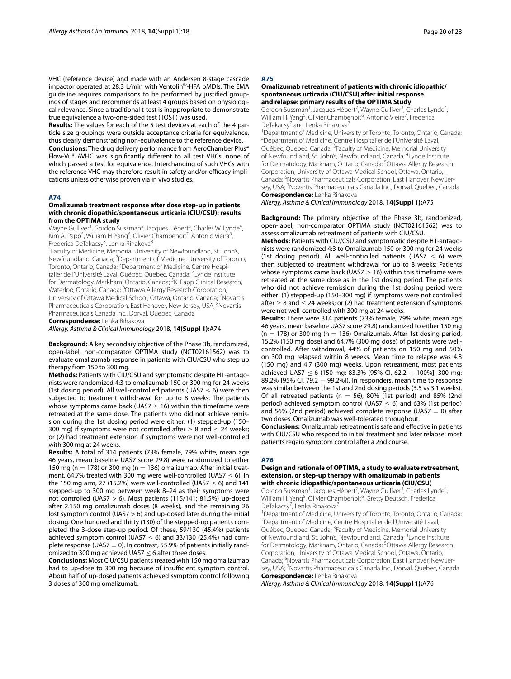VHC (reference device) and made with an Andersen 8-stage cascade impactor operated at 28.3 L/min with Ventolin®-HFA pMDIs. The EMA guideline requires comparisons to be performed by justifed groupings of stages and recommends at least 4 groups based on physiological relevance. Since a traditional t-test is inappropriate to demonstrate true equivalence a two-one-sided test (TOST) was used.

**Results:** The values for each of the 5 test devices at each of the 4 particle size groupings were outside acceptance criteria for equivalence, thus clearly demonstrating non-equivalence to the reference device. **Conclusions:** The drug delivery performance from AeroChamber Plus\* Flow-Vu\* AVHC was signifcantly diferent to all test VHCs, none of which passed a test for equivalence. Interchanging of such VHCs with the reference VHC may therefore result in safety and/or efficacy implications unless otherwise proven via in vivo studies.

# **A74**

#### **Omalizumab treatment response after dose step‑up in patients with chronic diopathic/spontaneous urticaria (CIU/CSU): results from the OPTIMA study**

Wayne Gulliver<sup>1</sup>, Gordon Sussman<sup>2</sup>, Jacques Hébert<sup>3</sup>, Charles W. Lynde<sup>4</sup>, Kim A. Papp<sup>5</sup>, William H. Yang<sup>6</sup>, Olivier Chambenoit<sup>7</sup>, Antonio Vieira<sup>8</sup>, Frederica DeTakacsy<sup>8</sup>, Lenka Rihakova<sup>8</sup>

<sup>1</sup> Faculty of Medicine, Memorial University of Newfoundland, St. John's, Newfoundland, Canada; <sup>2</sup>Department of Medicine, University of Toronto, Toronto, Ontario, Canada; <sup>3</sup>Department of Medicine, Centre Hospitalier de l'Université Laval, Québec, Quebec, Canada; <sup>4</sup>Lynde Institute for Dermatology, Markham, Ontario, Canada; <sup>5</sup>K. Papp Clinical Research, Waterloo, Ontario, Canada; <sup>6</sup>Ottawa Allergy Research Corporation, University of Ottawa Medical School, Ottawa, Ontario, Canada; <sup>7</sup>Novartis Pharmaceuticals Corporation, East Hanover, New Jersey, USA; <sup>8</sup>Novartis Pharmaceuticals Canada Inc., Dorval, Quebec, Canada

**Correspondence:** Lenka Rihakova

*Allergy, Asthma & Clinical Immunology* 2018, **14(Suppl 1):**A74

**Background:** A key secondary objective of the Phase 3b, randomized, open-label, non-comparator OPTIMA study (NCT02161562) was to evaluate omalizumab response in patients with CIU/CSU who step up therapy from 150 to 300 mg.

**Methods:** Patients with CIU/CSU and symptomatic despite H1-antagonists were randomized 4:3 to omalizumab 150 or 300 mg for 24 weeks (1st dosing period). All well-controlled patients (UAS7  $\leq$  6) were then subjected to treatment withdrawal for up to 8 weeks. The patients whose symptoms came back (UAS7  $\geq$  16) within this timeframe were retreated at the same dose. The patients who did not achieve remission during the 1st dosing period were either: (1) stepped-up (150– 300 mg) if symptoms were not controlled after  $\geq 8$  and  $\leq 24$  weeks; or (2) had treatment extension if symptoms were not well-controlled with 300 mg at 24 weeks.

**Results:** A total of 314 patients (73% female, 79% white, mean age 46 years, mean baseline UAS7 score 29.8) were randomized to either 150 mg (n = 178) or 300 mg (n = 136) omalizumab. After initial treatment, 64.7% treated with 300 mg were well-controlled (UAS7 ≤ 6). In the 150 mg arm, 27 (15.2%) were well-controlled (UAS7  $\leq$  6) and 141 stepped-up to 300 mg between week 8–24 as their symptoms were not controlled (UAS7  $> 6$ ). Most patients (115/141: 81.5%) up-dosed after 2.150 mg omalizumab doses (8 weeks), and the remaining 26 lost symptom control (UAS7 > 6) and up-dosed later during the initial dosing. One hundred and thirty (130) of the stepped-up patients completed the 3-dose step-up period. Of these, 59/130 (45.4%) patients achieved symptom control (UAS7  $\leq$  6) and 33/130 (25.4%) had complete response (UAS7  $=$  0). In contrast, 55.9% of patients initially randomized to 300 mg achieved UAS7  $\leq$  6 after three doses.

**Conclusions:** Most CIU/CSU patients treated with 150 mg omalizumab had to up-dose to 300 mg because of insufficient symptom control. About half of up-dosed patients achieved symptom control following 3 doses of 300 mg omalizumab.

# **A75**

#### **Omalizumab retreatment of patients with chronic idiopathic/ spontaneous urticaria (CIU/CSU) after initial response and relapse: primary results of the OPTIMA Study**

Gordon Sussman<sup>1</sup>, Jacques Hébert<sup>2</sup>, Wayne Gulliver<sup>3</sup>, Charles Lynde<sup>4</sup>, William H. Yang<sup>5</sup>, Olivier Chambenoit<sup>6</sup>, Antonio Vieira<sup>7</sup>, Frederica DeTakacsy<sup>7</sup> and Lenka Rihakova<sup>7</sup>

<sup>1</sup> Department of Medicine, University of Toronto, Toronto, Ontario, Canada;<br><sup>2</sup> Department of Medicine, Centre Hospitalier de l'Université Laval Department of Medicine, Centre Hospitalier de l'Université Laval, Québec, Quebec, Canada; <sup>3</sup> Faculty of Medicine, Memorial University of Newfoundland, St. John's, Newfoundland, Canada; <sup>4</sup>Lynde Institute for Dermatology, Markham, Ontario, Canada; <sup>5</sup>Ottawa Allergy Research Corporation, University of Ottawa Medical School, Ottawa, Ontario, Canada; <sup>6</sup>Novartis Pharmaceuticals Corporation, East Hanover, New Jersey, USA; <sup>7</sup> Novartis Pharmaceuticals Canada Inc., Dorval, Quebec, Canada **Correspondence:** Lenka Rihakova

*Allergy, Asthma & Clinical Immunology* 2018, **14(Suppl 1):**A75

**Background:** The primary objective of the Phase 3b, randomized, open-label, non-comparator OPTIMA study (NCT02161562) was to assess omalizumab retreatment of patients with CIU/CSU.

**Methods:** Patients with CIU/CSU and symptomatic despite H1-antagonists were randomized 4:3 to Omalizumab 150 or 300 mg for 24 weeks (1st dosing period). All well-controlled patients (UAS7  $\leq$  6) were then subjected to treatment withdrawal for up to 8 weeks: Patients whose symptoms came back (UAS7  $\geq$  16) within this timeframe were retreated at the same dose as in the 1st dosing period. The patients who did not achieve remission during the 1st dosing period were either: (1) stepped-up (150–300 mg) if symptoms were not controlled after  $\geq 8$  and  $\leq 24$  weeks; or (2) had treatment extension if symptoms were not well-controlled with 300 mg at 24 weeks.

**Results:** There were 314 patients (73% female, 79% white, mean age 46 years, mean baseline UAS7 score 29.8) randomized to either 150 mg  $(n = 178)$  or 300 mg  $(n = 136)$  Omalizumab. After 1st dosing period, 15.2% (150 mg dose) and 64.7% (300 mg dose) of patients were wellcontrolled. After withdrawal, 44% of patients on 150 mg and 50% on 300 mg relapsed within 8 weeks. Mean time to relapse was 4.8 (150 mg) and 4.7 (300 mg) weeks. Upon retreatment, most patients achieved UAS7 ≤ 6 (150 mg: 83.3% [95% Cl, 62.2 – 100%]; 300 mg: 89.2% [95% Cl, 79.2 - 99.2%]). In responders, mean time to response was similar between the 1st and 2nd dosing periods (3.5 vs 3.1 weeks). Of all retreated patients ( $n = 56$ ), 80% (1st period) and 85% (2nd period) achieved symptom control (UAS7  $\leq$  6) and 63% (1st period) and 56% (2nd period) achieved complete response (UAS7  $=$  0) after two doses. Omalizumab was well-tolerated throughout.

**Conclusions:** Omalizumab retreatment is safe and effective in patients with CIU/CSU who respond to initial treatment and later relapse; most patients regain symptom control after a 2nd course.

#### **A76**

#### **Design and rationale of OPTIMA, a study to evaluate retreatment, extension, or step‑up therapy with omalizumab in patients with chronic idiopathic/spontaneous urticaria (CIU/CSU)**

Gordon Sussman<sup>1</sup>, Jacques Hébert<sup>2</sup>, Wayne Gulliver<sup>3</sup>, Charles Lynde<sup>4</sup>, William H. Yang<sup>5</sup>, Olivier Chambenoit<sup>6</sup>, Gretty Deutsch, Frederica DeTakacsy<sup>7</sup>, Lenka Rihakova<sup>7</sup>

<sup>1</sup> Department of Medicine, University of Toronto, Toronto, Ontario, Canada;<br><sup>2</sup> Department of Medicine, Centre Hospitalier de l'Université Laval <sup>2</sup>Department of Medicine, Centre Hospitalier de l'Université Laval, Québec, Quebec, Canada; <sup>3</sup> Faculty of Medicine, Memorial University of Newfoundland, St. John's, Newfoundland, Canada; <sup>4</sup>Lynde Institute for Dermatology, Markham, Ontario, Canada; <sup>5</sup>Ottawa Allergy Research Corporation, University of Ottawa Medical School, Ottawa, Ontario, Canada; <sup>6</sup>Novartis Pharmaceuticals Corporation, East Hanover, New Jersey, USA; <sup>7</sup> Novartis Pharmaceuticals Canada Inc., Dorval, Quebec, Canada **Correspondence:** Lenka Rihakova

*Allergy, Asthma & Clinical Immunology* 2018, **14(Suppl 1):**A76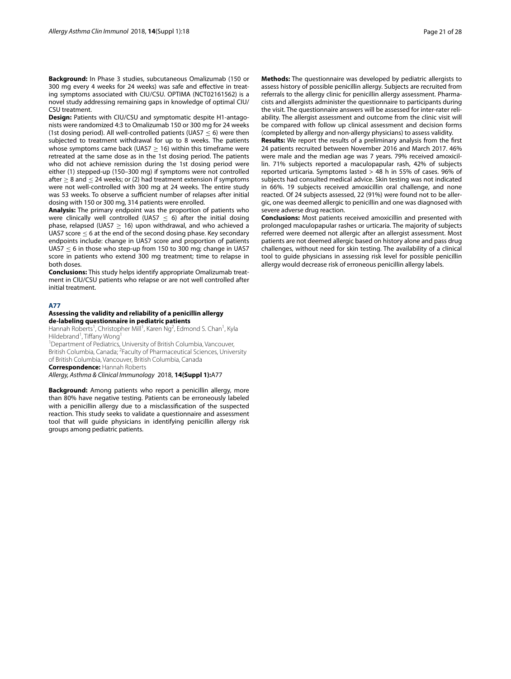**Background:** In Phase 3 studies, subcutaneous Omalizumab (150 or 300 mg every 4 weeks for 24 weeks) was safe and efective in treating symptoms associated with CIU/CSU. OPTIMA (NCT02161562) is a novel study addressing remaining gaps in knowledge of optimal CIU/ CSU treatment.

**Design:** Patients with CIU/CSU and symptomatic despite H1-antagonists were randomized 4:3 to Omalizumab 150 or 300 mg for 24 weeks (1st dosing period). All well-controlled patients (UAS7  $<$  6) were then subjected to treatment withdrawal for up to 8 weeks. The patients whose symptoms came back (UAS7  $\geq$  16) within this timeframe were retreated at the same dose as in the 1st dosing period. The patients who did not achieve remission during the 1st dosing period were either (1) stepped-up (150–300 mg) if symptoms were not controlled after  $> 8$  and  $< 24$  weeks; or (2) had treatment extension if symptoms were not well-controlled with 300 mg at 24 weeks. The entire study was 53 weeks. To observe a sufficient number of relapses after initial dosing with 150 or 300 mg, 314 patients were enrolled.

**Analysis:** The primary endpoint was the proportion of patients who were clinically well controlled (UAS7  $\leq$  6) after the initial dosing phase, relapsed (UAS7  $\geq$  16) upon withdrawal, and who achieved a UAS7 score  $\leq 6$  at the end of the second dosing phase. Key secondary endpoints include: change in UAS7 score and proportion of patients UAS7  $\leq$  6 in those who step-up from 150 to 300 mg; change in UAS7 score in patients who extend 300 mg treatment; time to relapse in both doses.

**Conclusions:** This study helps identify appropriate Omalizumab treatment in CIU/CSU patients who relapse or are not well controlled after initial treatment.

#### **A77**

# **Assessing the validity and reliability of a penicillin allergy de‑labeling questionnaire in pediatric patients**

Hannah Roberts<sup>1</sup>, Christopher Mill<sup>1</sup>, Karen Ng<sup>2</sup>, Edmond S. Chan<sup>1</sup>, Kyla Hildebrand<sup>1</sup>, Tiffany Wong<sup>1</sup>

<sup>1</sup>Department of Pediatrics, University of British Columbia, Vancouver, British Columbia, Canada; <sup>2</sup> Faculty of Pharmaceutical Sciences, University of British Columbia, Vancouver, British Columbia, Canada

**Correspondence:** Hannah Roberts

*Allergy, Asthma & Clinical Immunology* 2018, **14(Suppl 1):**A77

**Background:** Among patients who report a penicillin allergy, more than 80% have negative testing. Patients can be erroneously labeled with a penicillin allergy due to a misclassifcation of the suspected reaction. This study seeks to validate a questionnaire and assessment tool that will guide physicians in identifying penicillin allergy risk groups among pediatric patients.

**Methods:** The questionnaire was developed by pediatric allergists to assess history of possible penicillin allergy. Subjects are recruited from referrals to the allergy clinic for penicillin allergy assessment. Pharmacists and allergists administer the questionnaire to participants during the visit. The questionnaire answers will be assessed for inter-rater reliability. The allergist assessment and outcome from the clinic visit will be compared with follow up clinical assessment and decision forms (completed by allergy and non-allergy physicians) to assess validity.

**Results:** We report the results of a preliminary analysis from the frst 24 patients recruited between November 2016 and March 2017. 46% were male and the median age was 7 years. 79% received amoxicillin. 71% subjects reported a maculopapular rash, 42% of subjects reported urticaria. Symptoms lasted > 48 h in 55% of cases. 96% of subjects had consulted medical advice. Skin testing was not indicated in 66%. 19 subjects received amoxicillin oral challenge, and none reacted. Of 24 subjects assessed, 22 (91%) were found not to be allergic, one was deemed allergic to penicillin and one was diagnosed with severe adverse drug reaction.

**Conclusions:** Most patients received amoxicillin and presented with prolonged maculopapular rashes or urticaria. The majority of subjects referred were deemed not allergic after an allergist assessment. Most patients are not deemed allergic based on history alone and pass drug challenges, without need for skin testing. The availability of a clinical tool to guide physicians in assessing risk level for possible penicillin allergy would decrease risk of erroneous penicillin allergy labels.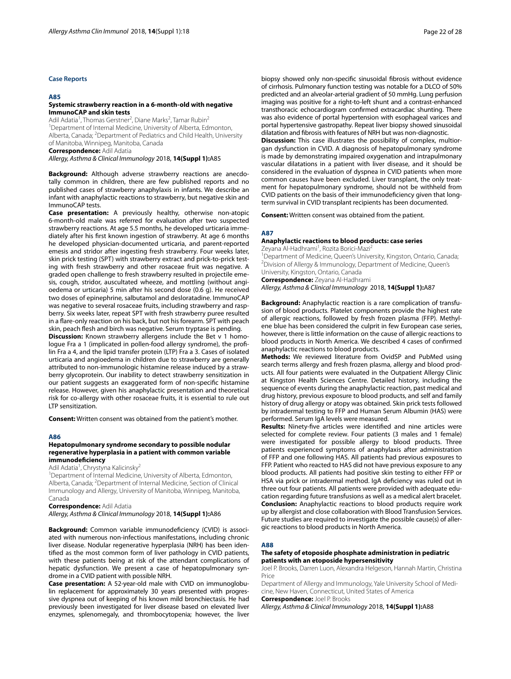# **Case Reports**

#### **A85**

#### **Systemic strawberry reaction in a 6‑month‑old with negative ImmunoCAP and skin tests**

Adil Adatia<sup>1</sup>, Thomas Gerstner<sup>2</sup>, Diane Marks<sup>2</sup>, Tamar Rubin<sup>2</sup> <sup>1</sup>Department of Internal Medicine, University of Alberta, Edmonton, Alberta, Canada; <sup>2</sup>Department of Pediatrics and Child Health, University of Manitoba, Winnipeg, Manitoba, Canada **Correspondence:** Adil Adatia

*Allergy, Asthma & Clinical Immunology* 2018, **14(Suppl 1):**A85

**Background:** Although adverse strawberry reactions are anecdotally common in children, there are few published reports and no published cases of strawberry anaphylaxis in infants. We describe an infant with anaphylactic reactions to strawberry, but negative skin and ImmunoCAP tests.

**Case presentation:** A previously healthy, otherwise non-atopic 6-month-old male was referred for evaluation after two suspected strawberry reactions. At age 5.5 months, he developed urticaria immediately after his frst known ingestion of strawberry. At age 6 months he developed physician-documented urticaria, and parent-reported emesis and stridor after ingesting fresh strawberry. Four weeks later, skin prick testing (SPT) with strawberry extract and prick-to-prick testing with fresh strawberry and other rosaceae fruit was negative. A graded open challenge to fresh strawberry resulted in projectile emesis, cough, stridor, auscultated wheeze, and mottling (without angioedema or urticaria) 5 min after his second dose (0.6 g). He received two doses of epinephrine, salbutamol and desloratadine. ImmunoCAP was negative to several rosaceae fruits, including strawberry and raspberry. Six weeks later, repeat SPT with fresh strawberry puree resulted in a fare-only reaction on his back, but not his forearm. SPT with peach skin, peach flesh and birch was negative. Serum tryptase is pending.

**Discussion:** Known strawberry allergens include the Bet v 1 homologue Fra a 1 (implicated in pollen-food allergy syndrome), the proflin Fra a 4, and the lipid transfer protein (LTP) Fra a 3. Cases of isolated urticaria and angioedema in children due to strawberry are generally attributed to non-immunologic histamine release induced by a strawberry glycoprotein. Our inability to detect strawberry sensitization in our patient suggests an exaggerated form of non-specifc histamine release. However, given his anaphylactic presentation and theoretical risk for co-allergy with other rosaceae fruits, it is essential to rule out LTP sensitization.

**Consent:** Written consent was obtained from the patient's mother.

#### **A86**

#### **Hepatopulmonary syndrome secondary to possible nodular regenerative hyperplasia in a patient with common variable immunodefciency**

Adil Adatia<sup>1</sup>, Chrystyna Kalicinsky<sup>2</sup>

<sup>1</sup>Department of Internal Medicine, University of Alberta, Edmonton, Alberta, Canada; <sup>2</sup>Department of Internal Medicine, Section of Clinical Immunology and Allergy, University of Manitoba, Winnipeg, Manitoba, Canada

**Correspondence:** Adil Adatia

*Allergy, Asthma & Clinical Immunology* 2018, **14(Suppl 1):**A86

Background: Common variable immunodeficiency (CVID) is associated with numerous non-infectious manifestations, including chronic liver disease. Nodular regenerative hyperplasia (NRH) has been identifed as the most common form of liver pathology in CVID patients, with these patients being at risk of the attendant complications of hepatic dysfunction. We present a case of hepatopulmonary syndrome in a CVID patient with possible NRH.

**Case presentation:** A 52-year-old male with CVID on immunoglobulin replacement for approximately 30 years presented with progressive dyspnea out of keeping of his known mild bronchiectasis. He had previously been investigated for liver disease based on elevated liver enzymes, splenomegaly, and thrombocytopenia; however, the liver biopsy showed only non-specifc sinusoidal fbrosis without evidence of cirrhosis. Pulmonary function testing was notable for a DLCO of 50% predicted and an alveolar-arterial gradient of 50 mmHg. Lung perfusion imaging was positive for a right-to-left shunt and a contrast-enhanced transthoracic echocardiogram confrmed extracardiac shunting. There was also evidence of portal hypertension with esophageal varices and portal hypertensive gastropathy. Repeat liver biopsy showed sinusoidal dilatation and fbrosis with features of NRH but was non-diagnostic. **Discussion:** This case illustrates the possibility of complex, multiorgan dysfunction in CVID. A diagnosis of hepatopulmonary syndrome is made by demonstrating impaired oxygenation and intrapulmonary vascular dilatations in a patient with liver disease, and it should be considered in the evaluation of dyspnea in CVID patients when more common causes have been excluded. Liver transplant, the only treatment for hepatopulmonary syndrome, should not be withheld from CVID patients on the basis of their immunodefciency given that longterm survival in CVID transplant recipients has been documented.

**Consent:** Written consent was obtained from the patient.

#### **A87**

# **Anaphylactic reactions to blood products: case series**

Zeyana Al-Hadhrami<sup>1</sup>, Rozita Borici-Mazi<sup>2</sup> <sup>1</sup> Department of Medicine, Queen's University, Kingston, Ontario, Canada;<br><sup>2</sup> Division of Allergy & Immunology, Department of Medicine, Queen's <sup>2</sup> Division of Allergy & Immunology, Department of Medicine, Queen's University, Kingston, Ontario, Canada

**Correspondence:** Zeyana Al‑Hadhrami *Allergy, Asthma & Clinical Immunology* 2018, **14(Suppl 1):**A87

**Background:** Anaphylactic reaction is a rare complication of transfusion of blood products. Platelet components provide the highest rate of allergic reactions, followed by fresh frozen plasma (FFP). Methylene blue has been considered the culprit in few European case series, however, there is little information on the cause of allergic reactions to blood products in North America. We described 4 cases of confrmed anaphylactic reactions to blood products.

**Methods:** We reviewed literature from OvidSP and PubMed using search terms allergy and fresh frozen plasma, allergy and blood products. All four patients were evaluated in the Outpatient Allergy Clinic at Kingston Health Sciences Centre. Detailed history, including the sequence of events during the anaphylactic reaction, past medical and drug history, previous exposure to blood products, and self and family history of drug allergy or atopy was obtained. Skin prick tests followed by intradermal testing to FFP and Human Serum Albumin (HAS) were performed. Serum IgA levels were measured.

**Results:** Ninety-fve articles were identifed and nine articles were selected for complete review. Four patients (3 males and 1 female) were investigated for possible allergy to blood products. Three patients experienced symptoms of anaphylaxis after administration of FFP and one following HAS. All patients had previous exposures to FFP. Patient who reacted to HAS did not have previous exposure to any blood products. All patients had positive skin testing to either FFP or HSA via prick or intradermal method. IgA defciency was ruled out in three out four patients. All patients were provided with adequate education regarding future transfusions as well as a medical alert bracelet. **Conclusion:** Anaphylactic reactions to blood products require work up by allergist and close collaboration with Blood Transfusion Services. Future studies are required to investigate the possible cause(s) of allergic reactions to blood products in North America.

#### **A88**

#### **The safety of etoposide phosphate administration in pediatric patients with an etoposide hypersensitivity**

Joel P. Brooks, Darren Luon, Alexandra Helgeson, Hannah Martin, Christina Price

Department of Allergy and Immunology, Yale University School of Medicine, New Haven, Connecticut, United States of America

**Correspondence:** Joel P. Brooks

*Allergy, Asthma & Clinical Immunology* 2018, **14(Suppl 1):**A88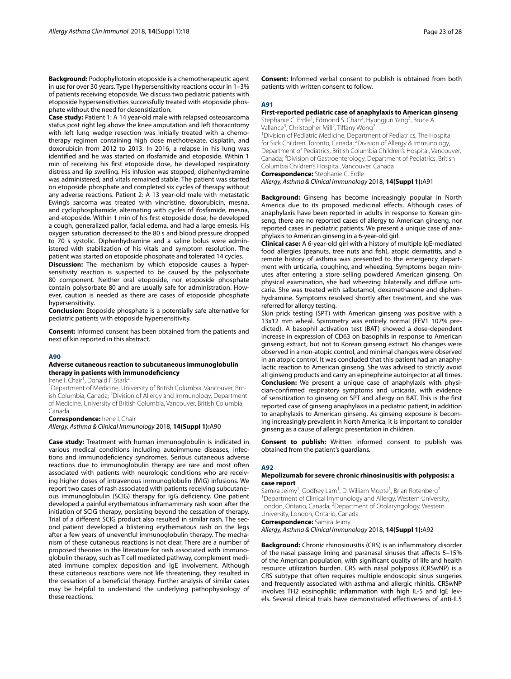**Background:** Podophyllotoxin etoposide is a chemotherapeutic agent in use for over 30 years. Type I hypersensitivity reactions occur in 1–3% of patients receiving etoposide. We discuss two pediatric patients with etoposide hypersensitivities successfully treated with etoposide phosphate without the need for desensitization.

**Case study:** Patient 1: A 14 year-old male with relapsed osteosarcoma status post right leg above the knee amputation and left thoracotomy with left lung wedge resection was initially treated with a chemotherapy regimen containing high dose methotrexate, cisplatin, and doxorubicin from 2012 to 2013. In 2016, a relapse in his lung was identifed and he was started on ifosfamide and etoposide. Within 1 min of receiving his frst etoposide dose, he developed respiratory distress and lip swelling. His infusion was stopped, diphenhydramine was administered, and vitals remained stable. The patient was started on etoposide phosphate and completed six cycles of therapy without any adverse reactions. Patient 2: A 13 year-old male with metastatic Ewing's sarcoma was treated with vincristine, doxorubicin, mesna, and cyclophosphamide, alternating with cycles of ifosfamide, mesna, and etoposide. Within 1 min of his frst etoposide dose, he developed a cough, generalized pallor, facial edema, and had a large emesis. His oxygen saturation decreased to the 80 s and blood pressure dropped to 70 s systolic. Diphenhydramine and a saline bolus were administered with stabilization of his vitals and symptom resolution. The patient was started on etoposide phosphate and tolerated 14 cycles.

**Discussion:** The mechanism by which etoposide causes a hypersensitivity reaction is suspected to be caused by the polysorbate 80 component. Neither oral etoposide, nor etoposide phosphate contain polysorbate 80 and are usually safe for administration. However, caution is needed as there are cases of etoposide phosphate hypersensitivity.

**Conclusion:** Etoposide phosphate is a potentially safe alternative for pediatric patients with etoposide hypersensitivity.

**Consent:** Informed consent has been obtained from the patients and next of kin reported in this abstract.

# **A90**

# **Adverse cutaneous reaction to subcutaneous immunoglobulin therapy in patients with immunodefciency**

Irene I. Chair<sup>1</sup>, Donald F. Stark<sup>2</sup>

<sup>1</sup>Department of Medicine, University of British Columbia, Vancouver, British Columbia, Canada; <sup>2</sup>Division of Allergy and Immunology, Department of Medicine, University of British Columbia, Vancouver, British Columbia, Canada

**Correspondence:** Irene I. Chair

*Allergy, Asthma & Clinical Immunology* 2018, **14(Suppl 1):**A90

**Case study:** Treatment with human immunoglobulin is indicated in various medical conditions including autoimmune diseases, infections and immunodefciency syndromes. Serious cutaneous adverse reactions due to immunoglobulin therapy are rare and most often associated with patients with neurologic conditions who are receiving higher doses of intravenous immunoglobulin (IVIG) infusions. We report two cases of rash associated with patients receiving subcutaneous immunoglobulin (SCIG) therapy for IgG defciency. One patient developed a painful erythematous inframammary rash soon after the initiation of SCIG therapy, persisting beyond the cessation of therapy. Trial of a diferent SCIG product also resulted in similar rash. The second patient developed a blistering erythematous rash on the legs after a few years of uneventful immunoglobulin therapy. The mechanism of these cutaneous reactions is not clear. There are a number of proposed theories in the literature for rash associated with immunoglobulin therapy, such as T cell mediated pathway, complement mediated immune complex deposition and IgE involvement. Although these cutaneous reactions were not life threatening, they resulted in the cessation of a benefcial therapy. Further analysis of similar cases may be helpful to understand the underlying pathophysiology of these reactions.

**Consent:** Informed verbal consent to publish is obtained from both patients with written consent to follow.

# **A91**

# **First‑reported pediatric case of anaphylaxis to American ginseng**

Stephanie C. Erdle<sup>1</sup>, Edmond S. Chan<sup>2</sup>, Hyungjun Yang<sup>3</sup>, Bruce A. Vallance<sup>3</sup>, Christopher Mill<sup>2</sup>, Tiffany Wong<sup>2</sup>

<sup>1</sup> Division of Pediatric Medicine, Department of Pediatrics, The Hospital for Sick Children, Toronto, Canada; <sup>2</sup> Division of Allergy & Immunology, Department of Pediatrics, British Columbia Children's Hospital, Vancouver, Canada; <sup>3</sup>Division of Gastroenterology, Department of Pediatrics, British Columbia Children's Hospital, Vancouver, Canada

**Correspondence:** Stephanie C. Erdle

*Allergy, Asthma & Clinical Immunology* 2018, **14(Suppl 1):**A91

**Background:** Ginseng has become increasingly popular in North America due to its proposed medicinal efects. Although cases of anaphylaxis have been reported in adults in response to Korean ginseng, there are no reported cases of allergy to American ginseng, nor reported cases in pediatric patients. We present a unique case of anaphylaxis to American ginseng in a 6-year-old girl.

**Clinical case:** A 6-year-old girl with a history of multiple IgE-mediated food allergies (peanuts, tree nuts and fsh), atopic dermatitis, and a remote history of asthma was presented to the emergency department with urticaria, coughing, and wheezing. Symptoms began minutes after entering a store selling powdered American ginseng. On physical examination, she had wheezing bilaterally and difuse urticaria. She was treated with salbutamol, dexamethasone and diphenhydramine. Symptoms resolved shortly after treatment, and she was referred for allergy testing.

Skin prick testing (SPT) with American ginseng was positive with a 13x12 mm wheal. Spirometry was entirely normal (FEV1 107% predicted). A basophil activation test (BAT) showed a dose-dependent increase in expression of CD63 on basophils in response to American ginseng extract, but not to Korean ginseng extract. No changes were observed in a non-atopic control, and minimal changes were observed in an atopic control. It was concluded that this patient had an anaphylactic reaction to American ginseng. She was advised to strictly avoid all ginseng products and carry an epinephrine autoinjector at all times. **Conclusion:** We present a unique case of anaphylaxis with physician-confrmed respiratory symptoms and urticaria, with evidence of sensitization to ginseng on SPT and allergy on BAT. This is the frst reported case of ginseng anaphylaxis in a pediatric patient, in addition to anaphylaxis to American ginseng. As ginseng exposure is becoming increasingly prevalent in North America, it is important to consider ginseng as a cause of allergic presentation in children.

**Consent to publish:** Written informed consent to publish was obtained from the patient's guardians.

#### **A92**

#### **Mepolizumab for severe chronic rhinosinusitis with polyposis: a case report**

Samira Jeimy<sup>1</sup>, Godfrey Lam<sup>1</sup>, D. William Moote<sup>1</sup>, Brian Rotenberg<sup>2</sup> <sup>1</sup>Department of Clinical Immunology and Allergy, Western University, London, Ontario, Canada; <sup>2</sup>Department of Otolaryngology, Western University, London, Ontario, Canada

**Correspondence:** Samira Jeimy

*Allergy, Asthma & Clinical Immunology* 2018, **14(Suppl 1):**A92

**Background:** Chronic rhinosinusitis (CRS) is an infammatory disorder of the nasal passage lining and paranasal sinuses that afects 5–15% of the American population, with signifcant quality of life and health resource utilization burden. CRS with nasal polyposis (CRSwNP) is a CRS subtype that often requires multiple endoscopic sinus surgeries and frequently associated with asthma and allergic rhinitis. CRSwNP involves TH2 eosinophilic infammation with high IL-5 and IgE levels. Several clinical trials have demonstrated efectiveness of anti-IL5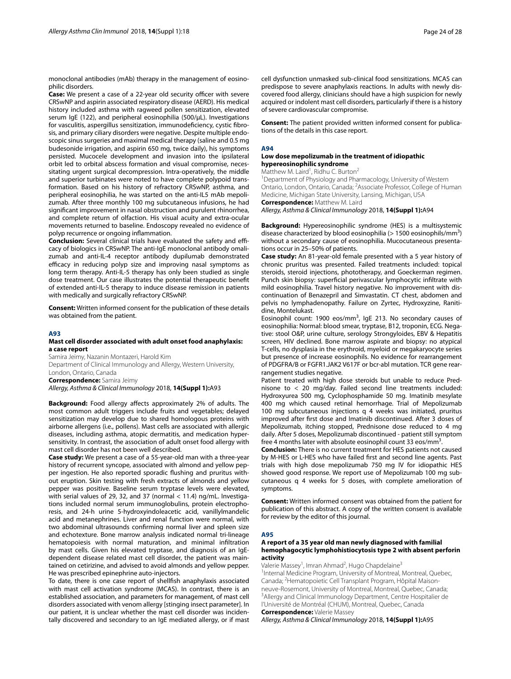monoclonal antibodies (mAb) therapy in the management of eosinophilic disorders.

**Case:** We present a case of a 22-year old security officer with severe CRSwNP and aspirin associated respiratory disease (AERD). His medical history included asthma with ragweed pollen sensitization, elevated serum IgE (122), and peripheral eosinophilia (500/μL). Investigations for vasculitis, aspergillus sensitization, immunodefciency, cystic fbrosis, and primary ciliary disorders were negative. Despite multiple endoscopic sinus surgeries and maximal medical therapy (saline and 0.5 mg budesonide irrigation, and aspirin 650 mg, twice daily), his symptoms persisted. Mucocele development and invasion into the ipsilateral orbit led to orbital abscess formation and visual compromise, necessitating urgent surgical decompression. Intra-operatively, the middle and superior turbinates were noted to have complete polypoid transformation. Based on his history of refractory CRSwNP, asthma, and peripheral eosinophilia, he was started on the anti-IL5 mAb mepolizumab. After three monthly 100 mg subcutaneous infusions, he had signifcant improvement in nasal obstruction and purulent rhinorrhea, and complete return of olfaction. His visual acuity and extra-ocular movements returned to baseline. Endoscopy revealed no evidence of polyp recurrence or ongoing infammation.

**Conclusion:** Several clinical trials have evaluated the safety and efficacy of biologics in CRSwNP. The anti-IgE monoclonal antibody omalizumab and anti-IL-4 receptor antibody dupilumab demonstrated efficacy in reducing polyp size and improving nasal symptoms as long term therapy. Anti-IL-5 therapy has only been studied as single dose treatment. Our case illustrates the potential therapeutic beneft of extended anti-IL-5 therapy to induce disease remission in patients with medically and surgically refractory CRSwNP.

**Consent:** Written informed consent for the publication of these details was obtained from the patient.

#### **A93**

# **Mast cell disorder associated with adult onset food anaphylaxis: a case report**

Samira Jeimy, Nazanin Montazeri, Harold Kim Department of Clinical Immunology and Allergy, Western University, London, Ontario, Canada **Correspondence:** Samira Jeimy *Allergy, Asthma & Clinical Immunology* 2018, **14(Suppl 1):**A93

**Background:** Food allergy afects approximately 2% of adults. The most common adult triggers include fruits and vegetables; delayed sensitization may develop due to shared homologous proteins with airborne allergens (i.e., pollens). Mast cells are associated with allergic diseases, including asthma, atopic dermatitis, and medication hypersensitivity. In contrast, the association of adult onset food allergy with mast cell disorder has not been well described.

**Case study:** We present a case of a 55-year-old man with a three-year history of recurrent syncope, associated with almond and yellow pepper ingestion. He also reported sporadic fushing and pruritus without eruption. Skin testing with fresh extracts of almonds and yellow pepper was positive. Baseline serum tryptase levels were elevated, with serial values of 29, 32, and 37 (normal < 11.4) ng/mL. Investigations included normal serum immunoglobulins, protein electrophoresis, and 24-h urine 5-hydroxyindoleacetic acid, vanillylmandelic acid and metanephrines. Liver and renal function were normal, with two abdominal ultrasounds confrming normal liver and spleen size and echotexture. Bone marrow analysis indicated normal tri-lineage hematopoiesis with normal maturation, and minimal infltration by mast cells. Given his elevated tryptase, and diagnosis of an IgEdependent disease related mast cell disorder, the patient was maintained on cetirizine, and advised to avoid almonds and yellow pepper. He was prescribed epinephrine auto-injectors.

To date, there is one case report of shellfsh anaphylaxis associated with mast cell activation syndrome (MCAS). In contrast, there is an established association, and parameters for management, of mast cell disorders associated with venom allergy [stinging insect parameter]. In our patient, it is unclear whether the mast cell disorder was incidentally discovered and secondary to an IgE mediated allergy, or if mast cell dysfunction unmasked sub-clinical food sensitizations. MCAS can predispose to severe anaphylaxis reactions. In adults with newly discovered food allergy, clinicians should have a high suspicion for newly acquired or indolent mast cell disorders, particularly if there is a history of severe cardiovascular compromise.

**Consent:** The patient provided written informed consent for publications of the details in this case report.

#### **A94**

# **Low dose mepolizumab in the treatment of idiopathic hypereosinophilic syndrome**

Matthew M. Laird<sup>1</sup>, Ridhu C. Burton<sup>2</sup>

<sup>1</sup>Department of Physiology and Pharmacology, University of Western Ontario, London, Ontario, Canada; 2 Associate Professor, College of Human Medicine, Michigan State University, Lansing, Michigan, USA **Correspondence:** Matthew M. Laird

*Allergy, Asthma & Clinical Immunology* 2018, **14(Suppl 1):**A94

**Background:** Hypereosinophilic syndrome (HES) is a multisystemic disease characterized by blood eosinophilia (> 1500 eosinophils/mm<sup>3</sup>) without a secondary cause of eosinophilia. Mucocutaneous presentations occur in 25–50% of patients.

**Case study:** An 81-year-old female presented with a 5 year history of chronic pruritus was presented. Failed treatments included: topical steroids, steroid injections, phototherapy, and Goeckerman regimen. Punch skin biopsy: superficial perivascular lymphocytic infiltrate with mild eosinophilia. Travel history negative. No improvement with discontinuation of Benazepril and Simvastatin. CT chest, abdomen and pelvis no lymphadenopathy. Failure on Zyrtec, Hydroxyzine, Ranitidine, Montelukast.

Eosinophil count: 1900 eos/mm<sup>3</sup>, IgE 213. No secondary causes of eosinophilia: Normal: blood smear, tryptase, B12, troponin, ECG. Negative: stool O&P, urine culture, serology Strongyloides, EBV & Hepatitis screen, HIV declined. Bone marrow aspirate and biopsy: no atypical T-cells, no dysplasia in the erythroid, myeloid or megakaryocyte series but presence of increase eosinophils. No evidence for rearrangement of PDGFRA/B or FGFR1.JAK2 V617F or bcr-abl mutation. TCR gene rearrangement studies negative.

Patient treated with high dose steroids but unable to reduce Prednisone to < 20 mg/day. Failed second line treatments included: Hydroxyurea 500 mg, Cyclophosphamide 50 mg. Imatinib mesylate 400 mg which caused retinal hemorrhage. Trial of Mepolizumab 100 mg subcutaneous injections q 4 weeks was initiated, pruritus improved after frst dose and Imatinib discontinued. After 3 doses of Mepolizumab, itching stopped, Prednisone dose reduced to 4 mg daily. After 5 doses, Mepolizumab discontinued - patient still symptom free 4 months later with absolute eosinophil count 33 eos/mm<sup>3</sup>.

**Conclusion:** There is no current treatment for HES patients not caused by M-HES or L-HES who have failed frst and second line agents. Past trials with high dose mepolizumab 750 mg IV for idiopathic HES showed good response. We report use of Mepolizumab 100 mg subcutaneous q 4 weeks for 5 doses, with complete amelioration of symptoms.

**Consent:** Written informed consent was obtained from the patient for publication of this abstract. A copy of the written consent is available for review by the editor of this journal.

#### **A95**

# **A report of a 35 year old man newly diagnosed with familial hemophagocytic lymphohistiocytosis type 2 with absent perforin activity**

Valerie Massey<sup>1</sup>, Imran Ahmad<sup>2</sup>, Hugo Chapdelaine<sup>3</sup>

<sup>1</sup>Internal Medicine Program, University of Montreal, Montreal, Quebec, Canada; <sup>2</sup> Hematopoietic Cell Transplant Program, Hôpital Maisonneuve‑Rosemont, University of Montreal, Montreal, Quebec, Canada; 3 Allergy and Clinical Immunology Department, Centre Hospitalier de l'Université de Montréal (CHUM), Montreal, Quebec, Canada

**Correspondence:** Valerie Massey

*Allergy, Asthma & Clinical Immunology* 2018, **14(Suppl 1):**A95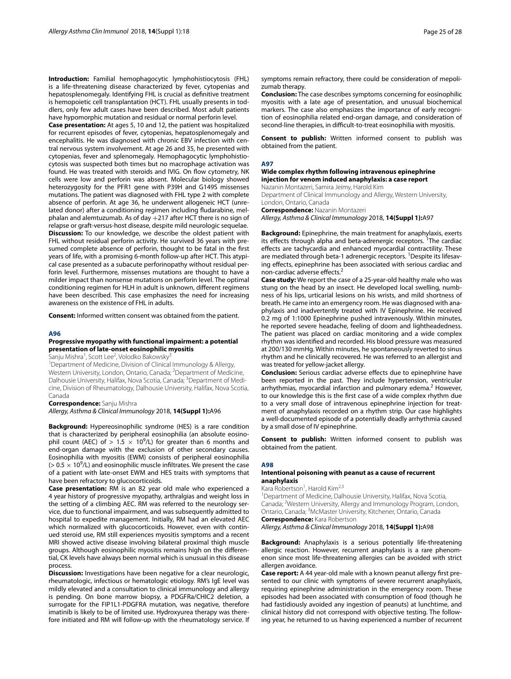**Introduction:** Familial hemophagocytic lymphohistiocytosis (FHL) is a life-threatening disease characterized by fever, cytopenias and hepatosplenomegaly. Identifying FHL is crucial as defnitive treatment is hemopoietic cell transplantation (HCT). FHL usually presents in toddlers, only few adult cases have been described. Most adult patients have hypomorphic mutation and residual or normal perforin level.

**Case presentation:** At ages 5, 10 and 12, the patient was hospitalized for recurrent episodes of fever, cytopenias, hepatosplenomegaly and encephalitis. He was diagnosed with chronic EBV infection with central nervous system involvement. At age 26 and 35, he presented with cytopenias, fever and splenomegaly. Hemophagocytic lymphohistiocytosis was suspected both times but no macrophage activation was found. He was treated with steroids and IVIG. On flow cytometry, NK cells were low and perforin was absent. Molecular biology showed heterozygosity for the PFR1 gene with P39H and G149S missenses mutations. The patient was diagnosed with FHL type 2 with complete absence of perforin. At age 36, he underwent allogeneic HCT (unrelated donor) after a conditioning regimen including fudarabine, melphalan and alemtuzumab. As of day +217 after HCT there is no sign of relapse or graft-versus-host disease, despite mild neurologic sequelae. **Discussion:** To our knowledge, we describe the oldest patient with FHL without residual perforin activity. He survived 36 years with presumed complete absence of perforin, thought to be fatal in the frst years of life, with a promising 6-month follow-up after HCT. This atypical case presented as a subacute perforinopathy without residual perforin level. Furthermore, missenses mutations are thought to have a milder impact than nonsense mutations on perforin level. The optimal conditioning regimen for HLH in adult is unknown, diferent regimens have been described. This case emphasizes the need for increasing awareness on the existence of FHL in adults.

**Consent:** Informed written consent was obtained from the patient.

#### **A96**

# **Progressive myopathy with functional impairment: a potential presentation of late‑onset eosinophilic myositis**

Sanju Mishra<sup>1</sup>, Scott Lee<sup>2</sup>, Volodko Bakowsky<sup>3</sup>

<sup>1</sup> Department of Medicine, Division of Clinical Immunology & Allergy, Western University, London, Ontario, Canada; <sup>2</sup>Department of Medicine, Dalhousie University, Halifax, Nova Scotia, Canada; <sup>3</sup>Department of Medicine, Division of Rheumatology, Dalhousie University, Halifax, Nova Scotia, Canada

**Correspondence:** Sanju Mishra

*Allergy, Asthma & Clinical Immunology* 2018, **14(Suppl 1):**A96

**Background:** Hypereosinophilic syndrome (HES) is a rare condition that is characterized by peripheral eosinophilia (an absolute eosinophil count (AEC) of  $> 1.5 \times 10^9$ /L) for greater than 6 months and end-organ damage with the exclusion of other secondary causes. Eosinophilia with myositis (EWM) consists of peripheral eosinophilia ( $> 0.5 \times 10^9$ /L) and eosinophilic muscle infiltrates. We present the case of a patient with late-onset EWM and HES traits with symptoms that have been refractory to glucocorticoids.

**Case presentation:** RM is an 82 year old male who experienced a 4 year history of progressive myopathy, arthralgias and weight loss in the setting of a climbing AEC. RM was referred to the neurology service, due to functional impairment, and was subsequently admitted to hospital to expedite management. Initially, RM had an elevated AEC which normalized with glucocorticoids. However, even with continued steroid use, RM still experiences myositis symptoms and a recent MRI showed active disease involving bilateral proximal thigh muscle groups. Although eosinophilic myositis remains high on the diferential, CK levels have always been normal which is unusual in this disease process.

**Discussion:** Investigations have been negative for a clear neurologic, rheumatologic, infectious or hematologic etiology. RM's IgE level was mildly elevated and a consultation to clinical immunology and allergy is pending. On bone marrow biopsy, a PDGFRa/CHIC2 deletion, a surrogate for the FIP1L1-PDGFRA mutation, was negative, therefore imatinib is likely to be of limited use. Hydroxyurea therapy was therefore initiated and RM will follow-up with the rheumatology service. If symptoms remain refractory, there could be consideration of mepolizumab therapy.

**Conclusion:** The case describes symptoms concerning for eosinophilic myositis with a late age of presentation, and unusual biochemical markers. The case also emphasizes the importance of early recognition of eosinophilia related end-organ damage, and consideration of second-line therapies, in difficult-to-treat eosinophilia with myositis.

**Consent to publish:** Written informed consent to publish was obtained from the patient.

#### **A97**

# **Wide complex rhythm following intravenous epinephrine injection for venom induced anaphylaxis: a case report**

Nazanin Montazeri, Samira Jeimy, Harold Kim

Department of Clinical Immunology and Allergy, Western University, London, Ontario, Canada

**Correspondence:** Nazanin Montazeri

*Allergy, Asthma & Clinical Immunology* 2018, **14(Suppl 1):**A97

**Background:** Epinephrine, the main treatment for anaphylaxis, exerts its effects through alpha and beta-adrenergic receptors. <sup>1</sup>The cardiac efects are tachycardia and enhanced myocardial contractility. These are mediated through beta-1 adrenergic receptors. <sup>1</sup>Despite its lifesaving efects, epinephrine has been associated with serious cardiac and non-cardiac adverse effects.<sup>2</sup>

**Case study:** We report the case of a 25-year-old healthy male who was stung on the head by an insect. He developed local swelling, numbness of his lips, urticarial lesions on his wrists, and mild shortness of breath. He came into an emergency room. He was diagnosed with anaphylaxis and inadvertently treated with IV Epinephrine. He received 0.2 mg of 1:1000 Epinephrine pushed intravenously. Within minutes, he reported severe headache, feeling of doom and lightheadedness. The patient was placed on cardiac monitoring and a wide complex rhythm was identifed and recorded. His blood pressure was measured at 200/130 mmHg. Within minutes, he spontaneously reverted to sinus rhythm and he clinically recovered. He was referred to an allergist and was treated for yellow-jacket allergy.

**Conclusion:** Serious cardiac adverse efects due to epinephrine have been reported in the past. They include hypertension, ventricular arrhythmias, myocardial infarction and pulmonary edema.<sup>2</sup> However, to our knowledge this is the frst case of a wide complex rhythm due to a very small dose of intravenous epinephrine injection for treatment of anaphylaxis recorded on a rhythm strip. Our case highlights a well-documented episode of a potentially deadly arrhythmia caused by a small dose of IV epinephrine.

**Consent to publish:** Written informed consent to publish was obtained from the patient.

#### **A98**

#### **Intentional poisoning with peanut as a cause of recurrent anaphylaxis**

Kara Robertson<sup>1</sup>, Harold Kim<sup>2,3</sup>

<sup>1</sup>Department of Medicine, Dalhousie University, Halifax, Nova Scotia, Canada; <sup>2</sup>Western University, Allergy and Immunology Program, London, Ontario, Canada; <sup>3</sup>McMaster University, Kitchener, Ontario, Canada **Correspondence:** Kara Robertson

*Allergy, Asthma & Clinical Immunology* 2018, **14(Suppl 1):**A98

**Background:** Anaphylaxis is a serious potentially life-threatening allergic reaction. However, recurrent anaphylaxis is a rare phenomenon since most life-threatening allergies can be avoided with strict allergen avoidance.

**Case report:** A 44 year-old male with a known peanut allergy frst presented to our clinic with symptoms of severe recurrent anaphylaxis, requiring epinephrine administration in the emergency room. These episodes had been associated with consumption of food (though he had fastidiously avoided any ingestion of peanuts) at lunchtime, and clinical history did not correspond with objective testing. The following year, he returned to us having experienced a number of recurrent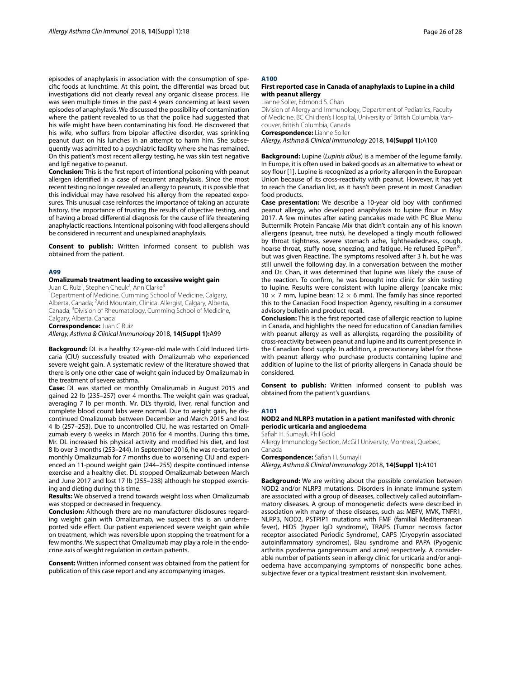episodes of anaphylaxis in association with the consumption of specifc foods at lunchtime. At this point, the diferential was broad but investigations did not clearly reveal any organic disease process. He was seen multiple times in the past 4 years concerning at least seven episodes of anaphylaxis. We discussed the possibility of contamination where the patient revealed to us that the police had suggested that his wife might have been contaminating his food. He discovered that his wife, who suffers from bipolar affective disorder, was sprinkling peanut dust on his lunches in an attempt to harm him. She subsequently was admitted to a psychiatric facility where she has remained. On this patient's most recent allergy testing, he was skin test negative and IgE negative to peanut.

**Conclusion:** This is the frst report of intentional poisoning with peanut allergen identifed in a case of recurrent anaphylaxis. Since the most recent testing no longer revealed an allergy to peanuts, it is possible that this individual may have resolved his allergy from the repeated exposures. This unusual case reinforces the importance of taking an accurate history, the importance of trusting the results of objective testing, and of having a broad diferential diagnosis for the cause of life threatening anaphylactic reactions. Intentional poisoning with food allergens should be considered in recurrent and unexplained anaphylaxis.

**Consent to publish:** Written informed consent to publish was obtained from the patient.

#### **A99**

#### **Omalizumab treatment leading to excessive weight gain**

Juan C. Ruiz<sup>1</sup>, Stephen Cheuk<sup>2</sup>, Ann Clarke<sup>3</sup>

<sup>1</sup>Department of Medicine, Cumming School of Medicine, Calgary, Alberta, Canada; <sup>2</sup> Arid Mountain, Clinical Allergist, Calgary, Alberta, Canada; <sup>3</sup>Division of Rheumatology, Cumming School of Medicine, Calgary, Alberta, Canada

**Correspondence:** Juan C Ruiz

*Allergy, Asthma & Clinical Immunology* 2018, **14(Suppl 1):**A99

**Background:** DL is a healthy 32-year-old male with Cold Induced Urticaria (CIU) successfully treated with Omalizumab who experienced severe weight gain. A systematic review of the literature showed that there is only one other case of weight gain induced by Omalizumab in the treatment of severe asthma.

**Case:** DL was started on monthly Omalizumab in August 2015 and gained 22 lb (235–257) over 4 months. The weight gain was gradual, averaging 7 lb per month. Mr. DL's thyroid, liver, renal function and complete blood count labs were normal. Due to weight gain, he discontinued Omalizumab between December and March 2015 and lost 4 lb (257–253). Due to uncontrolled CIU, he was restarted on Omalizumab every 6 weeks in March 2016 for 4 months. During this time, Mr. DL increased his physical activity and modifed his diet, and lost 8 lb over 3 months (253–244). In September 2016, he was re-started on monthly Omalizumab for 7 months due to worsening CIU and experienced an 11-pound weight gain (244–255) despite continued intense exercise and a healthy diet. DL stopped Omalizumab between March and June 2017 and lost 17 lb (255–238) although he stopped exercising and dieting during this time.

**Results:** We observed a trend towards weight loss when Omalizumab was stopped or decreased in frequency.

**Conclusion:** Although there are no manufacturer disclosures regarding weight gain with Omalizumab, we suspect this is an underreported side effect. Our patient experienced severe weight gain while on treatment, which was reversible upon stopping the treatment for a few months. We suspect that Omalizumab may play a role in the endocrine axis of weight regulation in certain patients.

**Consent:** Written informed consent was obtained from the patient for publication of this case report and any accompanying images.

# **A100**

#### **First reported case in Canada of anaphylaxis to Lupine in a child with peanut allergy**

Lianne Soller, Edmond S. Chan

Division of Allergy and Immunology, Department of Pediatrics, Faculty of Medicine, BC Children's Hospital, University of British Columbia, Vancouver, British Columbia, Canada

**Correspondence:** Lianne Soller

*Allergy, Asthma & Clinical Immunology* 2018, **14(Suppl 1):**A100

**Background:** Lupine (*Lupinis albus*) is a member of the legume family. In Europe, it is often used in baked goods as an alternative to wheat or soy flour [1]. Lupine is recognized as a priority allergen in the European Union because of its cross-reactivity with peanut. However, it has yet to reach the Canadian list, as it hasn't been present in most Canadian food products.

**Case presentation:** We describe a 10-year old boy with confrmed peanut allergy, who developed anaphylaxis to lupine four in May 2017. A few minutes after eating pancakes made with PC Blue Menu Buttermilk Protein Pancake Mix that didn't contain any of his known allergens (peanut, tree nuts), he developed a tingly mouth followed by throat tightness, severe stomach ache, lightheadedness, cough, hoarse throat, stuffy nose, sneezing, and fatigue. He refused EpiPen® but was given Reactine. The symptoms resolved after 3 h, but he was still unwell the following day. In a conversation between the mother and Dr. Chan, it was determined that lupine was likely the cause of the reaction. To confrm, he was brought into clinic for skin testing to lupine. Results were consistent with lupine allergy (pancake mix: 10  $\times$  7 mm, lupine bean: 12  $\times$  6 mm). The family has since reported this to the Canadian Food Inspection Agency, resulting in a consumer advisory bulletin and product recall.

**Conclusion:** This is the frst reported case of allergic reaction to lupine in Canada, and highlights the need for education of Canadian families with peanut allergy as well as allergists, regarding the possibility of cross-reactivity between peanut and lupine and its current presence in the Canadian food supply. In addition, a precautionary label for those with peanut allergy who purchase products containing lupine and addition of lupine to the list of priority allergens in Canada should be considered.

**Consent to publish:** Written informed consent to publish was obtained from the patient's guardians.

#### **A101**

# **NOD2 and NLRP3 mutation in a patient manifested with chronic periodic urticaria and angioedema**

Safah H. Sumayli, Phil Gold

Allergy Immunology Section, McGill University, Montreal, Quebec, Canada

**Correspondence:** Safah H. Sumayli

*Allergy, Asthma & Clinical Immunology* 2018, **14(Suppl 1):**A101

**Background:** We are writing about the possible correlation between NOD2 and/or NLRP3 mutations. Disorders in innate immune system are associated with a group of diseases, collectively called autoinfammatory diseases. A group of monogenetic defects were described in association with many of these diseases, such as: MEFV, MVK, TNFR1, NLRP3, NOD2, PSTPIP1 mutations with FMF (familial Mediterranean fever), HIDS (hyper IgD syndrome), TRAPS (Tumor necrosis factor receptor associated Periodic Syndrome), CAPS (Cryopyrin associated autoinfammatory syndromes), Blau syndrome and PAPA (Pyogenic arthritis pyoderma gangrenosum and acne) respectively. A considerable number of patients seen in allergy clinic for urticaria and/or angioedema have accompanying symptoms of nonspecifc bone aches, subjective fever or a typical treatment resistant skin involvement.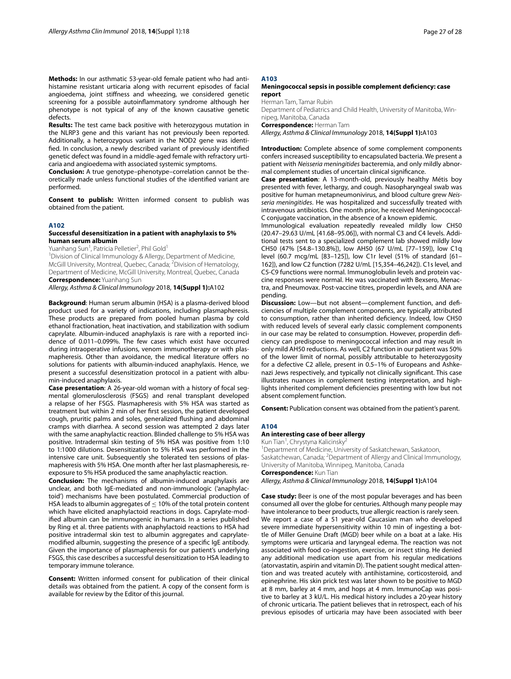**Methods:** In our asthmatic 53-year-old female patient who had antihistamine resistant urticaria along with recurrent episodes of facial angioedema, joint stifness and wheezing, we considered genetic screening for a possible autoinfammatory syndrome although her phenotype is not typical of any of the known causative genetic defects.

**Results:** The test came back positive with heterozygous mutation in the NLRP3 gene and this variant has not previously been reported. Additionally, a heterozygous variant in the NOD2 gene was identifed. In conclusion, a newly described variant of previously identifed genetic defect was found in a middle-aged female with refractory urticaria and angioedema with associated systemic symptoms.

**Conclusion:** A true genotype–phenotype–correlation cannot be theoretically made unless functional studies of the identifed variant are performed.

**Consent to publish:** Written informed consent to publish was obtained from the patient.

# **A102**

#### **Successful desensitization in a patient with anaphylaxis to 5% human serum albumin**

Yuanhang Sun<sup>1</sup>, Patricia Pelletier<sup>2</sup>, Phil Gold<sup>1</sup>

<sup>1</sup> Division of Clinical Immunology & Allergy, Department of Medicine, McGill University, Montreal, Quebec, Canada; <sup>2</sup>Division of Hematology, Department of Medicine, McGill University, Montreal, Quebec, Canada **Correspondence:** Yuanhang Sun

*Allergy, Asthma & Clinical Immunology* 2018, **14(Suppl 1):**A102

**Background**: Human serum albumin (HSA) is a plasma-derived blood product used for a variety of indications, including plasmapheresis. These products are prepared from pooled human plasma by cold ethanol fractionation, heat inactivation, and stabilization with sodium caprylate. Albumin-induced anaphylaxis is rare with a reported incidence of 0.011–0.099%. The few cases which exist have occurred during intraoperative infusions, venom immunotherapy or with plasmapheresis. Other than avoidance, the medical literature offers no solutions for patients with albumin-induced anaphylaxis. Hence, we present a successful desensitization protocol in a patient with albumin-induced anaphylaxis.

**Case presentation**: A 26-year-old woman with a history of focal segmental glomerulosclerosis (FSGS) and renal transplant developed a relapse of her FSGS. Plasmapheresis with 5% HSA was started as treatment but within 2 min of her frst session, the patient developed cough, pruritic palms and soles, generalized fushing and abdominal cramps with diarrhea. A second session was attempted 2 days later with the same anaphylactic reaction. Blinded challenge to 5% HSA was positive. Intradermal skin testing of 5% HSA was positive from 1:10 to 1:1000 dilutions. Desensitization to 5% HSA was performed in the intensive care unit. Subsequently she tolerated ten sessions of plasmapheresis with 5% HSA. One month after her last plasmapheresis, reexposure to 5% HSA produced the same anaphylactic reaction.

**Conclusion:** The mechanisms of albumin-induced anaphylaxis are unclear, and both IgE-mediated and non-immunologic ('anaphylactoid') mechanisms have been postulated. Commercial production of HSA leads to albumin aggregates of  $\leq$  10% of the total protein content which have elicited anaphylactoid reactions in dogs. Caprylate-modifed albumin can be immunogenic in humans. In a series published by Ring et al. three patients with anaphylactoid reactions to HSA had positive intradermal skin test to albumin aggregates and caprylatemodifed albumin, suggesting the presence of a specifc IgE antibody. Given the importance of plasmapheresis for our patient's underlying FSGS, this case describes a successful desensitization to HSA leading to temporary immune tolerance.

**Consent:** Written informed consent for publication of their clinical details was obtained from the patient. A copy of the consent form is available for review by the Editor of this journal.

# **A103**

#### **Meningococcal sepsis in possible complement defciency: case report**

Herman Tam, Tamar Rubin

Department of Pediatrics and Child Health, University of Manitoba, Winnipeg, Manitoba, Canada

**Correspondence:** Herman Tam

*Allergy, Asthma & Clinical Immunology* 2018, **14(Suppl 1):**A103

**Introduction:** Complete absence of some complement components confers increased susceptibility to encapsulated bacteria. We present a patient with *Neisseria meningitides* bacteremia, and only mildly abnormal complement studies of uncertain clinical signifcance.

**Case presentation**: A 13-month-old, previously healthy Métis boy presented with fever, lethargy, and cough. Nasopharyngeal swab was positive for human metapneumonivirus, and blood culture grew *Neisseria meningitides*. He was hospitalized and successfully treated with intravenous antibiotics. One month prior, he received Meningococcal-C conjugate vaccination, in the absence of a known epidemic.

Immunological evaluation repeatedly revealed mildly low CH50 (20.47–29.63 U/mL [41.68–95.06]), with normal C3 and C4 levels. Additional tests sent to a specialized complement lab showed mildly low CH50 (47% [54.8–130.8%]), low AH50 (67 U/mL [77–159]), low C1q level (60.7 mcg/mL [83–125]), low C1r level (51% of standard [61– 162]), and low C2 function (7282 U/mL [15,354–46,242]). C1s level, and C5-C9 functions were normal. Immunoglobulin levels and protein vaccine responses were normal. He was vaccinated with Bexsero, Menactra, and Pneumovax. Post-vaccine titres, properdin levels, and ANA are pending.

**Discussion:** Low—but not absent—complement function, and defciencies of multiple complement components, are typically attributed to consumption, rather than inherited defciency. Indeed, low CH50 with reduced levels of several early classic complement components in our case may be related to consumption. However, properdin defciency can predispose to meningococcal infection and may result in only mild AH50 reductions. As well, C2 function in our patient was 50% of the lower limit of normal, possibly attributable to heterozygosity for a defective C2 allele, present in 0.5–1% of Europeans and Ashkenazi Jews respectively, and typically not clinically signifcant. This case illustrates nuances in complement testing interpretation, and highlights inherited complement defciencies presenting with low but not absent complement function.

**Consent:** Publication consent was obtained from the patient's parent.

#### **A104**

# **An interesting case of beer allergy**

Kun Tian<sup>1</sup>, Chrystyna Kalicinsky<sup>2</sup>

1 Department of Medicine, University of Saskatchewan, Saskatoon, Saskatchewan, Canada; <sup>2</sup>Department of Allergy and Clinical Immunology, University of Manitoba, Winnipeg, Manitoba, Canada **Correspondence:** Kun Tian

*Allergy, Asthma & Clinical Immunology* 2018, **14(Suppl 1):**A104

**Case study:** Beer is one of the most popular beverages and has been consumed all over the globe for centuries. Although many people may have intolerance to beer products, true allergic reaction is rarely seen. We report a case of a 51 year-old Caucasian man who developed severe immediate hypersensitivity within 10 min of ingesting a bottle of Miller Genuine Draft (MGD) beer while on a boat at a lake. His symptoms were urticaria and laryngeal edema. The reaction was not associated with food co-ingestion, exercise, or insect sting. He denied any additional medication use apart from his regular medications (atorvastatin, aspirin and vitamin D). The patient sought medical attention and was treated acutely with antihistamine, corticosteroid, and epinephrine. His skin prick test was later shown to be positive to MGD at 8 mm, barley at 4 mm, and hops at 4 mm. ImmunoCap was positive to barley at 3 kU/L. His medical history includes a 20-year history of chronic urticaria. The patient believes that in retrospect, each of his previous episodes of urticaria may have been associated with beer